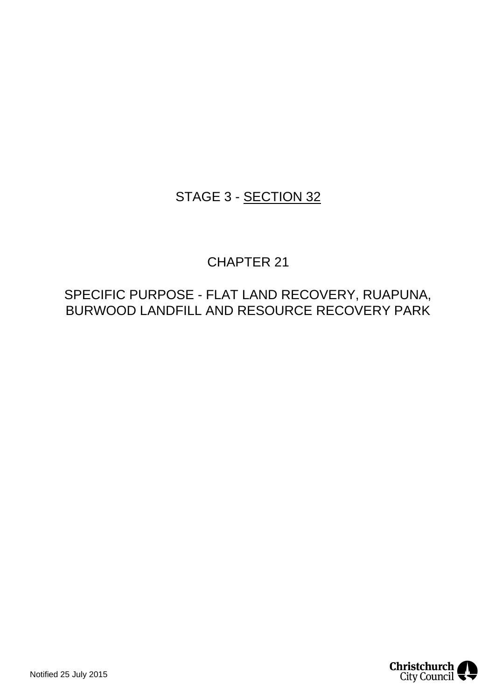## STAGE 3 - SECTION 32

## CHAPTER 21

## SPECIFIC PURPOSE - FLAT LAND RECOVERY, RUAPUNA, BURWOOD LANDFILL AND RESOURCE RECOVERY PARK

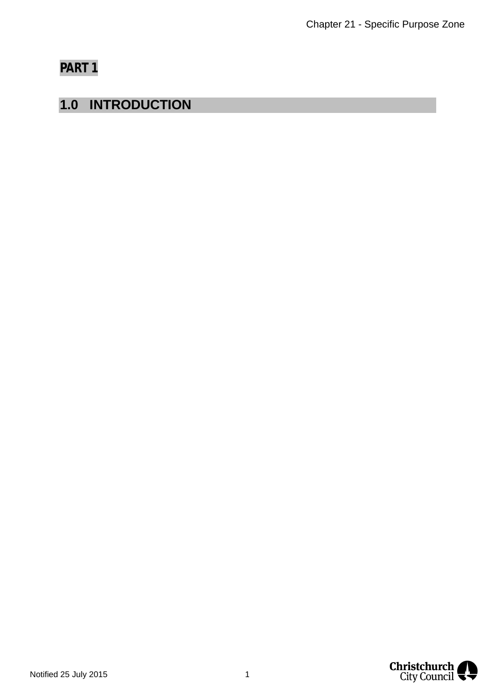## **PART 1**

## **1.0 INTRODUCTION**

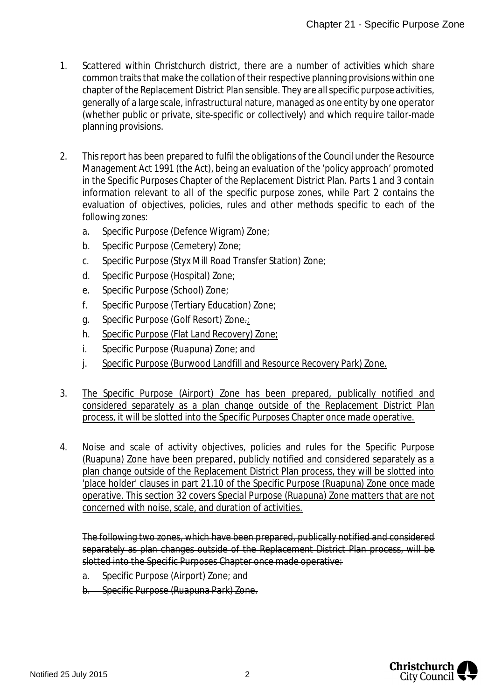- 1. Scattered within Christchurch district, there are a number of activities which share common traits that make the collation of their respective planning provisions within one chapter of the Replacement District Plan sensible. They are all specific purpose activities, generally of a large scale, infrastructural nature, managed as one entity by one operator (whether public or private, site-specific or collectively) and which require tailor-made planning provisions.
- 2. This report has been prepared to fulfil the obligations of the Council under the Resource Management Act 1991 (the Act), being an evaluation of the 'policy approach' promoted in the Specific Purposes Chapter of the Replacement District Plan. Parts 1 and 3 contain information relevant to all of the specific purpose zones, while Part 2 contains the evaluation of objectives, policies, rules and other methods specific to each of the following zones:
	- a. Specific Purpose (Defence Wigram) Zone;
	- b. Specific Purpose (Cemetery) Zone;
	- c. Specific Purpose (Styx Mill Road Transfer Station) Zone;
	- d. Specific Purpose (Hospital) Zone;
	- e. Specific Purpose (School) Zone;
	- f. Specific Purpose (Tertiary Education) Zone;
	- g. Specific Purpose (Golf Resort) Zone.;
	- h. Specific Purpose (Flat Land Recovery) Zone;
	- i. Specific Purpose (Ruapuna) Zone; and
	- j. Specific Purpose (Burwood Landfill and Resource Recovery Park) Zone.
- 3. The Specific Purpose (Airport) Zone has been prepared, publically notified and considered separately as a plan change outside of the Replacement District Plan process, it will be slotted into the Specific Purposes Chapter once made operative.
- 4. Noise and scale of activity objectives, policies and rules for the Specific Purpose (Ruapuna) Zone have been prepared, publicly notified and considered separately as a plan change outside of the Replacement District Plan process, they will be slotted into 'place holder' clauses in part 21.10 of the Specific Purpose (Ruapuna) Zone once made operative. This section 32 covers Special Purpose (Ruapuna) Zone matters that are not concerned with noise, scale, and duration of activities.

The following two zones, which have been prepared, publically notified and considered separately as plan changes outside of the Replacement District Plan process, will be slotted into the Specific Purposes Chapter once made operative:

a. Specific Purpose (Airport) Zone; and

b. Specific Purpose (Ruapuna Park) Zone.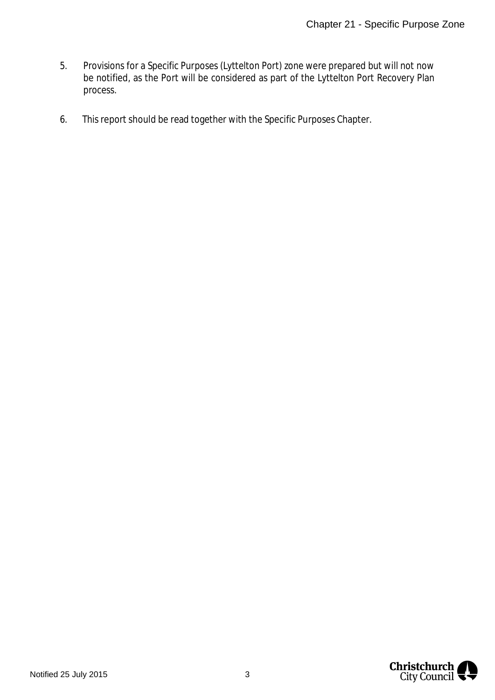- 5. Provisions for a Specific Purposes (Lyttelton Port) zone were prepared but will not now be notified, as the Port will be considered as part of the Lyttelton Port Recovery Plan process.
- 6. This report should be read together with the Specific Purposes Chapter.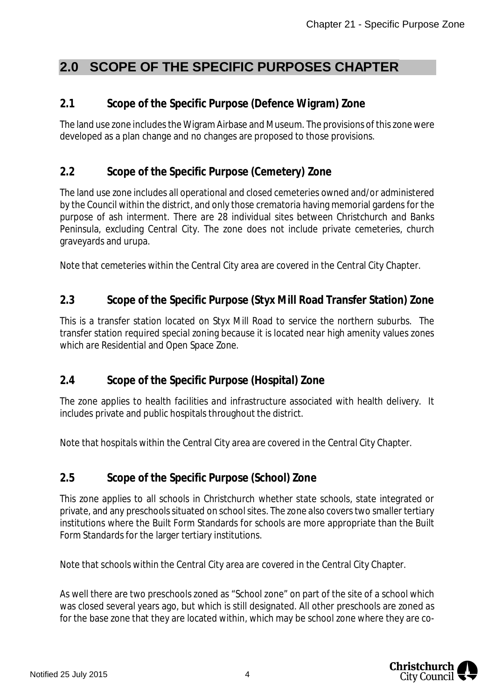## **2.0 SCOPE OF THE SPECIFIC PURPOSES CHAPTER**

### **2.1 Scope of the Specific Purpose (Defence Wigram) Zone**

The land use zone includes the Wigram Airbase and Museum. The provisions of this zone were developed as a plan change and no changes are proposed to those provisions.

### **2.2 Scope of the Specific Purpose (Cemetery) Zone**

The land use zone includes all operational and closed cemeteries owned and/or administered by the Council within the district, and only those crematoria having memorial gardens for the purpose of ash interment. There are 28 individual sites between Christchurch and Banks Peninsula, excluding Central City. The zone does not include private cemeteries, church graveyards and urupa.

Note that cemeteries within the Central City area are covered in the Central City Chapter.

### **2.3 Scope of the Specific Purpose (Styx Mill Road Transfer Station) Zone**

This is a transfer station located on Styx Mill Road to service the northern suburbs. The transfer station required special zoning because it is located near high amenity values zones which are Residential and Open Space Zone.

### **2.4 Scope of the Specific Purpose (Hospital) Zone**

The zone applies to health facilities and infrastructure associated with health delivery. It includes private and public hospitals throughout the district.

Note that hospitals within the Central City area are covered in the Central City Chapter.

### **2.5 Scope of the Specific Purpose (School) Zone**

This zone applies to all schools in Christchurch whether state schools, state integrated or private, and any preschools situated on school sites. The zone also covers two smaller tertiary institutions where the Built Form Standards for schools are more appropriate than the Built Form Standards for the larger tertiary institutions.

Note that schools within the Central City area are covered in the Central City Chapter.

As well there are two preschools zoned as "School zone" on part of the site of a school which was closed several years ago, but which is still designated. All other preschools are zoned as for the base zone that they are located within, which may be school zone where they are co-

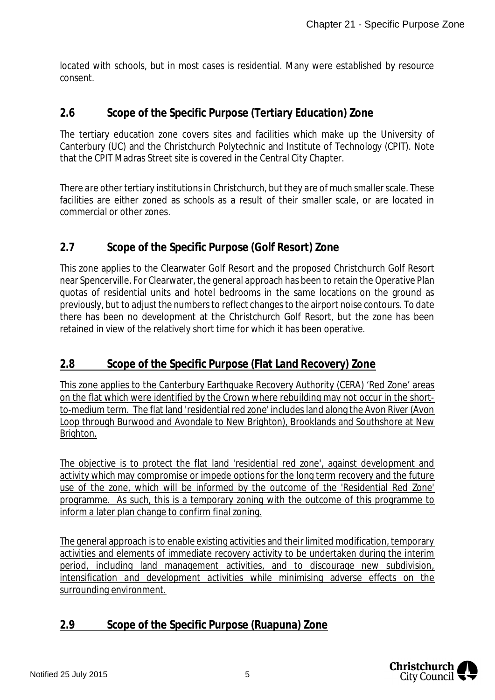located with schools, but in most cases is residential. Many were established by resource consent.

### **2.6 Scope of the Specific Purpose (Tertiary Education) Zone**

The tertiary education zone covers sites and facilities which make up the University of Canterbury (UC) and the Christchurch Polytechnic and Institute of Technology (CPIT). Note that the CPIT Madras Street site is covered in the Central City Chapter.

There are other tertiary institutions in Christchurch, but they are of much smaller scale. These facilities are either zoned as schools as a result of their smaller scale, or are located in commercial or other zones.

### **2.7 Scope of the Specific Purpose (Golf Resort) Zone**

This zone applies to the Clearwater Golf Resort and the proposed Christchurch Golf Resort near Spencerville. For Clearwater, the general approach has been to retain the Operative Plan quotas of residential units and hotel bedrooms in the same locations on the ground as previously, but to adjust the numbers to reflect changes to the airport noise contours. To date there has been no development at the Christchurch Golf Resort, but the zone has been retained in view of the relatively short time for which it has been operative.

### **2.8 Scope of the Specific Purpose (Flat Land Recovery) Zone**

This zone applies to the Canterbury Earthquake Recovery Authority (CERA) 'Red Zone' areas on the flat which were identified by the Crown where rebuilding may not occur in the shortto-medium term. The flat land 'residential red zone' includes land along the Avon River (Avon Loop through Burwood and Avondale to New Brighton), Brooklands and Southshore at New Brighton.

The objective is to protect the flat land 'residential red zone', against development and activity which may compromise or impede options for the long term recovery and the future use of the zone, which will be informed by the outcome of the 'Residential Red Zone' programme. As such, this is a temporary zoning with the outcome of this programme to inform a later plan change to confirm final zoning.

The general approach is to enable existing activities and their limited modification, temporary activities and elements of immediate recovery activity to be undertaken during the interim period, including land management activities, and to discourage new subdivision, intensification and development activities while minimising adverse effects on the surrounding environment.

### **2.9 Scope of the Specific Purpose (Ruapuna) Zone**

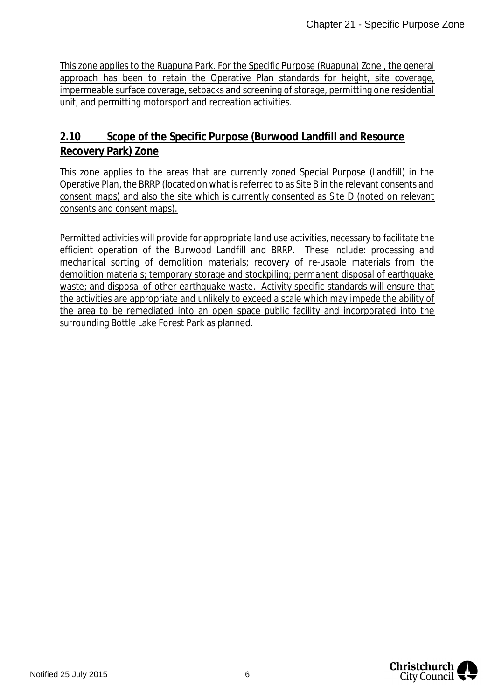This zone applies to the Ruapuna Park. For the Specific Purpose (Ruapuna) Zone , the general approach has been to retain the Operative Plan standards for height, site coverage, impermeable surface coverage, setbacks and screening of storage, permitting one residential unit, and permitting motorsport and recreation activities.

### **2.10 Scope of the Specific Purpose (Burwood Landfill and Resource Recovery Park) Zone**

This zone applies to the areas that are currently zoned Special Purpose (Landfill) in the Operative Plan, the BRRP (located on what is referred to as Site B in the relevant consents and consent maps) and also the site which is currently consented as Site D (noted on relevant consents and consent maps).

Permitted activities will provide for appropriate land use activities, necessary to facilitate the efficient operation of the Burwood Landfill and BRRP. These include: processing and mechanical sorting of demolition materials; recovery of re-usable materials from the demolition materials; temporary storage and stockpiling; permanent disposal of earthquake waste; and disposal of other earthquake waste. Activity specific standards will ensure that the activities are appropriate and unlikely to exceed a scale which may impede the ability of the area to be remediated into an open space public facility and incorporated into the surrounding Bottle Lake Forest Park as planned.

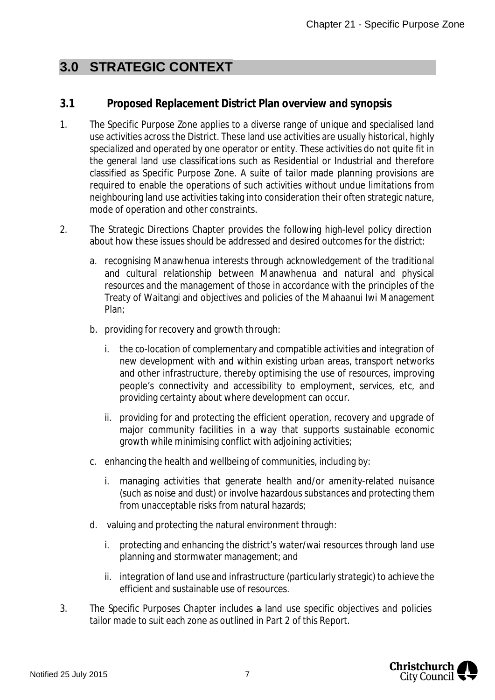## **3.0 STRATEGIC CONTEXT**

### **3.1 Proposed Replacement District Plan overview and synopsis**

- 1. The Specific Purpose Zone applies to a diverse range of unique and specialised land use activities across the District. These land use activities are usually historical, highly specialized and operated by one operator or entity. These activities do not quite fit in the general land use classifications such as Residential or Industrial and therefore classified as Specific Purpose Zone. A suite of tailor made planning provisions are required to enable the operations of such activities without undue limitations from neighbouring land use activities taking into consideration their often strategic nature, mode of operation and other constraints.
- 2. The Strategic Directions Chapter provides the following high-level policy direction about how these issues should be addressed and desired outcomes for the district:
	- a. recognising Manawhenua interests through acknowledgement of the traditional and cultural relationship between Manawhenua and natural and physical resources and the management of those in accordance with the principles of the Treaty of Waitangi and objectives and policies of the Mahaanui Iwi Management Plan;
	- b. providing for recovery and growth through:
		- i. the co-location of complementary and compatible activities and integration of new development with and within existing urban areas, transport networks and other infrastructure, thereby optimising the use of resources, improving people's connectivity and accessibility to employment, services, etc, and providing certainty about where development can occur.
		- ii. providing for and protecting the efficient operation, recovery and upgrade of major community facilities in a way that supports sustainable economic growth while minimising conflict with adjoining activities;
	- c. enhancing the health and wellbeing of communities, including by:
		- i. managing activities that generate health and/or amenity-related nuisance (such as noise and dust) or involve hazardous substances and protecting them from unacceptable risks from natural hazards;
	- d. valuing and protecting the natural environment through:
		- i. protecting and enhancing the district's water/wai resources through land use planning and stormwater management; and
		- ii. integration of land use and infrastructure (particularly strategic) to achieve the efficient and sustainable use of resources.
- 3. The Specific Purposes Chapter includes a land use specific objectives and policies tailor made to suit each zone as outlined in Part 2 of this Report.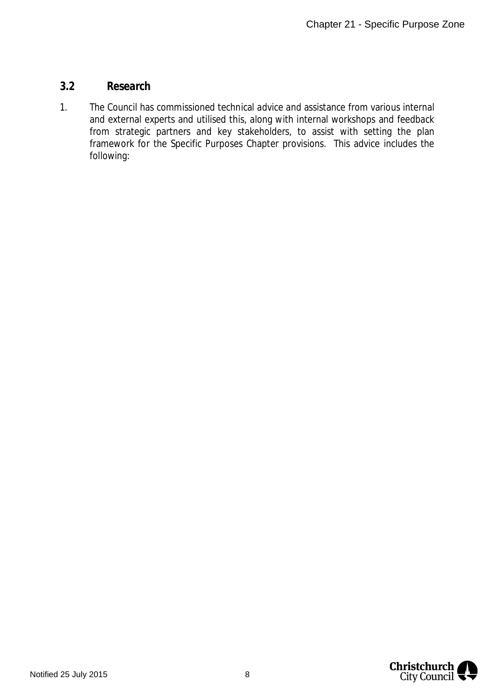#### **3.2 Research**

1. The Council has commissioned technical advice and assistance from various internal and external experts and utilised this, along with internal workshops and feedback from strategic partners and key stakeholders, to assist with setting the plan framework for the Specific Purposes Chapter provisions. This advice includes the following: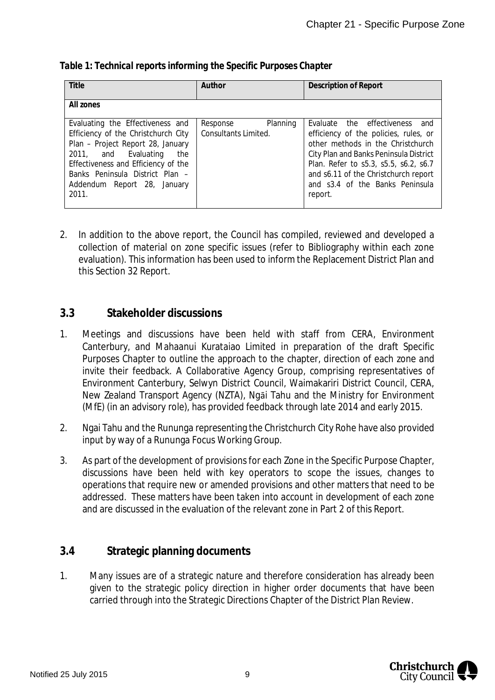| Title                                                                                                                                                                                                                                                         | Author                                       | Description of Report                                                                                                                                                                                                                                                                    |
|---------------------------------------------------------------------------------------------------------------------------------------------------------------------------------------------------------------------------------------------------------------|----------------------------------------------|------------------------------------------------------------------------------------------------------------------------------------------------------------------------------------------------------------------------------------------------------------------------------------------|
| All zones                                                                                                                                                                                                                                                     |                                              |                                                                                                                                                                                                                                                                                          |
| Evaluating the Effectiveness and<br>Efficiency of the Christchurch City<br>Plan - Project Report 28, January<br>2011, and Evaluating<br>the<br>Effectiveness and Efficiency of the<br>Banks Peninsula District Plan -<br>Addendum Report 28, January<br>2011. | Planning<br>Response<br>Consultants Limited. | Evaluate the effectiveness<br>and<br>efficiency of the policies, rules, or<br>other methods in the Christchurch<br>City Plan and Banks Peninsula District<br>Plan. Refer to s5.3, s5.5, s6.2, s6.7<br>and s6.11 of the Christchurch report<br>and s3.4 of the Banks Peninsula<br>report. |

*Table 1: Technical reports informing the Specific Purposes Chapter*

2. In addition to the above report, the Council has compiled, reviewed and developed a collection of material on zone specific issues (refer to Bibliography within each zone evaluation). This information has been used to inform the Replacement District Plan and this Section 32 Report.

#### **3.3 Stakeholder discussions**

- 1. Meetings and discussions have been held with staff from CERA, Environment Canterbury, and Mahaanui Kurataiao Limited in preparation of the draft Specific Purposes Chapter to outline the approach to the chapter, direction of each zone and invite their feedback. A Collaborative Agency Group, comprising representatives of Environment Canterbury, Selwyn District Council, Waimakariri District Council, CERA, New Zealand Transport Agency (NZTA), Ngāi Tahu and the Ministry for Environment (MfE) (in an advisory role), has provided feedback through late 2014 and early 2015.
- 2. Ngai Tahu and the Rununga representing the Christchurch City Rohe have also provided input by way of a Rununga Focus Working Group.
- 3. As part of the development of provisions for each Zone in the Specific Purpose Chapter, discussions have been held with key operators to scope the issues, changes to operations that require new or amended provisions and other matters that need to be addressed. These matters have been taken into account in development of each zone and are discussed in the evaluation of the relevant zone in Part 2 of this Report.

### **3.4 Strategic planning documents**

1. Many issues are of a strategic nature and therefore consideration has already been given to the strategic policy direction in higher order documents that have been carried through into the Strategic Directions Chapter of the District Plan Review.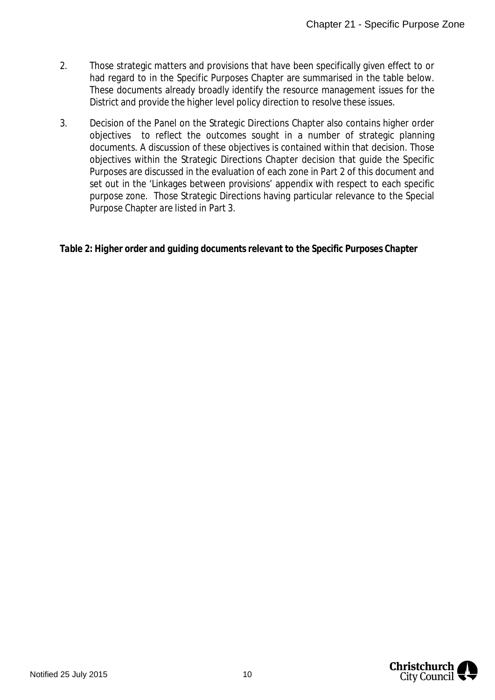- 2. Those strategic matters and provisions that have been specifically given effect to or had regard to in the Specific Purposes Chapter are summarised in the table below. These documents already broadly identify the resource management issues for the District and provide the higher level policy direction to resolve these issues.
- 3. Decision of the Panel on the Strategic Directions Chapter also contains higher order objectives to reflect the outcomes sought in a number of strategic planning documents. A discussion of these objectives is contained within that decision. Those objectives within the Strategic Directions Chapter decision that guide the Specific Purposes are discussed in the evaluation of each zone in Part 2 of this document and set out in the 'Linkages between provisions' appendix with respect to each specific purpose zone. Those Strategic Directions having particular relevance to the Special Purpose Chapter are listed in Part 3.

*Table 2: Higher order and guiding documents relevant to the Specific Purposes Chapter*

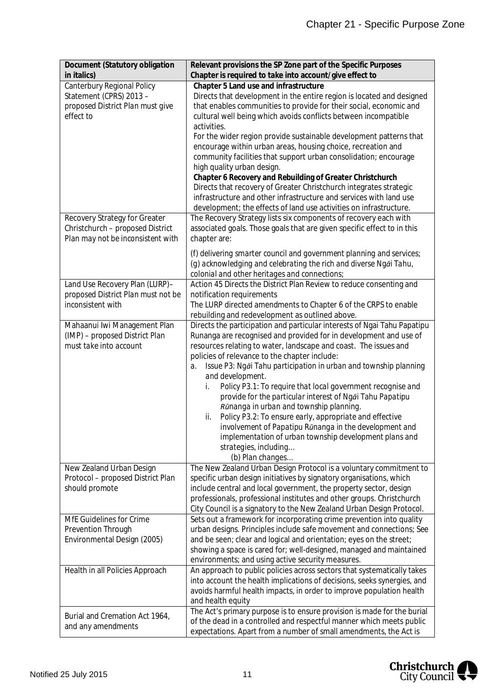| Document (Statutory obligation<br>in italics)                                                          | Relevant provisions the SP Zone part of the Specific Purposes<br>Chapter is required to take into account/give effect to                                                                                                                                                                                                                                                                                                                                                                                                                                                                                                                                                                                                                                                                      |
|--------------------------------------------------------------------------------------------------------|-----------------------------------------------------------------------------------------------------------------------------------------------------------------------------------------------------------------------------------------------------------------------------------------------------------------------------------------------------------------------------------------------------------------------------------------------------------------------------------------------------------------------------------------------------------------------------------------------------------------------------------------------------------------------------------------------------------------------------------------------------------------------------------------------|
| Canterbury Regional Policy<br>Statement (CPRS) 2013 -<br>proposed District Plan must give<br>effect to | Chapter 5 Land use and infrastructure<br>Directs that development in the entire region is located and designed<br>that enables communities to provide for their social, economic and<br>cultural well being which avoids conflicts between incompatible<br>activities.<br>For the wider region provide sustainable development patterns that<br>encourage within urban areas, housing choice, recreation and<br>community facilities that support urban consolidation; encourage<br>high quality urban design.<br>Chapter 6 Recovery and Rebuilding of Greater Christchurch<br>Directs that recovery of Greater Christchurch integrates strategic<br>infrastructure and other infrastructure and services with land use<br>development; the effects of land use activities on infrastructure. |
| Recovery Strategy for Greater<br>Christchurch - proposed District<br>Plan may not be inconsistent with | The Recovery Strategy lists six components of recovery each with<br>associated goals. Those goals that are given specific effect to in this<br>chapter are:<br>(f) delivering smarter council and government planning and services;                                                                                                                                                                                                                                                                                                                                                                                                                                                                                                                                                           |
|                                                                                                        | (g) acknowledging and celebrating the rich and diverse Ngāi Tahu,<br>colonial and other heritages and connections;                                                                                                                                                                                                                                                                                                                                                                                                                                                                                                                                                                                                                                                                            |
| Land Use Recovery Plan (LURP)-<br>proposed District Plan must not be<br>inconsistent with              | Action 45 Directs the District Plan Review to reduce consenting and<br>notification requirements<br>The LURP directed amendments to Chapter 6 of the CRPS to enable<br>rebuilding and redevelopment as outlined above.                                                                                                                                                                                                                                                                                                                                                                                                                                                                                                                                                                        |
| Mahaanui lwi Management Plan<br>(IMP) - proposed District Plan<br>must take into account               | Directs the participation and particular interests of Ngai Tahu Papatipu<br>Runanga are recognised and provided for in development and use of<br>resources relating to water, landscape and coast. The issues and<br>policies of relevance to the chapter include:<br>Issue P3: Ngāi Tahu participation in urban and township planning<br>a.<br>and development.<br>Policy P3.1: To require that local government recognise and<br>i.<br>provide for the particular interest of Ngai Tahu Papatipu<br>Rūnanga in urban and township planning.<br>Policy P3.2: To ensure early, appropriate and effective<br>ii.<br>involvement of Papatipu Rūnanga in the development and<br>implementation of urban township development plans and<br>strategies, including<br>(b) Plan changes              |
| New Zealand Urban Design<br>Protocol - proposed District Plan<br>should promote                        | The New Zealand Urban Design Protocol is a voluntary commitment to<br>specific urban design initiatives by signatory organisations, which<br>include central and local government, the property sector, design<br>professionals, professional institutes and other groups. Christchurch<br>City Council is a signatory to the New Zealand Urban Design Protocol.                                                                                                                                                                                                                                                                                                                                                                                                                              |
| MfE Guidelines for Crime<br>Prevention Through<br>Environmental Design (2005)                          | Sets out a framework for incorporating crime prevention into quality<br>urban designs. Principles include safe movement and connections; See<br>and be seen; clear and logical and orientation; eyes on the street;<br>showing a space is cared for; well-designed, managed and maintained<br>environments; and using active security measures.                                                                                                                                                                                                                                                                                                                                                                                                                                               |
| Health in all Policies Approach                                                                        | An approach to public policies across sectors that systematically takes<br>into account the health implications of decisions, seeks synergies, and<br>avoids harmful health impacts, in order to improve population health<br>and health equity                                                                                                                                                                                                                                                                                                                                                                                                                                                                                                                                               |
| Burial and Cremation Act 1964,<br>and any amendments                                                   | The Act's primary purpose is to ensure provision is made for the burial<br>of the dead in a controlled and respectful manner which meets public<br>expectations. Apart from a number of small amendments, the Act is                                                                                                                                                                                                                                                                                                                                                                                                                                                                                                                                                                          |

Christchurch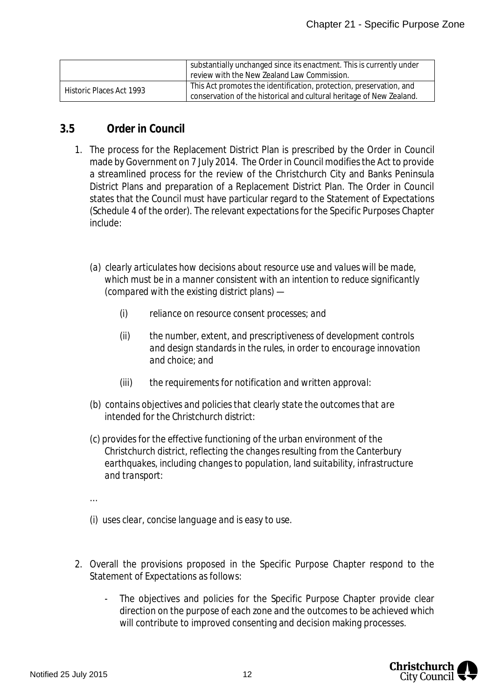|                          | substantially unchanged since its enactment. This is currently under<br>review with the New Zealand Law Commission.                         |
|--------------------------|---------------------------------------------------------------------------------------------------------------------------------------------|
| Historic Places Act 1993 | This Act promotes the identification, protection, preservation, and<br>conservation of the historical and cultural heritage of New Zealand. |

#### **3.5 Order in Council**

- 1. The process for the Replacement District Plan is prescribed by the Order in Council made by Government on 7 July 2014. The Order in Council modifies the Act to provide a streamlined process for the review of the Christchurch City and Banks Peninsula District Plans and preparation of a Replacement District Plan. The Order in Council states that the Council must have particular regard to the Statement of Expectations (Schedule 4 of the order). The relevant expectations for the Specific Purposes Chapter include:
	- *(a) clearly articulates how decisions about resource use and values will be made, which must be in a manner consistent with an intention to reduce significantly (compared with the existing district plans) —*
		- *(i) reliance on resource consent processes; and*
		- *(ii) the number, extent, and prescriptiveness of development controls and design standards in the rules, in order to encourage innovation and choice; and*
		- *(iii) the requirements for notification and written approval:*
	- *(b) contains objectives and policies that clearly state the outcomes that are intended for the Christchurch district:*
	- *(c) provides for the effective functioning of the urban environment of the Christchurch district, reflecting the changes resulting from the Canterbury earthquakes, including changes to population, land suitability, infrastructure and transport:*
	- *…*
	- *(i) uses clear, concise language and is easy to use.*
- 2. Overall the provisions proposed in the Specific Purpose Chapter respond to the Statement of Expectations as follows:
	- The objectives and policies for the Specific Purpose Chapter provide clear direction on the purpose of each zone and the outcomes to be achieved which will contribute to improved consenting and decision making processes.

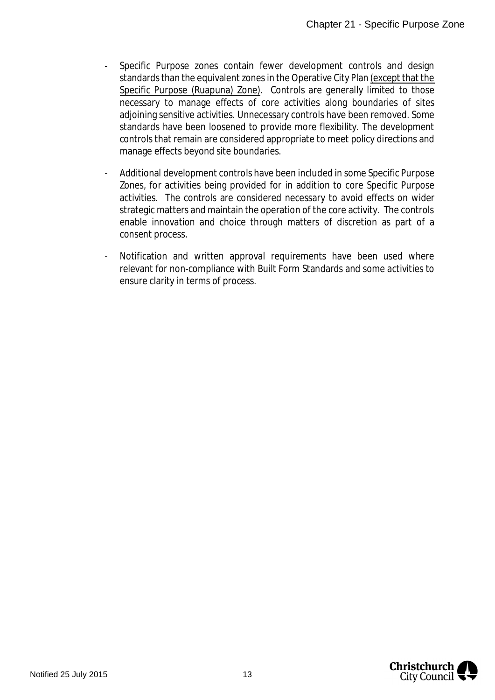- Specific Purpose zones contain fewer development controls and design standards than the equivalent zones in the Operative City Plan (except that the Specific Purpose (Ruapuna) Zone). Controls are generally limited to those necessary to manage effects of core activities along boundaries of sites adjoining sensitive activities. Unnecessary controls have been removed. Some standards have been loosened to provide more flexibility. The development controls that remain are considered appropriate to meet policy directions and manage effects beyond site boundaries.
- Additional development controls have been included in some Specific Purpose Zones, for activities being provided for in addition to core Specific Purpose activities. The controls are considered necessary to avoid effects on wider strategic matters and maintain the operation of the core activity. The controls enable innovation and choice through matters of discretion as part of a consent process.
- Notification and written approval requirements have been used where relevant for non-compliance with Built Form Standards and some activities to ensure clarity in terms of process.

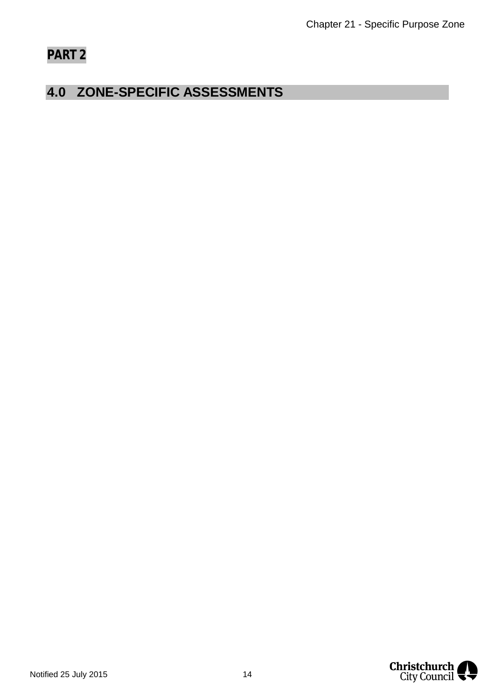# **PART 2**

## **4.0 ZONE-SPECIFIC ASSESSMENTS**

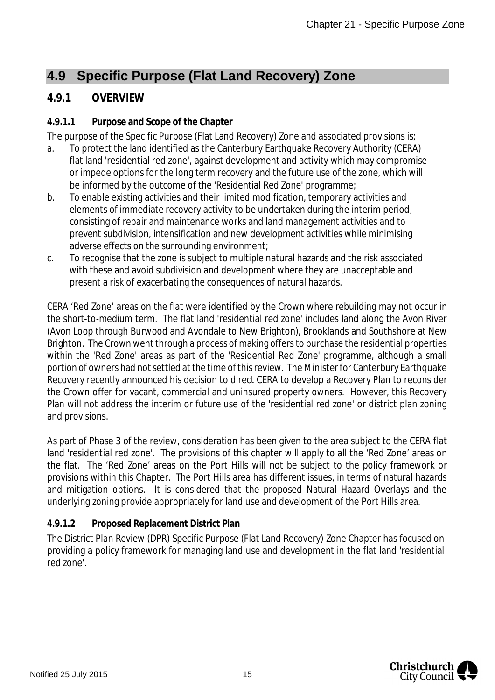## **4.9 Specific Purpose (Flat Land Recovery) Zone**

#### **4.9.1 OVERVIEW**

#### **4.9.1.1 Purpose and Scope of the Chapter**

The purpose of the Specific Purpose (Flat Land Recovery) Zone and associated provisions is;

- a. To protect the land identified as the Canterbury Earthquake Recovery Authority (CERA) flat land 'residential red zone', against development and activity which may compromise or impede options for the long term recovery and the future use of the zone, which will be informed by the outcome of the 'Residential Red Zone' programme;
- b. To enable existing activities and their limited modification, temporary activities and elements of immediate recovery activity to be undertaken during the interim period, consisting of repair and maintenance works and land management activities and to prevent subdivision, intensification and new development activities while minimising adverse effects on the surrounding environment;
- c. To recognise that the zone is subject to multiple natural hazards and the risk associated with these and avoid subdivision and development where they are unacceptable and present a risk of exacerbating the consequences of natural hazards.

CERA 'Red Zone' areas on the flat were identified by the Crown where rebuilding may not occur in the short-to-medium term. The flat land 'residential red zone' includes land along the Avon River (Avon Loop through Burwood and Avondale to New Brighton), Brooklands and Southshore at New Brighton. The Crown went through a process of making offers to purchase the residential properties within the 'Red Zone' areas as part of the 'Residential Red Zone' programme, although a small portion of owners had not settled at the time of this review. The Minister for Canterbury Earthquake Recovery recently announced his decision to direct CERA to develop a Recovery Plan to reconsider the Crown offer for vacant, commercial and uninsured property owners. However, this Recovery Plan will not address the interim or future use of the 'residential red zone' or district plan zoning and provisions.

As part of Phase 3 of the review, consideration has been given to the area subject to the CERA flat land 'residential red zone'. The provisions of this chapter will apply to all the 'Red Zone' areas on the flat. The 'Red Zone' areas on the Port Hills will not be subject to the policy framework or provisions within this Chapter. The Port Hills area has different issues, in terms of natural hazards and mitigation options. It is considered that the proposed Natural Hazard Overlays and the underlying zoning provide appropriately for land use and development of the Port Hills area.

#### **4.9.1.2 Proposed Replacement District Plan**

The District Plan Review (DPR) Specific Purpose (Flat Land Recovery) Zone Chapter has focused on providing a policy framework for managing land use and development in the flat land 'residential red zone'.

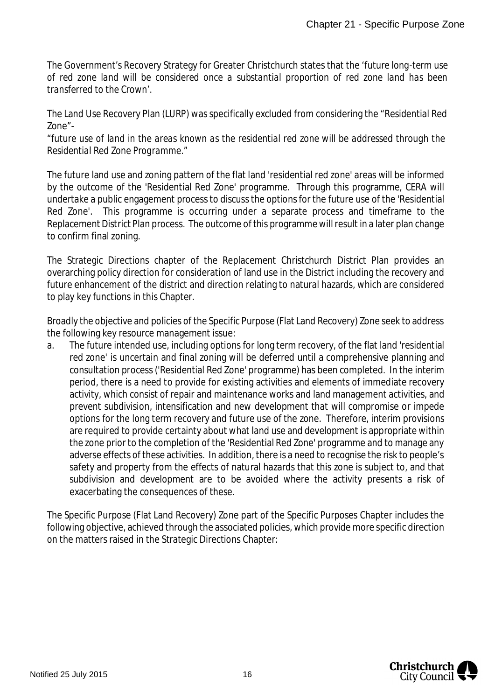The Government's Recovery Strategy for Greater Christchurch states that the '*future long-term use of red zone land will be considered once a substantial proportion of red zone land has been transferred to the Crown'*.

The Land Use Recovery Plan (LURP) was specifically excluded from considering the "Residential Red Zone"-

*"future use of land in the areas known as the residential red zone will be addressed through the Residential Red Zone Programme."*

The future land use and zoning pattern of the flat land 'residential red zone' areas will be informed by the outcome of the 'Residential Red Zone' programme. Through this programme, CERA will undertake a public engagement process to discuss the options for the future use of the 'Residential Red Zone'. This programme is occurring under a separate process and timeframe to the Replacement District Plan process. The outcome of this programme will result in a later plan change to confirm final zoning.

The Strategic Directions chapter of the Replacement Christchurch District Plan provides an overarching policy direction for consideration of land use in the District including the recovery and future enhancement of the district and direction relating to natural hazards, which are considered to play key functions in this Chapter.

Broadly the objective and policies of the Specific Purpose (Flat Land Recovery) Zone seek to address the following key resource management issue:

a. The future intended use, including options for long term recovery, of the flat land 'residential red zone' is uncertain and final zoning will be deferred until a comprehensive planning and consultation process ('Residential Red Zone' programme) has been completed. In the interim period, there is a need to provide for existing activities and elements of immediate recovery activity, which consist of repair and maintenance works and land management activities, and prevent subdivision, intensification and new development that will compromise or impede options for the long term recovery and future use of the zone. Therefore, interim provisions are required to provide certainty about what land use and development is appropriate within the zone prior to the completion of the 'Residential Red Zone' programme and to manage any adverse effects of these activities. In addition, there is a need to recognise the risk to people's safety and property from the effects of natural hazards that this zone is subject to, and that subdivision and development are to be avoided where the activity presents a risk of exacerbating the consequences of these.

The Specific Purpose (Flat Land Recovery) Zone part of the Specific Purposes Chapter includes the following objective, achieved through the associated policies, which provide more specific direction on the matters raised in the Strategic Directions Chapter:

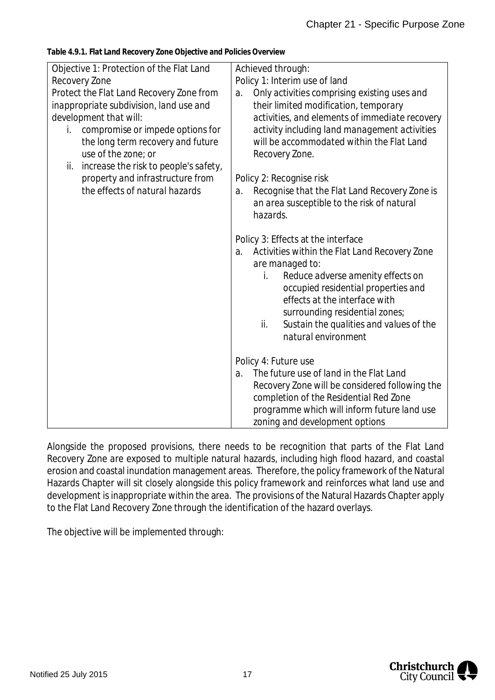| Objective 1: Protection of the Flat Land<br>Recovery Zone<br>Protect the Flat Land Recovery Zone from<br>inappropriate subdivision, land use and<br>development that will:<br>compromise or impede options for<br>İ.<br>the long term recovery and future<br>use of the zone; or<br>increase the risk to people's safety,<br>ii.<br>property and infrastructure from<br>the effects of natural hazards | Achieved through:<br>Policy 1: Interim use of land<br>Only activities comprising existing uses and<br>$\partial$ .<br>their limited modification, temporary<br>activities, and elements of immediate recovery<br>activity including land management activities<br>will be accommodated within the Flat Land<br>Recovery Zone.<br>Policy 2: Recognise risk<br>Recognise that the Flat Land Recovery Zone is<br>a.<br>an area susceptible to the risk of natural<br>hazards. |
|--------------------------------------------------------------------------------------------------------------------------------------------------------------------------------------------------------------------------------------------------------------------------------------------------------------------------------------------------------------------------------------------------------|----------------------------------------------------------------------------------------------------------------------------------------------------------------------------------------------------------------------------------------------------------------------------------------------------------------------------------------------------------------------------------------------------------------------------------------------------------------------------|
|                                                                                                                                                                                                                                                                                                                                                                                                        | Policy 3: Effects at the interface<br>Activities within the Flat Land Recovery Zone<br>a.<br>are managed to:<br>Reduce adverse amenity effects on<br>İ.<br>occupied residential properties and<br>effects at the interface with<br>surrounding residential zones;<br>Sustain the qualities and values of the<br>ii.<br>natural environment                                                                                                                                 |
|                                                                                                                                                                                                                                                                                                                                                                                                        | Policy 4: Future use<br>The future use of land in the Flat Land<br>$\partial$ .<br>Recovery Zone will be considered following the<br>completion of the Residential Red Zone<br>programme which will inform future land use<br>zoning and development options                                                                                                                                                                                                               |

**Table 4.9.1. Flat Land Recovery Zone Objective and Policies Overview**

Alongside the proposed provisions, there needs to be recognition that parts of the Flat Land Recovery Zone are exposed to multiple natural hazards, including high flood hazard, and coastal erosion and coastal inundation management areas. Therefore, the policy framework of the Natural Hazards Chapter will sit closely alongside this policy framework and reinforces what land use and development is inappropriate within the area. The provisions of the Natural Hazards Chapter apply to the Flat Land Recovery Zone through the identification of the hazard overlays.

The objective will be implemented through:

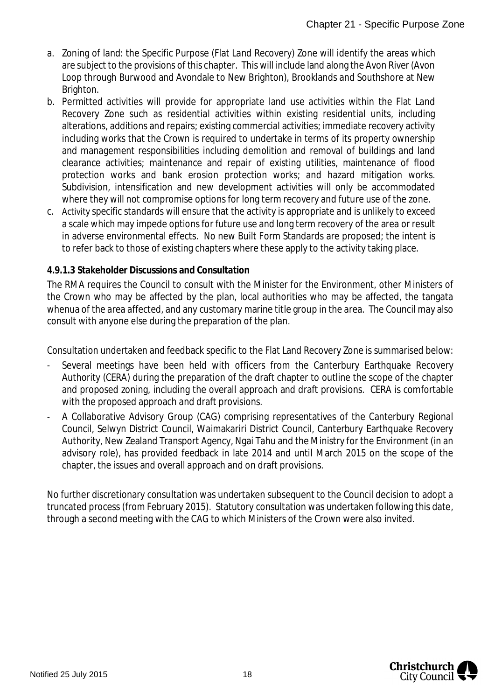- a. Zoning of land: the Specific Purpose (Flat Land Recovery) Zone will identify the areas which are subject to the provisions of this chapter. This will include land along the Avon River (Avon Loop through Burwood and Avondale to New Brighton), Brooklands and Southshore at New Brighton.
- b. Permitted activities will provide for appropriate land use activities within the Flat Land Recovery Zone such as residential activities within existing residential units, including alterations, additions and repairs; existing commercial activities; immediate recovery activity including works that the Crown is required to undertake in terms of its property ownership and management responsibilities including demolition and removal of buildings and land clearance activities; maintenance and repair of existing utilities, maintenance of flood protection works and bank erosion protection works; and hazard mitigation works. Subdivision, intensification and new development activities will only be accommodated where they will not compromise options for long term recovery and future use of the zone.
- c. Activity specific standards will ensure that the activity is appropriate and is unlikely to exceed a scale which may impede options for future use and long term recovery of the area or result in adverse environmental effects. No new Built Form Standards are proposed; the intent is to refer back to those of existing chapters where these apply to the activity taking place.

#### **4.9.1.3 Stakeholder Discussions and Consultation**

The RMA requires the Council to consult with the Minister for the Environment, other Ministers of the Crown who may be affected by the plan, local authorities who may be affected, the tangata whenua of the area affected, and any customary marine title group in the area. The Council may also consult with anyone else during the preparation of the plan.

Consultation undertaken and feedback specific to the Flat Land Recovery Zone is summarised below:

- Several meetings have been held with officers from the Canterbury Earthquake Recovery Authority (CERA) during the preparation of the draft chapter to outline the scope of the chapter and proposed zoning, including the overall approach and draft provisions. CERA is comfortable with the proposed approach and draft provisions.
- A Collaborative Advisory Group (CAG) comprising representatives of the Canterbury Regional Council, Selwyn District Council, Waimakariri District Council, Canterbury Earthquake Recovery Authority, New Zealand Transport Agency, Ngai Tahu and the Ministry for the Environment (in an advisory role), has provided feedback in late 2014 and until March 2015 on the scope of the chapter, the issues and overall approach and on draft provisions.

No further discretionary consultation was undertaken subsequent to the Council decision to adopt a truncated process (from February 2015). Statutory consultation was undertaken following this date, through a second meeting with the CAG to which Ministers of the Crown were also invited.

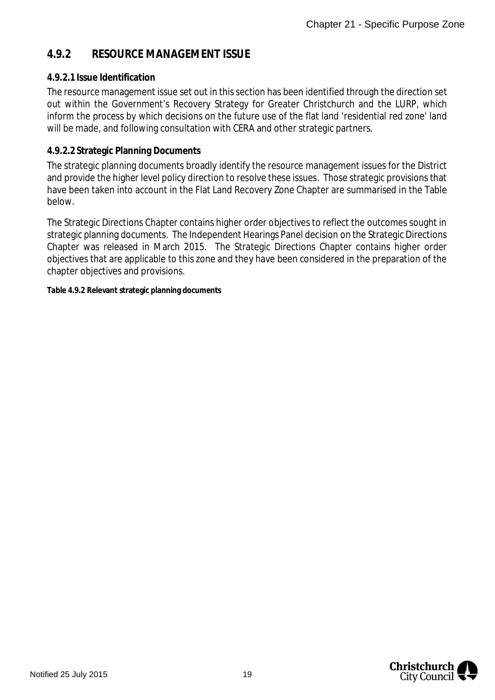### **4.9.2 RESOURCE MANAGEMENT ISSUE**

#### **4.9.2.1 Issue Identification**

The resource management issue set out in this section has been identified through the direction set out within the Government's Recovery Strategy for Greater Christchurch and the LURP, which inform the process by which decisions on the future use of the flat land 'residential red zone' land will be made, and following consultation with CERA and other strategic partners.

#### **4.9.2.2 Strategic Planning Documents**

The strategic planning documents broadly identify the resource management issues for the District and provide the higher level policy direction to resolve these issues. Those strategic provisions that have been taken into account in the Flat Land Recovery Zone Chapter are summarised in the Table below.

The Strategic Directions Chapter contains higher order objectives to reflect the outcomes sought in strategic planning documents. The Independent Hearings Panel decision on the Strategic Directions Chapter was released in March 2015. The Strategic Directions Chapter contains higher order objectives that are applicable to this zone and they have been considered in the preparation of the chapter objectives and provisions.

**Table 4.9.2 Relevant strategic planning documents**

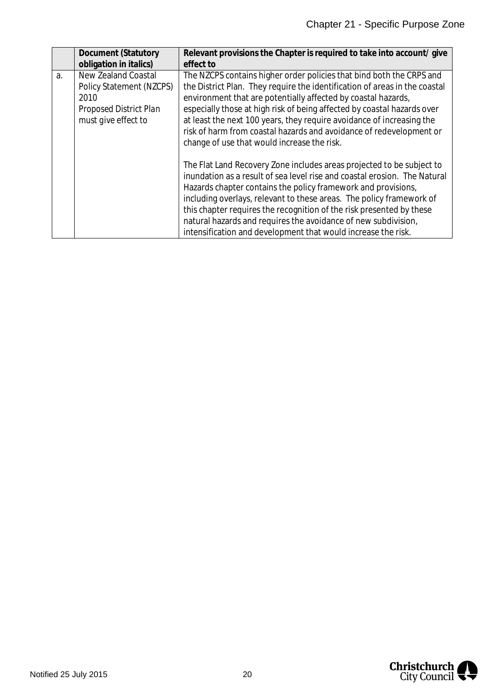|    | Document (Statutory                                                                                             | Relevant provisions the Chapter is required to take into account/give                                                                                                                                                                                                                                                                                                                                                                                                                                  |
|----|-----------------------------------------------------------------------------------------------------------------|--------------------------------------------------------------------------------------------------------------------------------------------------------------------------------------------------------------------------------------------------------------------------------------------------------------------------------------------------------------------------------------------------------------------------------------------------------------------------------------------------------|
|    | obligation in italics)                                                                                          | effect to                                                                                                                                                                                                                                                                                                                                                                                                                                                                                              |
| a. | <b>New Zealand Coastal</b><br>Policy Statement (NZCPS)<br>2010<br>Proposed District Plan<br>must give effect to | The NZCPS contains higher order policies that bind both the CRPS and<br>the District Plan. They require the identification of areas in the coastal<br>environment that are potentially affected by coastal hazards,<br>especially those at high risk of being affected by coastal hazards over<br>at least the next 100 years, they require avoidance of increasing the<br>risk of harm from coastal hazards and avoidance of redevelopment or<br>change of use that would increase the risk.          |
|    |                                                                                                                 | The Flat Land Recovery Zone includes areas projected to be subject to<br>inundation as a result of sea level rise and coastal erosion. The Natural<br>Hazards chapter contains the policy framework and provisions,<br>including overlays, relevant to these areas. The policy framework of<br>this chapter requires the recognition of the risk presented by these<br>natural hazards and requires the avoidance of new subdivision,<br>intensification and development that would increase the risk. |

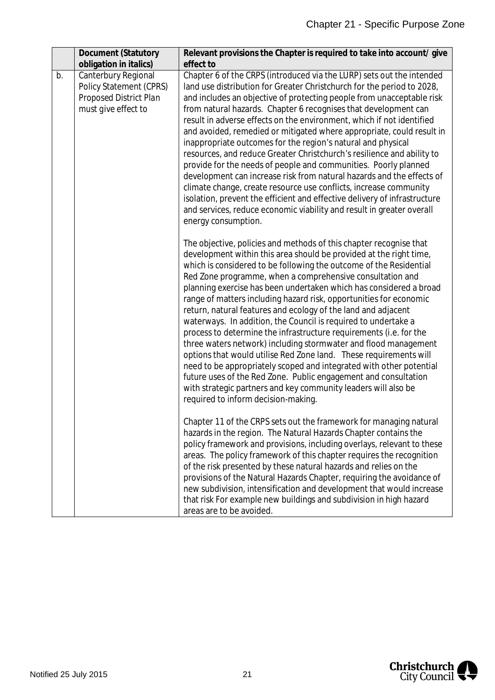|    | Document (Statutory                                                                                    | Relevant provisions the Chapter is required to take into account/ give                                                                                                                                                                                                                                                                                                                                                                                                                                                                                                                                                                                                                                                                                                                                                                                                                                                                                                                                                      |
|----|--------------------------------------------------------------------------------------------------------|-----------------------------------------------------------------------------------------------------------------------------------------------------------------------------------------------------------------------------------------------------------------------------------------------------------------------------------------------------------------------------------------------------------------------------------------------------------------------------------------------------------------------------------------------------------------------------------------------------------------------------------------------------------------------------------------------------------------------------------------------------------------------------------------------------------------------------------------------------------------------------------------------------------------------------------------------------------------------------------------------------------------------------|
|    | obligation in italics)                                                                                 | effect to                                                                                                                                                                                                                                                                                                                                                                                                                                                                                                                                                                                                                                                                                                                                                                                                                                                                                                                                                                                                                   |
| b. | Canterbury Regional<br>Policy Statement (CPRS)<br><b>Proposed District Plan</b><br>must give effect to | Chapter 6 of the CRPS (introduced via the LURP) sets out the intended<br>land use distribution for Greater Christchurch for the period to 2028,<br>and includes an objective of protecting people from unacceptable risk<br>from natural hazards. Chapter 6 recognises that development can<br>result in adverse effects on the environment, which if not identified<br>and avoided, remedied or mitigated where appropriate, could result in<br>inappropriate outcomes for the region's natural and physical<br>resources, and reduce Greater Christchurch's resilience and ability to<br>provide for the needs of people and communities. Poorly planned<br>development can increase risk from natural hazards and the effects of<br>climate change, create resource use conflicts, increase community<br>isolation, prevent the efficient and effective delivery of infrastructure<br>and services, reduce economic viability and result in greater overall<br>energy consumption.                                       |
|    |                                                                                                        | The objective, policies and methods of this chapter recognise that<br>development within this area should be provided at the right time,<br>which is considered to be following the outcome of the Residential<br>Red Zone programme, when a comprehensive consultation and<br>planning exercise has been undertaken which has considered a broad<br>range of matters including hazard risk, opportunities for economic<br>return, natural features and ecology of the land and adjacent<br>waterways. In addition, the Council is required to undertake a<br>process to determine the infrastructure requirements (i.e. for the<br>three waters network) including stormwater and flood management<br>options that would utilise Red Zone land. These requirements will<br>need to be appropriately scoped and integrated with other potential<br>future uses of the Red Zone. Public engagement and consultation<br>with strategic partners and key community leaders will also be<br>required to inform decision-making. |
|    |                                                                                                        | Chapter 11 of the CRPS sets out the framework for managing natural<br>hazards in the region. The Natural Hazards Chapter contains the<br>policy framework and provisions, including overlays, relevant to these<br>areas. The policy framework of this chapter requires the recognition<br>of the risk presented by these natural hazards and relies on the<br>provisions of the Natural Hazards Chapter, requiring the avoidance of<br>new subdivision, intensification and development that would increase<br>that risk For example new buildings and subdivision in high hazard<br>areas are to be avoided.                                                                                                                                                                                                                                                                                                                                                                                                              |

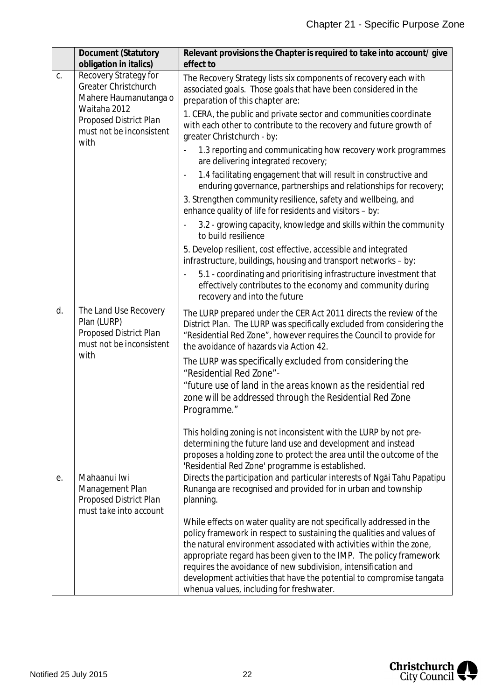|    | <b>Document (Statutory</b><br>obligation in italics)                                              | Relevant provisions the Chapter is required to take into account/ give<br>effect to                                                                                                                                                                                                                                                                                                                                                                                              |
|----|---------------------------------------------------------------------------------------------------|----------------------------------------------------------------------------------------------------------------------------------------------------------------------------------------------------------------------------------------------------------------------------------------------------------------------------------------------------------------------------------------------------------------------------------------------------------------------------------|
| C. | Recovery Strategy for<br><b>Greater Christchurch</b><br>Mahere Haumanutanga o                     | The Recovery Strategy lists six components of recovery each with<br>associated goals. Those goals that have been considered in the<br>preparation of this chapter are:                                                                                                                                                                                                                                                                                                           |
|    | Waitaha 2012<br><b>Proposed District Plan</b><br>must not be inconsistent<br>with                 | 1. CERA, the public and private sector and communities coordinate<br>with each other to contribute to the recovery and future growth of<br>greater Christchurch - by:                                                                                                                                                                                                                                                                                                            |
|    |                                                                                                   | 1.3 reporting and communicating how recovery work programmes<br>are delivering integrated recovery;                                                                                                                                                                                                                                                                                                                                                                              |
|    |                                                                                                   | 1.4 facilitating engagement that will result in constructive and<br>enduring governance, partnerships and relationships for recovery;                                                                                                                                                                                                                                                                                                                                            |
|    |                                                                                                   | 3. Strengthen community resilience, safety and wellbeing, and<br>enhance quality of life for residents and visitors - by:                                                                                                                                                                                                                                                                                                                                                        |
|    |                                                                                                   | 3.2 - growing capacity, knowledge and skills within the community<br>to build resilience                                                                                                                                                                                                                                                                                                                                                                                         |
|    |                                                                                                   | 5. Develop resilient, cost effective, accessible and integrated<br>infrastructure, buildings, housing and transport networks - by:                                                                                                                                                                                                                                                                                                                                               |
|    |                                                                                                   | 5.1 - coordinating and prioritising infrastructure investment that<br>effectively contributes to the economy and community during<br>recovery and into the future                                                                                                                                                                                                                                                                                                                |
| d. | The Land Use Recovery<br>Plan (LURP)<br><b>Proposed District Plan</b><br>must not be inconsistent | The LURP prepared under the CER Act 2011 directs the review of the<br>District Plan. The LURP was specifically excluded from considering the<br>"Residential Red Zone", however requires the Council to provide for<br>the avoidance of hazards via Action 42.                                                                                                                                                                                                                   |
|    | with                                                                                              | The LURP was specifically excluded from considering the<br>"Residential Red Zone"-                                                                                                                                                                                                                                                                                                                                                                                               |
|    |                                                                                                   | "future use of land in the areas known as the residential red<br>zone will be addressed through the Residential Red Zone<br>Programme."                                                                                                                                                                                                                                                                                                                                          |
|    |                                                                                                   | This holding zoning is not inconsistent with the LURP by not pre-<br>determining the future land use and development and instead<br>proposes a holding zone to protect the area until the outcome of the<br>'Residential Red Zone' programme is established.                                                                                                                                                                                                                     |
| е. | Mahaanui lwi<br>Management Plan<br><b>Proposed District Plan</b><br>must take into account        | Directs the participation and particular interests of Ngai Tahu Papatipu<br>Runanga are recognised and provided for in urban and township<br>planning.                                                                                                                                                                                                                                                                                                                           |
|    |                                                                                                   | While effects on water quality are not specifically addressed in the<br>policy framework in respect to sustaining the qualities and values of<br>the natural environment associated with activities within the zone,<br>appropriate regard has been given to the IMP. The policy framework<br>requires the avoidance of new subdivision, intensification and<br>development activities that have the potential to compromise tangata<br>whenua values, including for freshwater. |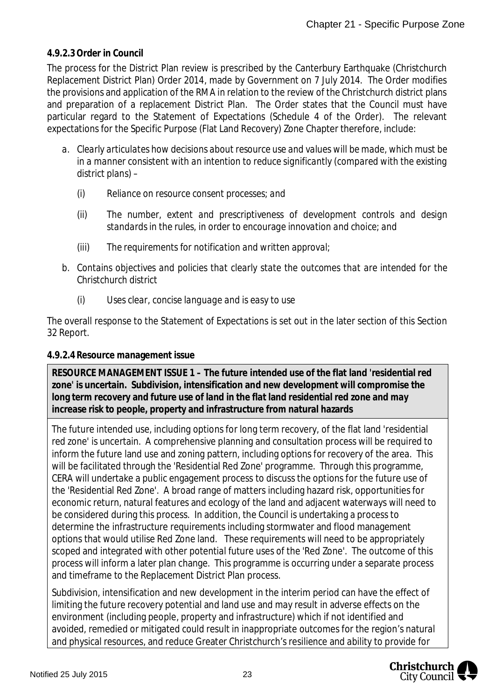#### **4.9.2.3 Order in Council**

The process for the District Plan review is prescribed by the Canterbury Earthquake (Christchurch Replacement District Plan) Order 2014, made by Government on 7 July 2014. The Order modifies the provisions and application of the RMA in relation to the review of the Christchurch district plans and preparation of a replacement District Plan. The Order states that the Council must have particular regard to the Statement of Expectations (Schedule 4 of the Order). The relevant expectations for the Specific Purpose (Flat Land Recovery) Zone Chapter therefore, include:

- *a. Clearly articulates how decisions about resource use and values will be made, which must be in a manner consistent with an intention to reduce significantly (compared with the existing district plans) –*
	- *(i) Reliance on resource consent processes; and*
	- *(ii) The number, extent and prescriptiveness of development controls and design standards in the rules, in order to encourage innovation and choice; and*
	- *(iii) The requirements for notification and written approval;*
- *b. Contains objectives and policies that clearly state the outcomes that are intended for the Christchurch district*
	- *(i) Uses clear, concise language and is easy to use*

The overall response to the Statement of Expectations is set out in the later section of this Section 32 Report.

#### **4.9.2.4 Resource management issue**

**RESOURCE MANAGEMENT ISSUE 1 – The future intended use of the flat land 'residential red zone' is uncertain. Subdivision, intensification and new development will compromise the long term recovery and future use of land in the flat land residential red zone and may increase risk to people, property and infrastructure from natural hazards**

The future intended use, including options for long term recovery, of the flat land 'residential red zone' is uncertain. A comprehensive planning and consultation process will be required to inform the future land use and zoning pattern, including options for recovery of the area. This will be facilitated through the 'Residential Red Zone' programme. Through this programme, CERA will undertake a public engagement process to discuss the options for the future use of the 'Residential Red Zone'. A broad range of matters including hazard risk, opportunities for economic return, natural features and ecology of the land and adjacent waterways will need to be considered during this process. In addition, the Council is undertaking a process to determine the infrastructure requirements including stormwater and flood management options that would utilise Red Zone land. These requirements will need to be appropriately scoped and integrated with other potential future uses of the 'Red Zone'. The outcome of this process will inform a later plan change. This programme is occurring under a separate process and timeframe to the Replacement District Plan process.

Subdivision, intensification and new development in the interim period can have the effect of limiting the future recovery potential and land use and may result in adverse effects on the environment (including people, property and infrastructure) which if not identified and avoided, remedied or mitigated could result in inappropriate outcomes for the region's natural and physical resources, and reduce Greater Christchurch's resilience and ability to provide for

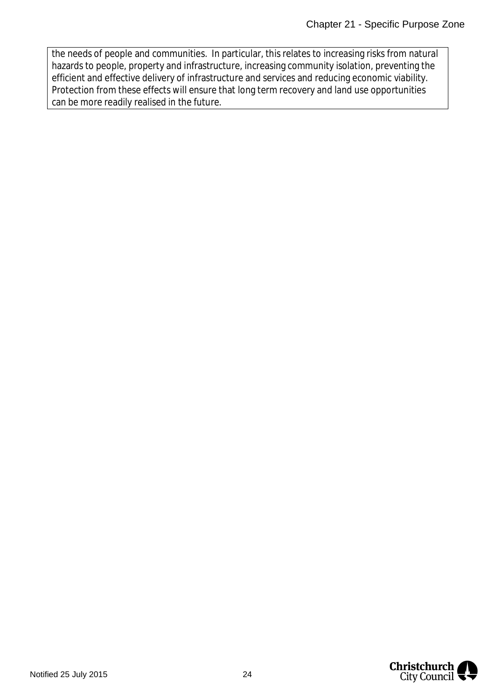the needs of people and communities. In particular, this relates to increasing risks from natural hazards to people, property and infrastructure, increasing community isolation, preventing the efficient and effective delivery of infrastructure and services and reducing economic viability. Protection from these effects will ensure that long term recovery and land use opportunities can be more readily realised in the future.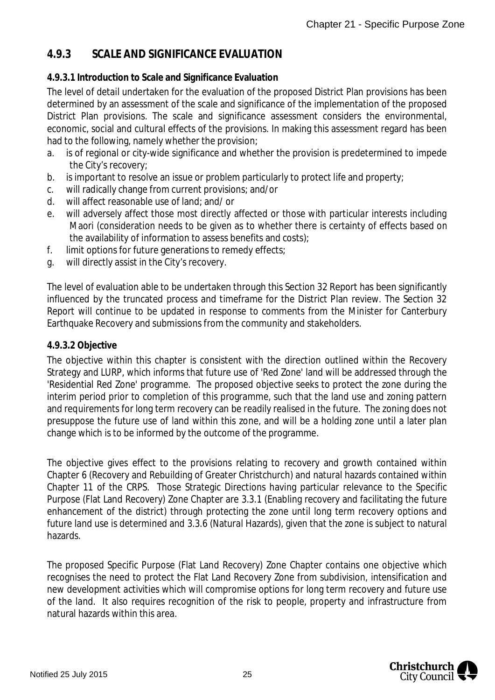### **4.9.3 SCALE AND SIGNIFICANCE EVALUATION**

#### **4.9.3.1 Introduction to Scale and Significance Evaluation**

The level of detail undertaken for the evaluation of the proposed District Plan provisions has been determined by an assessment of the scale and significance of the implementation of the proposed District Plan provisions. The scale and significance assessment considers the environmental, economic, social and cultural effects of the provisions. In making this assessment regard has been had to the following, namely whether the provision;

- a. is of regional or city-wide significance and whether the provision is predetermined to impede the City's recovery;
- b. is important to resolve an issue or problem particularly to protect life and property;
- c. will radically change from current provisions; and/or
- d. will affect reasonable use of land; and/ or
- e. will adversely affect those most directly affected or those with particular interests including Maori (consideration needs to be given as to whether there is certainty of effects based on the availability of information to assess benefits and costs);
- f. limit options for future generations to remedy effects;
- g. will directly assist in the City's recovery.

The level of evaluation able to be undertaken through this Section 32 Report has been significantly influenced by the truncated process and timeframe for the District Plan review. The Section 32 Report will continue to be updated in response to comments from the Minister for Canterbury Earthquake Recovery and submissions from the community and stakeholders.

#### **4.9.3.2 Objective**

The objective within this chapter is consistent with the direction outlined within the Recovery Strategy and LURP, which informs that future use of 'Red Zone' land will be addressed through the 'Residential Red Zone' programme. The proposed objective seeks to protect the zone during the interim period prior to completion of this programme, such that the land use and zoning pattern and requirements for long term recovery can be readily realised in the future. The zoning does not presuppose the future use of land within this zone, and will be a holding zone until a later plan change which is to be informed by the outcome of the programme.

The objective gives effect to the provisions relating to recovery and growth contained within Chapter 6 (Recovery and Rebuilding of Greater Christchurch) and natural hazards contained within Chapter 11 of the CRPS. Those Strategic Directions having particular relevance to the Specific Purpose (Flat Land Recovery) Zone Chapter are 3.3.1 (Enabling recovery and facilitating the future enhancement of the district) through protecting the zone until long term recovery options and future land use is determined and 3.3.6 (Natural Hazards), given that the zone is subject to natural hazards.

The proposed Specific Purpose (Flat Land Recovery) Zone Chapter contains one objective which recognises the need to protect the Flat Land Recovery Zone from subdivision, intensification and new development activities which will compromise options for long term recovery and future use of the land. It also requires recognition of the risk to people, property and infrastructure from natural hazards within this area.

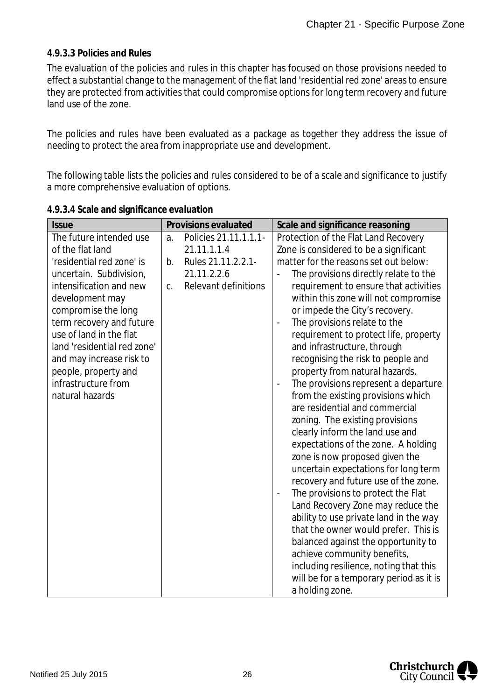#### **4.9.3.3 Policies and Rules**

The evaluation of the policies and rules in this chapter has focused on those provisions needed to effect a substantial change to the management of the flat land 'residential red zone' areas to ensure they are protected from activities that could compromise options for long term recovery and future land use of the zone.

The policies and rules have been evaluated as a package as together they address the issue of needing to protect the area from inappropriate use and development.

The following table lists the policies and rules considered to be of a scale and significance to justify a more comprehensive evaluation of options.

| <b>Issue</b>                |    | Provisions evaluated        | Scale and significance reasoning                           |
|-----------------------------|----|-----------------------------|------------------------------------------------------------|
| The future intended use     | a. | Policies 21.11.1.1.1-       | Protection of the Flat Land Recovery                       |
| of the flat land            |    | 21.11.1.1.4                 | Zone is considered to be a significant                     |
| 'residential red zone' is   | b. | Rules 21.11.2.2.1           | matter for the reasons set out below:                      |
| uncertain. Subdivision,     |    | 21.11.2.2.6                 | The provisions directly relate to the                      |
| intensification and new     | C. | <b>Relevant definitions</b> | requirement to ensure that activities                      |
| development may             |    |                             | within this zone will not compromise                       |
| compromise the long         |    |                             | or impede the City's recovery.                             |
| term recovery and future    |    |                             | The provisions relate to the                               |
| use of land in the flat     |    |                             | requirement to protect life, property                      |
| land 'residential red zone' |    |                             | and infrastructure, through                                |
| and may increase risk to    |    |                             | recognising the risk to people and                         |
| people, property and        |    |                             | property from natural hazards.                             |
| infrastructure from         |    |                             | The provisions represent a departure                       |
| natural hazards             |    |                             | from the existing provisions which                         |
|                             |    |                             | are residential and commercial                             |
|                             |    |                             | zoning. The existing provisions                            |
|                             |    |                             | clearly inform the land use and                            |
|                             |    |                             | expectations of the zone. A holding                        |
|                             |    |                             | zone is now proposed given the                             |
|                             |    |                             | uncertain expectations for long term                       |
|                             |    |                             | recovery and future use of the zone.                       |
|                             |    |                             | The provisions to protect the Flat<br>$\ddot{\phantom{1}}$ |
|                             |    |                             | Land Recovery Zone may reduce the                          |
|                             |    |                             | ability to use private land in the way                     |
|                             |    |                             | that the owner would prefer. This is                       |
|                             |    |                             | balanced against the opportunity to                        |
|                             |    |                             | achieve community benefits,                                |
|                             |    |                             | including resilience, noting that this                     |
|                             |    |                             | will be for a temporary period as it is                    |
|                             |    |                             | a holding zone.                                            |

**4.9.3.4 Scale and significance evaluation**

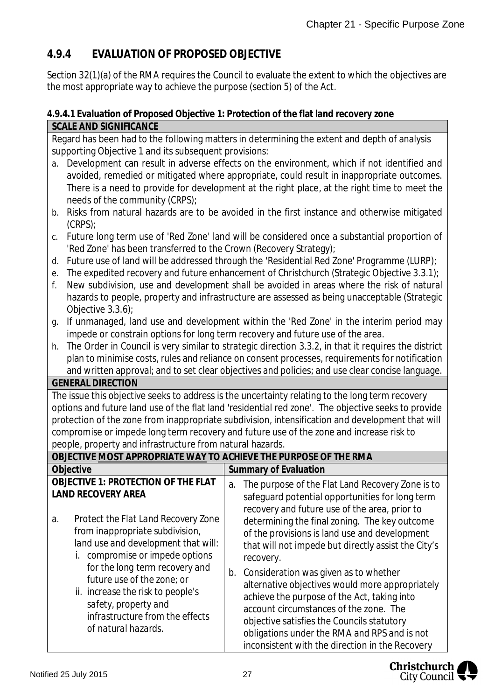### **4.9.4 EVALUATION OF PROPOSED OBJECTIVE**

Section 32(1)(a) of the RMA requires the Council to evaluate the extent to which the objectives are the most appropriate way to achieve the purpose (section 5) of the Act.

#### **4.9.4.1 Evaluation of Proposed Objective 1: Protection of the flat land recovery zone SCALE AND SIGNIFICANCE**

|                                                                                                     | Regard has been had to the following matters in determining the extent and depth of analysis                                  |    |                                                                                                     |  |  |  |
|-----------------------------------------------------------------------------------------------------|-------------------------------------------------------------------------------------------------------------------------------|----|-----------------------------------------------------------------------------------------------------|--|--|--|
| supporting Objective 1 and its subsequent provisions:                                               |                                                                                                                               |    |                                                                                                     |  |  |  |
| a.                                                                                                  | Development can result in adverse effects on the environment, which if not identified and                                     |    |                                                                                                     |  |  |  |
|                                                                                                     | avoided, remedied or mitigated where appropriate, could result in inappropriate outcomes.                                     |    |                                                                                                     |  |  |  |
|                                                                                                     |                                                                                                                               |    | There is a need to provide for development at the right place, at the right time to meet the        |  |  |  |
|                                                                                                     | needs of the community (CRPS);                                                                                                |    |                                                                                                     |  |  |  |
| b.                                                                                                  | Risks from natural hazards are to be avoided in the first instance and otherwise mitigated                                    |    |                                                                                                     |  |  |  |
|                                                                                                     | (CRPS);                                                                                                                       |    |                                                                                                     |  |  |  |
| C.                                                                                                  | Future long term use of 'Red Zone' land will be considered once a substantial proportion of                                   |    |                                                                                                     |  |  |  |
|                                                                                                     | 'Red Zone' has been transferred to the Crown (Recovery Strategy);                                                             |    |                                                                                                     |  |  |  |
| d.                                                                                                  |                                                                                                                               |    | Future use of land will be addressed through the 'Residential Red Zone' Programme (LURP);           |  |  |  |
| е.                                                                                                  |                                                                                                                               |    | The expedited recovery and future enhancement of Christchurch (Strategic Objective 3.3.1);          |  |  |  |
| f.                                                                                                  |                                                                                                                               |    | New subdivision, use and development shall be avoided in areas where the risk of natural            |  |  |  |
|                                                                                                     |                                                                                                                               |    | hazards to people, property and infrastructure are assessed as being unacceptable (Strategic        |  |  |  |
|                                                                                                     | Objective $3.3.6$ );                                                                                                          |    |                                                                                                     |  |  |  |
| g.                                                                                                  |                                                                                                                               |    | If unmanaged, land use and development within the 'Red Zone' in the interim period may              |  |  |  |
|                                                                                                     | impede or constrain options for long term recovery and future use of the area.                                                |    |                                                                                                     |  |  |  |
| h.                                                                                                  |                                                                                                                               |    | The Order in Council is very similar to strategic direction 3.3.2, in that it requires the district |  |  |  |
|                                                                                                     | plan to minimise costs, rules and reliance on consent processes, requirements for notification                                |    |                                                                                                     |  |  |  |
|                                                                                                     |                                                                                                                               |    | and written approval; and to set clear objectives and policies; and use clear concise language.     |  |  |  |
|                                                                                                     | <b>GENERAL DIRECTION</b>                                                                                                      |    |                                                                                                     |  |  |  |
| The issue this objective seeks to address is the uncertainty relating to the long term recovery     |                                                                                                                               |    |                                                                                                     |  |  |  |
| options and future land use of the flat land 'residential red zone'. The objective seeks to provide |                                                                                                                               |    |                                                                                                     |  |  |  |
|                                                                                                     | protection of the zone from inappropriate subdivision, intensification and development that will                              |    |                                                                                                     |  |  |  |
| compromise or impede long term recovery and future use of the zone and increase risk to             |                                                                                                                               |    |                                                                                                     |  |  |  |
|                                                                                                     |                                                                                                                               |    |                                                                                                     |  |  |  |
|                                                                                                     |                                                                                                                               |    |                                                                                                     |  |  |  |
|                                                                                                     | people, property and infrastructure from natural hazards.<br>OBJECTIVE MOST APPROPRIATE WAY TO ACHIEVE THE PURPOSE OF THE RMA |    |                                                                                                     |  |  |  |
|                                                                                                     | Objective                                                                                                                     |    |                                                                                                     |  |  |  |
|                                                                                                     | OBJECTIVE 1: PROTECTION OF THE FLAT                                                                                           |    | <b>Summary of Evaluation</b>                                                                        |  |  |  |
|                                                                                                     | <b>LAND RECOVERY AREA</b>                                                                                                     | a. | The purpose of the Flat Land Recovery Zone is to                                                    |  |  |  |
|                                                                                                     |                                                                                                                               |    | safeguard potential opportunities for long term                                                     |  |  |  |
|                                                                                                     |                                                                                                                               |    | recovery and future use of the area, prior to                                                       |  |  |  |
| a.                                                                                                  | Protect the Flat Land Recovery Zone                                                                                           |    | determining the final zoning. The key outcome                                                       |  |  |  |
|                                                                                                     | from inappropriate subdivision,                                                                                               |    | of the provisions is land use and development                                                       |  |  |  |
|                                                                                                     | land use and development that will:                                                                                           |    | that will not impede but directly assist the City's                                                 |  |  |  |
|                                                                                                     | <i>i.</i> compromise or impede options                                                                                        |    | recovery.                                                                                           |  |  |  |
|                                                                                                     | for the long term recovery and                                                                                                | b. | Consideration was given as to whether                                                               |  |  |  |
|                                                                                                     | future use of the zone; or                                                                                                    |    | alternative objectives would more appropriately                                                     |  |  |  |
|                                                                                                     | ii. increase the risk to people's                                                                                             |    | achieve the purpose of the Act, taking into                                                         |  |  |  |
|                                                                                                     | safety, property and                                                                                                          |    | account circumstances of the zone. The                                                              |  |  |  |
|                                                                                                     | infrastructure from the effects<br>of natural hazards.                                                                        |    | objective satisfies the Councils statutory<br>obligations under the RMA and RPS and is not          |  |  |  |



inconsistent with the direction in the Recovery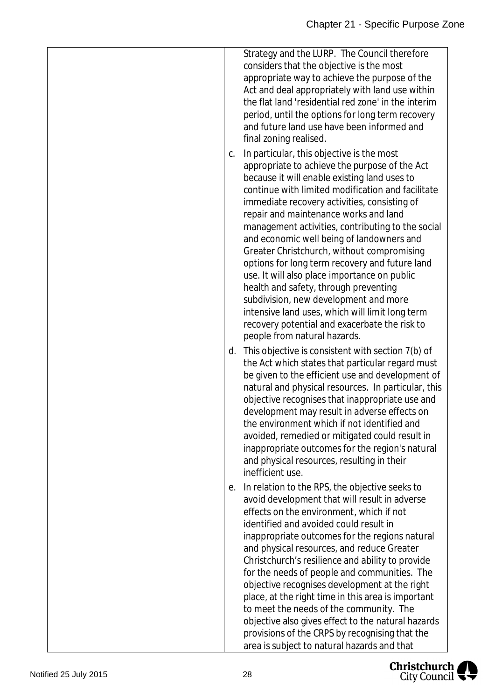Strategy and the LURP. The Council therefore considers that the objective is the most appropriate way to achieve the purpose of the Act and deal appropriately with land use within the flat land 'residential red zone' in the interim period, until the options for long term recovery and future land use have been informed and final zoning realised.

- c. In particular, this objective is the most appropriate to achieve the purpose of the Act because it will enable existing land uses to continue with limited modification and facilitate immediate recovery activities, consisting of repair and maintenance works and land management activities, contributing to the social and economic well being of landowners and Greater Christchurch, without compromising options for long term recovery and future land use. It will also place importance on public health and safety, through preventing subdivision, new development and more intensive land uses, which will limit long term recovery potential and exacerbate the risk to people from natural hazards.
- d. This objective is consistent with section 7(b) of the Act which states that particular regard must be given to the efficient use and development of natural and physical resources. In particular, this objective recognises that inappropriate use and development may result in adverse effects on the environment which if not identified and avoided, remedied or mitigated could result in inappropriate outcomes for the region's natural and physical resources, resulting in their inefficient use.
- e. In relation to the RPS, the objective seeks to avoid development that will result in adverse effects on the environment, which if not identified and avoided could result in inappropriate outcomes for the regions natural and physical resources, and reduce Greater Christchurch's resilience and ability to provide for the needs of people and communities. The objective recognises development at the right place, at the right time in this area is important to meet the needs of the community. The objective also gives effect to the natural hazards provisions of the CRPS by recognising that the area is subject to natural hazards and that

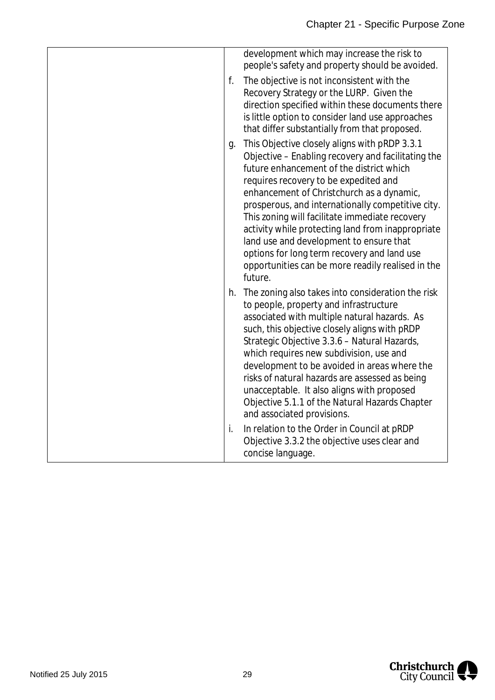|    | development which may increase the risk to<br>people's safety and property should be avoided.                                                                                                                                                                                                                                                                                                                                                                                                                                                               |
|----|-------------------------------------------------------------------------------------------------------------------------------------------------------------------------------------------------------------------------------------------------------------------------------------------------------------------------------------------------------------------------------------------------------------------------------------------------------------------------------------------------------------------------------------------------------------|
| f. | The objective is not inconsistent with the<br>Recovery Strategy or the LURP. Given the<br>direction specified within these documents there<br>is little option to consider land use approaches<br>that differ substantially from that proposed.                                                                                                                                                                                                                                                                                                             |
| g. | This Objective closely aligns with pRDP 3.3.1<br>Objective - Enabling recovery and facilitating the<br>future enhancement of the district which<br>requires recovery to be expedited and<br>enhancement of Christchurch as a dynamic,<br>prosperous, and internationally competitive city.<br>This zoning will facilitate immediate recovery<br>activity while protecting land from inappropriate<br>land use and development to ensure that<br>options for long term recovery and land use<br>opportunities can be more readily realised in the<br>future. |
| h. | The zoning also takes into consideration the risk<br>to people, property and infrastructure<br>associated with multiple natural hazards. As<br>such, this objective closely aligns with pRDP<br>Strategic Objective 3.3.6 - Natural Hazards,<br>which requires new subdivision, use and<br>development to be avoided in areas where the<br>risks of natural hazards are assessed as being<br>unacceptable. It also aligns with proposed<br>Objective 5.1.1 of the Natural Hazards Chapter<br>and associated provisions.                                     |
| i. | In relation to the Order in Council at pRDP<br>Objective 3.3.2 the objective uses clear and<br>concise language.                                                                                                                                                                                                                                                                                                                                                                                                                                            |

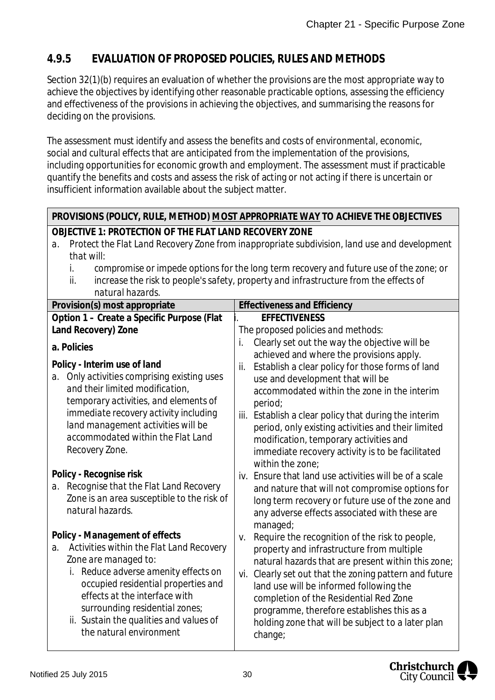### **4.9.5 EVALUATION OF PROPOSED POLICIES, RULES AND METHODS**

Section 32(1)(b) requires an evaluation of whether the provisions are the most appropriate way to achieve the objectives by identifying other reasonable practicable options, assessing the efficiency and effectiveness of the provisions in achieving the objectives, and summarising the reasons for deciding on the provisions.

The assessment must identify and assess the benefits and costs of environmental, economic, social and cultural effects that are anticipated from the implementation of the provisions, including opportunities for economic growth and employment. The assessment must if practicable quantify the benefits and costs and assess the risk of acting or not acting if there is uncertain or insufficient information available about the subject matter.

#### **PROVISIONS (POLICY, RULE, METHOD) MOST APPROPRIATE WAY TO ACHIEVE THE OBJECTIVES**

- **OBJECTIVE 1: PROTECTION OF THE FLAT LAND RECOVERY ZONE**
- *a*. *Protect the Flat Land Recovery Zone from inappropriate subdivision, land use and development that will:*
	- *i. compromise or impede options for the long term recovery and future use of the zone; or*
	- *ii. increase the risk to people's safety, property and infrastructure from the effects of natural hazards.*

| ,,,,,,,,,,,,,,,,,,,,,,,                                                                                           |                                                                                                                                                       |  |  |  |
|-------------------------------------------------------------------------------------------------------------------|-------------------------------------------------------------------------------------------------------------------------------------------------------|--|--|--|
| Provision(s) most appropriate                                                                                     | <b>Effectiveness and Efficiency</b>                                                                                                                   |  |  |  |
| Option 1 - Create a Specific Purpose (Flat                                                                        | <b>EFFECTIVENESS</b>                                                                                                                                  |  |  |  |
| Land Recovery) Zone                                                                                               | The proposed policies and methods:                                                                                                                    |  |  |  |
| a. Policies                                                                                                       | Clearly set out the way the objective will be<br>İ.<br>achieved and where the provisions apply.                                                       |  |  |  |
| Policy - Interim use of land<br>Only activities comprising existing uses<br>a.<br>and their limited modification, | Establish a clear policy for those forms of land<br>ii.<br>use and development that will be<br>accommodated within the zone in the interim            |  |  |  |
| temporary activities, and elements of                                                                             | period;                                                                                                                                               |  |  |  |
| immediate recovery activity including<br>land management activities will be<br>accommodated within the Flat Land  | iii. Establish a clear policy that during the interim<br>period, only existing activities and their limited<br>modification, temporary activities and |  |  |  |
| Recovery Zone.                                                                                                    | immediate recovery activity is to be facilitated<br>within the zone:                                                                                  |  |  |  |
| Policy - Recognise risk                                                                                           | iv. Ensure that land use activities will be of a scale                                                                                                |  |  |  |
| Recognise that the Flat Land Recovery<br>a.                                                                       | and nature that will not compromise options for                                                                                                       |  |  |  |
| Zone is an area susceptible to the risk of<br>natural hazards.                                                    | long term recovery or future use of the zone and<br>any adverse effects associated with these are                                                     |  |  |  |
|                                                                                                                   | managed;                                                                                                                                              |  |  |  |
| Policy - Management of effects                                                                                    | Require the recognition of the risk to people,<br>V.                                                                                                  |  |  |  |
| Activities within the Flat Land Recovery<br>a.                                                                    | property and infrastructure from multiple                                                                                                             |  |  |  |
| Zone are managed to:                                                                                              | natural hazards that are present within this zone;                                                                                                    |  |  |  |
| i. Reduce adverse amenity effects on                                                                              | vi. Clearly set out that the zoning pattern and future                                                                                                |  |  |  |
| occupied residential properties and                                                                               | land use will be informed following the                                                                                                               |  |  |  |
| effects at the interface with                                                                                     | completion of the Residential Red Zone                                                                                                                |  |  |  |
| surrounding residential zones;                                                                                    | programme, therefore establishes this as a                                                                                                            |  |  |  |
| ii. Sustain the qualities and values of                                                                           | holding zone that will be subject to a later plan                                                                                                     |  |  |  |
| the natural environment                                                                                           | change;                                                                                                                                               |  |  |  |
|                                                                                                                   |                                                                                                                                                       |  |  |  |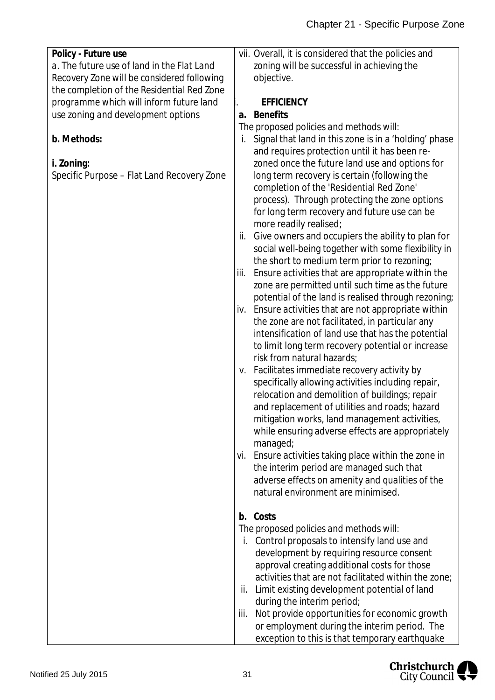| Policy - Future use                        | vii. Overall, it is considered that the policies and                                            |
|--------------------------------------------|-------------------------------------------------------------------------------------------------|
| a. The future use of land in the Flat Land | zoning will be successful in achieving the                                                      |
| Recovery Zone will be considered following | objective.                                                                                      |
| the completion of the Residential Red Zone |                                                                                                 |
| programme which will inform future land    | <b>EFFICIENCY</b>                                                                               |
| use zoning and development options         | <b>Benefits</b><br>a.                                                                           |
|                                            | The proposed policies and methods will:                                                         |
| b. Methods:                                | Signal that land in this zone is in a 'holding' phase<br>İ.                                     |
|                                            | and requires protection until it has been re-                                                   |
| i. Zoning:                                 | zoned once the future land use and options for                                                  |
| Specific Purpose - Flat Land Recovery Zone | long term recovery is certain (following the<br>completion of the 'Residential Red Zone'        |
|                                            | process). Through protecting the zone options                                                   |
|                                            | for long term recovery and future use can be<br>more readily realised;                          |
|                                            | Give owners and occupiers the ability to plan for<br>ii.                                        |
|                                            | social well-being together with some flexibility in                                             |
|                                            | the short to medium term prior to rezoning;                                                     |
|                                            | Ensure activities that are appropriate within the<br>iii.                                       |
|                                            | zone are permitted until such time as the future                                                |
|                                            | potential of the land is realised through rezoning;                                             |
|                                            | Ensure activities that are not appropriate within<br>İV.                                        |
|                                            | the zone are not facilitated, in particular any                                                 |
|                                            | intensification of land use that has the potential                                              |
|                                            | to limit long term recovery potential or increase                                               |
|                                            | risk from natural hazards;                                                                      |
|                                            | v. Facilitates immediate recovery activity by                                                   |
|                                            | specifically allowing activities including repair,                                              |
|                                            | relocation and demolition of buildings; repair                                                  |
|                                            | and replacement of utilities and roads; hazard<br>mitigation works, land management activities, |
|                                            | while ensuring adverse effects are appropriately                                                |
|                                            | managed;                                                                                        |
|                                            | vi. Ensure activities taking place within the zone in                                           |
|                                            | the interim period are managed such that                                                        |
|                                            | adverse effects on amenity and qualities of the                                                 |
|                                            | natural environment are minimised.                                                              |
|                                            |                                                                                                 |
|                                            | b. Costs                                                                                        |
|                                            | The proposed policies and methods will:                                                         |
|                                            | Control proposals to intensify land use and<br>İ.                                               |
|                                            | development by requiring resource consent                                                       |
|                                            | approval creating additional costs for those                                                    |
|                                            | activities that are not facilitated within the zone;                                            |
|                                            | Limit existing development potential of land<br>ii.                                             |
|                                            | during the interim period;                                                                      |
|                                            | Not provide opportunities for economic growth<br>iii.                                           |
|                                            | or employment during the interim period. The                                                    |
|                                            | exception to this is that temporary earthquake                                                  |

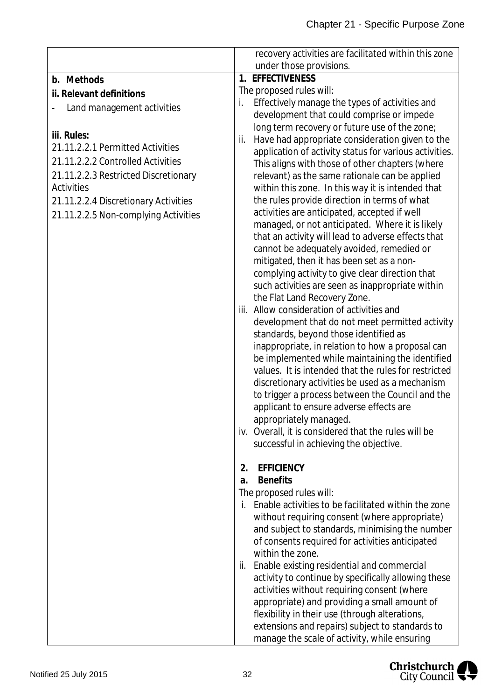|                                      | recovery activities are facilitated within this zone                                            |
|--------------------------------------|-------------------------------------------------------------------------------------------------|
|                                      | under those provisions.                                                                         |
| b. Methods                           | 1. EFFECTIVENESS                                                                                |
| ii. Relevant definitions             | The proposed rules will:                                                                        |
| Land management activities           | Effectively manage the types of activities and<br>i.                                            |
|                                      | development that could comprise or impede                                                       |
| iii. Rules:                          | long term recovery or future use of the zone;                                                   |
| 21.11.2.2.1 Permitted Activities     | Have had appropriate consideration given to the<br>ii.                                          |
| 21.11.2.2.2 Controlled Activities    | application of activity status for various activities.                                          |
|                                      | This aligns with those of other chapters (where                                                 |
| 21.11.2.2.3 Restricted Discretionary | relevant) as the same rationale can be applied                                                  |
| Activities                           | within this zone. In this way it is intended that                                               |
| 21.11.2.2.4 Discretionary Activities | the rules provide direction in terms of what                                                    |
| 21.11.2.2.5 Non-complying Activities | activities are anticipated, accepted if well<br>managed, or not anticipated. Where it is likely |
|                                      | that an activity will lead to adverse effects that                                              |
|                                      | cannot be adequately avoided, remedied or                                                       |
|                                      | mitigated, then it has been set as a non-                                                       |
|                                      | complying activity to give clear direction that                                                 |
|                                      | such activities are seen as inappropriate within                                                |
|                                      | the Flat Land Recovery Zone.                                                                    |
|                                      | iii. Allow consideration of activities and                                                      |
|                                      | development that do not meet permitted activity                                                 |
|                                      | standards, beyond those identified as                                                           |
|                                      | inappropriate, in relation to how a proposal can                                                |
|                                      | be implemented while maintaining the identified                                                 |
|                                      | values. It is intended that the rules for restricted                                            |
|                                      | discretionary activities be used as a mechanism                                                 |
|                                      | to trigger a process between the Council and the                                                |
|                                      | applicant to ensure adverse effects are                                                         |
|                                      | appropriately managed.<br>iv. Overall, it is considered that the rules will be                  |
|                                      |                                                                                                 |
|                                      | successful in achieving the objective.                                                          |
|                                      | <b>EFFICIENCY</b><br>2.                                                                         |
|                                      | <b>Benefits</b><br>a.                                                                           |
|                                      | The proposed rules will:                                                                        |
|                                      | Enable activities to be facilitated within the zone<br>İ.                                       |
|                                      | without requiring consent (where appropriate)                                                   |
|                                      | and subject to standards, minimising the number                                                 |
|                                      | of consents required for activities anticipated                                                 |
|                                      | within the zone.                                                                                |
|                                      | Enable existing residential and commercial<br>ii.                                               |
|                                      | activity to continue by specifically allowing these                                             |
|                                      | activities without requiring consent (where                                                     |
|                                      | appropriate) and providing a small amount of                                                    |
|                                      | flexibility in their use (through alterations,                                                  |
|                                      | extensions and repairs) subject to standards to                                                 |
|                                      | manage the scale of activity, while ensuring                                                    |

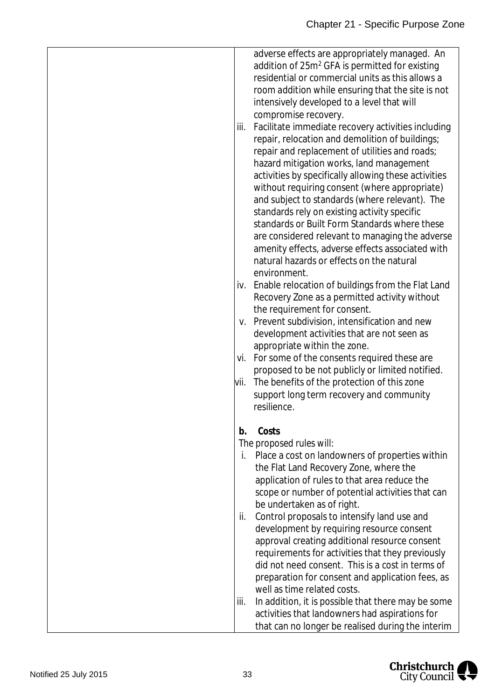adverse effects are appropriately managed. An addition of 25m<sup>2</sup> GFA is permitted for existing residential or commercial units as this allows a room addition while ensuring that the site is not intensively developed to a level that will compromise recovery.

- iii. Facilitate immediate recovery activities including repair, relocation and demolition of buildings; repair and replacement of utilities and roads; hazard mitigation works, land management activities by specifically allowing these activities without requiring consent (where appropriate) and subject to standards (where relevant). The standards rely on existing activity specific standards or Built Form Standards where these are considered relevant to managing the adverse amenity effects, adverse effects associated with natural hazards or effects on the natural environment.
- iv. Enable relocation of buildings from the Flat Land Recovery Zone as a permitted activity without the requirement for consent.
- v. Prevent subdivision, intensification and new development activities that are not seen as appropriate within the zone.
- vi. For some of the consents required these are proposed to be not publicly or limited notified.
- vii. The benefits of the protection of this zone support long term recovery and community resilience.
- **b. Costs**

*The proposed rules will:*

- i. Place a cost on landowners of properties within the Flat Land Recovery Zone, where the application of rules to that area reduce the scope or number of potential activities that can be undertaken as of right. ii. Control proposals to intensify land use and development by requiring resource consent approval creating additional resource consent requirements for activities that they previously did not need consent. This is a cost in terms of preparation for consent and application fees, as
	- well as time related costs. iii. In addition, it is possible that there may be some activities that landowners had aspirations for that can no longer be realised during the interim

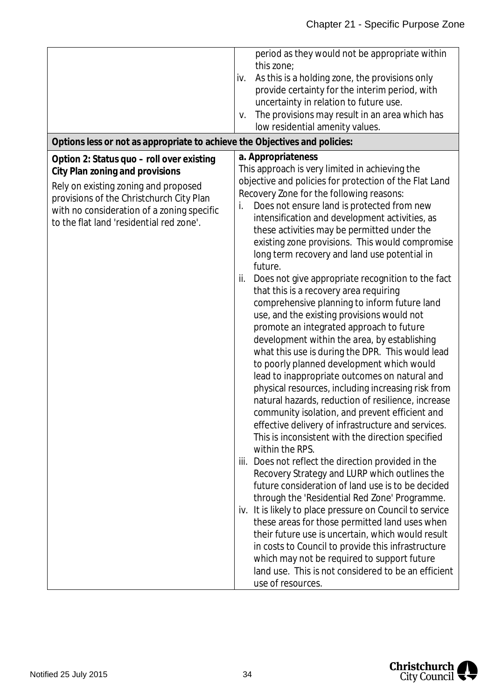| Options less or not as appropriate to achieve the Objectives and policies:                                                                                                                                                                                 | period as they would not be appropriate within<br>this zone;<br>As this is a holding zone, the provisions only<br>iv.<br>provide certainty for the interim period, with<br>uncertainty in relation to future use.<br>The provisions may result in an area which has<br>V.<br>low residential amenity values.                                                                                                                                                                                                                                                                                                                                                                                                                                                                                                                                                                                                                                                                                                                                                                                                                                                                                                                                                                                                                                                                                                                                                                                                                                                                                                                                                                                                                                                  |
|------------------------------------------------------------------------------------------------------------------------------------------------------------------------------------------------------------------------------------------------------------|---------------------------------------------------------------------------------------------------------------------------------------------------------------------------------------------------------------------------------------------------------------------------------------------------------------------------------------------------------------------------------------------------------------------------------------------------------------------------------------------------------------------------------------------------------------------------------------------------------------------------------------------------------------------------------------------------------------------------------------------------------------------------------------------------------------------------------------------------------------------------------------------------------------------------------------------------------------------------------------------------------------------------------------------------------------------------------------------------------------------------------------------------------------------------------------------------------------------------------------------------------------------------------------------------------------------------------------------------------------------------------------------------------------------------------------------------------------------------------------------------------------------------------------------------------------------------------------------------------------------------------------------------------------------------------------------------------------------------------------------------------------|
| Option 2: Status quo - roll over existing<br>City Plan zoning and provisions<br>Rely on existing zoning and proposed<br>provisions of the Christchurch City Plan<br>with no consideration of a zoning specific<br>to the flat land 'residential red zone'. | a. Appropriateness<br>This approach is very limited in achieving the<br>objective and policies for protection of the Flat Land<br>Recovery Zone for the following reasons:<br>Does not ensure land is protected from new<br>i.<br>intensification and development activities, as<br>these activities may be permitted under the<br>existing zone provisions. This would compromise<br>long term recovery and land use potential in<br>future.<br>Does not give appropriate recognition to the fact<br>ii.<br>that this is a recovery area requiring<br>comprehensive planning to inform future land<br>use, and the existing provisions would not<br>promote an integrated approach to future<br>development within the area, by establishing<br>what this use is during the DPR. This would lead<br>to poorly planned development which would<br>lead to inappropriate outcomes on natural and<br>physical resources, including increasing risk from<br>natural hazards, reduction of resilience, increase<br>community isolation, and prevent efficient and<br>effective delivery of infrastructure and services.<br>This is inconsistent with the direction specified<br>within the RPS.<br>iii. Does not reflect the direction provided in the<br>Recovery Strategy and LURP which outlines the<br>future consideration of land use is to be decided<br>through the 'Residential Red Zone' Programme.<br>iv. It is likely to place pressure on Council to service<br>these areas for those permitted land uses when<br>their future use is uncertain, which would result<br>in costs to Council to provide this infrastructure<br>which may not be required to support future<br>land use. This is not considered to be an efficient<br>use of resources. |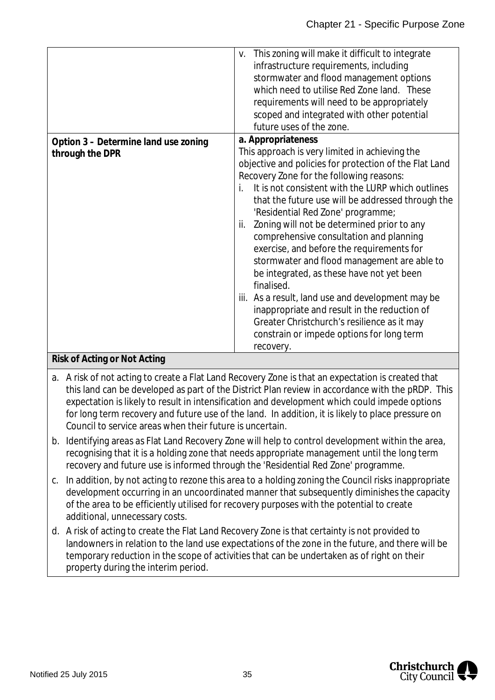| Option 3 – Determine land use zoning<br>through the DPR        | This zoning will make it difficult to integrate<br>V.<br>infrastructure requirements, including<br>stormwater and flood management options<br>which need to utilise Red Zone land. These<br>requirements will need to be appropriately<br>scoped and integrated with other potential<br>future uses of the zone.<br>a. Appropriateness<br>This approach is very limited in achieving the                                                                                                                                                                                                                                                                                                                                  |
|----------------------------------------------------------------|---------------------------------------------------------------------------------------------------------------------------------------------------------------------------------------------------------------------------------------------------------------------------------------------------------------------------------------------------------------------------------------------------------------------------------------------------------------------------------------------------------------------------------------------------------------------------------------------------------------------------------------------------------------------------------------------------------------------------|
| $D(x) = E A x + \frac{1}{2}$<br>$\sim$ N $\sim$ 1. A $\sim$ 1. | objective and policies for protection of the Flat Land<br>Recovery Zone for the following reasons:<br>It is not consistent with the LURP which outlines<br>i.<br>that the future use will be addressed through the<br>'Residential Red Zone' programme;<br>ii. Zoning will not be determined prior to any<br>comprehensive consultation and planning<br>exercise, and before the requirements for<br>stormwater and flood management are able to<br>be integrated, as these have not yet been<br>finalised.<br>iii. As a result, land use and development may be<br>inappropriate and result in the reduction of<br>Greater Christchurch's resilience as it may<br>constrain or impede options for long term<br>recovery. |

#### **Risk of Acting or Not Acting**

- a. A risk of not acting to create a Flat Land Recovery Zone is that an expectation is created that this land can be developed as part of the District Plan review in accordance with the pRDP. This expectation is likely to result in intensification and development which could impede options for long term recovery and future use of the land. In addition, it is likely to place pressure on Council to service areas when their future is uncertain.
- b. Identifying areas as Flat Land Recovery Zone will help to control development within the area, recognising that it is a holding zone that needs appropriate management until the long term recovery and future use is informed through the 'Residential Red Zone' programme.
- c. In addition, by not acting to rezone this area to a holding zoning the Council risks inappropriate development occurring in an uncoordinated manner that subsequently diminishes the capacity of the area to be efficiently utilised for recovery purposes with the potential to create additional, unnecessary costs.
- d. A risk of acting to create the Flat Land Recovery Zone is that certainty is not provided to landowners in relation to the land use expectations of the zone in the future, and there will be temporary reduction in the scope of activities that can be undertaken as of right on their property during the interim period.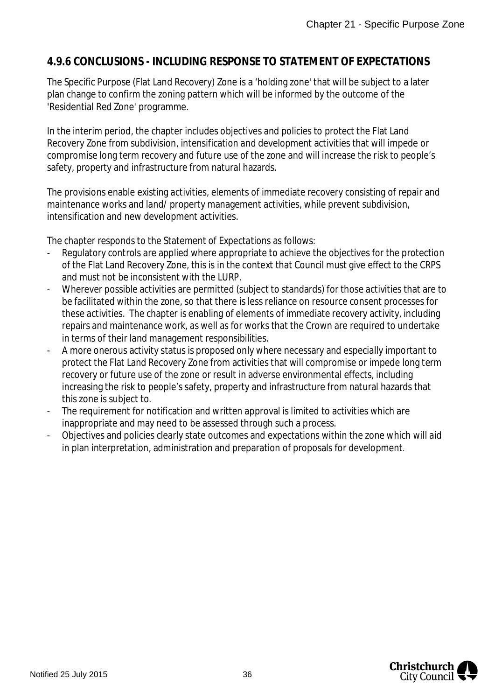### **4.9.6 CONCLUSIONS - INCLUDING RESPONSE TO STATEMENT OF EXPECTATIONS**

The Specific Purpose (Flat Land Recovery) Zone is a 'holding zone' that will be subject to a later plan change to confirm the zoning pattern which will be informed by the outcome of the 'Residential Red Zone' programme.

In the interim period, the chapter includes objectives and policies to protect the Flat Land Recovery Zone from subdivision, intensification and development activities that will impede or compromise long term recovery and future use of the zone and will increase the risk to people's safety, property and infrastructure from natural hazards.

The provisions enable existing activities, elements of immediate recovery consisting of repair and maintenance works and land/ property management activities, while prevent subdivision, intensification and new development activities.

The chapter responds to the Statement of Expectations as follows:

- Regulatory controls are applied where appropriate to achieve the objectives for the protection of the Flat Land Recovery Zone, this is in the context that Council must give effect to the CRPS and must not be inconsistent with the LURP.
- Wherever possible activities are permitted (subject to standards) for those activities that are to be facilitated within the zone, so that there is less reliance on resource consent processes for these activities. The chapter is enabling of elements of immediate recovery activity, including repairs and maintenance work, as well as for works that the Crown are required to undertake in terms of their land management responsibilities.
- A more onerous activity status is proposed only where necessary and especially important to protect the Flat Land Recovery Zone from activities that will compromise or impede long term recovery or future use of the zone or result in adverse environmental effects, including increasing the risk to people's safety, property and infrastructure from natural hazards that this zone is subject to.
- The requirement for notification and written approval is limited to activities which are inappropriate and may need to be assessed through such a process.
- Objectives and policies clearly state outcomes and expectations within the zone which will aid in plan interpretation, administration and preparation of proposals for development.

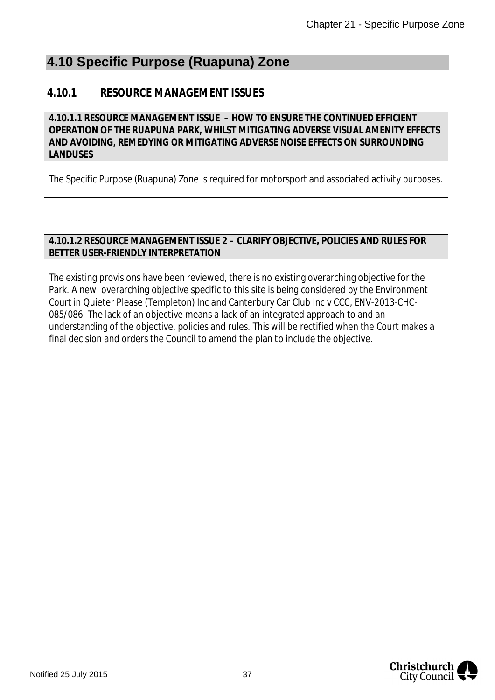## **4.10 Specific Purpose (Ruapuna) Zone**

### **4.10.1 RESOURCE MANAGEMENT ISSUES**

**4.10.1.1 RESOURCE MANAGEMENT ISSUE – HOW TO ENSURE THE CONTINUED EFFICIENT OPERATION OF THE RUAPUNA PARK, WHILST MITIGATING ADVERSE VISUAL AMENITY EFFECTS AND AVOIDING, REMEDYING OR MITIGATING ADVERSE NOISE EFFECTS ON SURROUNDING LANDUSES**

The Specific Purpose (Ruapuna) Zone is required for motorsport and associated activity purposes.

#### **4.10.1.2 RESOURCE MANAGEMENT ISSUE 2 – CLARIFY OBJECTIVE, POLICIES AND RULES FOR BETTER USER-FRIENDLY INTERPRETATION**

The existing provisions have been reviewed, there is no existing overarching objective for the Park. A new overarching objective specific to this site is being considered by the Environment Court in Quieter Please (Templeton) Inc and Canterbury Car Club Inc v CCC, ENV-2013-CHC-085/086. The lack of an objective means a lack of an integrated approach to and an understanding of the objective, policies and rules. This will be rectified when the Court makes a final decision and orders the Council to amend the plan to include the objective.

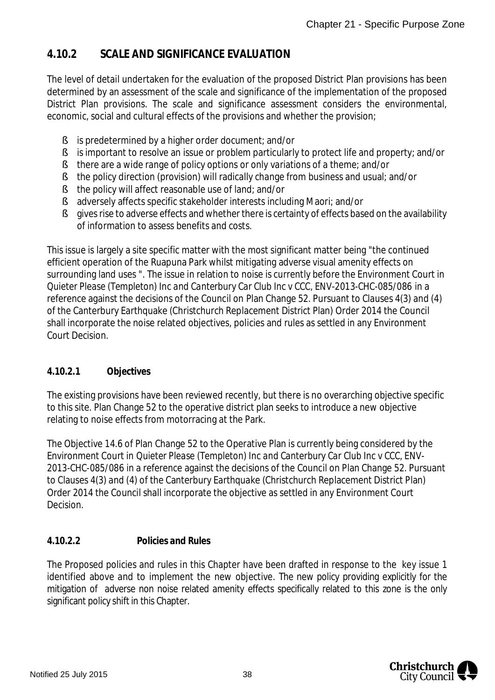### **4.10.2 SCALE AND SIGNIFICANCE EVALUATION**

The level of detail undertaken for the evaluation of the proposed District Plan provisions has been determined by an assessment of the scale and significance of the implementation of the proposed District Plan provisions. The scale and significance assessment considers the environmental, economic, social and cultural effects of the provisions and whether the provision;

- § is predetermined by a higher order document; and/or
- § is important to resolve an issue or problem particularly to protect life and property; and/or
- § there are a wide range of policy options or only variations of a theme; and/or
- § the policy direction (provision) will radically change from business and usual; and/or
- § the policy will affect reasonable use of land; and/or
- § adversely affects specific stakeholder interests including Maori; and/or
- § gives rise to adverse effects and whether there is certainty of effects based on the availability of information to assess benefits and costs.

This issue is largely a site specific matter with the most significant matter being "the continued efficient operation of the Ruapuna Park whilst mitigating adverse visual amenity effects on surrounding land uses ". The issue in relation to noise is currently before the Environment Court in *Quieter Please (Templeton) Inc and Canterbury Car Club Inc v CCC, ENV-2013-CHC-085/086* in a reference against the decisions of the Council on Plan Change 52. Pursuant to Clauses 4(3) and (4) of the Canterbury Earthquake (Christchurch Replacement District Plan) Order 2014 the Council shall incorporate the noise related objectives, policies and rules as settled in any Environment Court Decision.

### **4.10.2.1 Objectives**

The existing provisions have been reviewed recently, but there is no overarching objective specific to this site. Plan Change 52 to the operative district plan seeks to introduce a new objective relating to noise effects from motorracing at the Park.

The Objective 14.6 of Plan Change 52 to the Operative Plan is currently being considered by the Environment Court in *Quieter Please (Templeton) Inc and Canterbury Car Club Inc v CCC, ENV-2013-CHC-085/086* in a reference against the decisions of the Council on Plan Change 52. Pursuant to Clauses 4(3) and (4) of the Canterbury Earthquake (Christchurch Replacement District Plan) Order 2014 the Council shall incorporate the objective as settled in any Environment Court Decision.

### **4.10.2.2 Policies and Rules**

The Proposed policies and rules in this Chapter have been drafted in response to the key issue 1 identified above and to implement the new objective. The new policy providing explicitly for the mitigation of adverse non noise related amenity effects specifically related to this zone is the only significant policy shift in this Chapter.

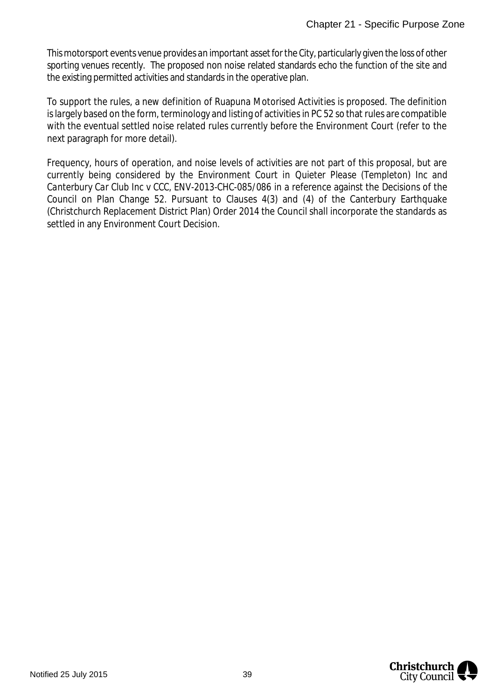This motorsport events venue provides an important asset for the City, particularly given the loss of other sporting venues recently. The proposed non noise related standards echo the function of the site and the existing permitted activities and standards in the operative plan.

To support the rules, a new definition of Ruapuna Motorised Activities is proposed. The definition is largely based on the form, terminology and listing of activities in PC 52 so that rules are compatible with the eventual settled noise related rules currently before the Environment Court (refer to the next paragraph for more detail).

Frequency, hours of operation, and noise levels of activities are not part of this proposal, but are currently being considered by the Environment Court in *Quieter Please (Templeton) Inc and Canterbury Car Club Inc v CCC, ENV-2013-CHC-085/086* in a reference against the Decisions of the Council on Plan Change 52. Pursuant to Clauses 4(3) and (4) of the Canterbury Earthquake (Christchurch Replacement District Plan) Order 2014 the Council shall incorporate the standards as settled in any Environment Court Decision.

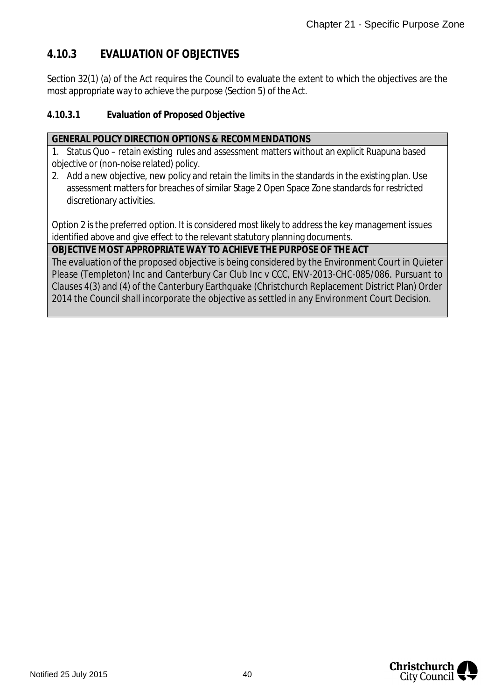### **4.10.3 EVALUATION OF OBJECTIVES**

Section 32(1) (a) of the Act requires the Council to evaluate the extent to which the objectives are the most appropriate way to achieve the purpose (Section 5) of the Act.

#### **4.10.3.1 Evaluation of Proposed Objective**

#### **GENERAL POLICY DIRECTION OPTIONS & RECOMMENDATIONS**

1. Status Quo – retain existing rules and assessment matters without an explicit Ruapuna based objective or (non-noise related) policy.

2. Add a new objective, new policy and retain the limits in the standards in the existing plan. Use assessment matters for breaches of similar Stage 2 Open Space Zone standards for restricted discretionary activities.

Option 2 is the preferred option. It is considered most likely to address the key management issues identified above and give effect to the relevant statutory planning documents.

**OBJECTIVE MOST APPROPRIATE WAY TO ACHIEVE THE PURPOSE OF THE ACT**

The evaluation of the proposed objective is being considered by the Environment Court in *Quieter Please (Templeton) Inc and Canterbury Car Club Inc v CCC, ENV-2013-CHC-085/086.* Pursuant to Clauses 4(3) and (4) of the Canterbury Earthquake (Christchurch Replacement District Plan) Order 2014 the Council shall incorporate the objective as settled in any Environment Court Decision.

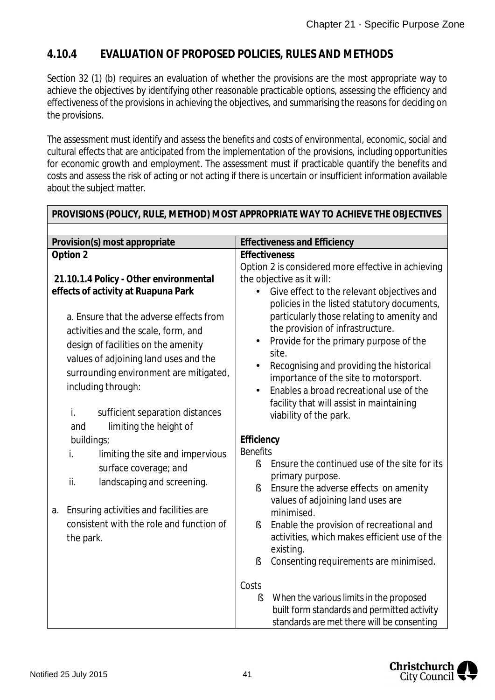### **4.10.4 EVALUATION OF PROPOSED POLICIES, RULES AND METHODS**

Section 32 (1) (b) requires an evaluation of whether the provisions are the most appropriate way to achieve the objectives by identifying other reasonable practicable options, assessing the efficiency and effectiveness of the provisions in achieving the objectives, and summarising the reasons for deciding on the provisions.

The assessment must identify and assess the benefits and costs of environmental, economic, social and cultural effects that are anticipated from the implementation of the provisions, including opportunities for economic growth and employment. The assessment must if practicable quantify the benefits and costs and assess the risk of acting or not acting if there is uncertain or insufficient information available about the subject matter.

| Provision(s) most appropriate                                                                                                                                                                                                                                                                                                                            | <b>Effectiveness and Efficiency</b>                                                                                                                                                                                                                                                                                                                                                                                                                                                                                     |
|----------------------------------------------------------------------------------------------------------------------------------------------------------------------------------------------------------------------------------------------------------------------------------------------------------------------------------------------------------|-------------------------------------------------------------------------------------------------------------------------------------------------------------------------------------------------------------------------------------------------------------------------------------------------------------------------------------------------------------------------------------------------------------------------------------------------------------------------------------------------------------------------|
| Option 2                                                                                                                                                                                                                                                                                                                                                 | Effectiveness                                                                                                                                                                                                                                                                                                                                                                                                                                                                                                           |
| 21.10.1.4 Policy - Other environmental<br>effects of activity at Ruapuna Park<br>a. Ensure that the adverse effects from<br>activities and the scale, form, and<br>design of facilities on the amenity<br>values of adjoining land uses and the<br>surrounding environment are mitigated,<br>including through:<br>İ.<br>sufficient separation distances | Option 2 is considered more effective in achieving<br>the objective as it will:<br>Give effect to the relevant objectives and<br>policies in the listed statutory documents,<br>particularly those relating to amenity and<br>the provision of infrastructure.<br>Provide for the primary purpose of the<br>site.<br>Recognising and providing the historical<br>importance of the site to motorsport.<br>Enables a broad recreational use of the<br>facility that will assist in maintaining<br>viability of the park. |
| limiting the height of<br>and                                                                                                                                                                                                                                                                                                                            | Efficiency                                                                                                                                                                                                                                                                                                                                                                                                                                                                                                              |
| buildings;<br>İ.<br>limiting the site and impervious<br>surface coverage; and<br>ii.<br>landscaping and screening.                                                                                                                                                                                                                                       | <b>Benefits</b><br>Ensure the continued use of the site for its<br>ş<br>primary purpose.<br>Ensure the adverse effects on amenity<br>ş<br>values of adjoining land uses are                                                                                                                                                                                                                                                                                                                                             |
| Ensuring activities and facilities are<br>a.<br>consistent with the role and function of<br>the park.                                                                                                                                                                                                                                                    | minimised.<br>Enable the provision of recreational and<br>ş<br>activities, which makes efficient use of the<br>existing.<br>$\S$<br>Consenting requirements are minimised.                                                                                                                                                                                                                                                                                                                                              |
|                                                                                                                                                                                                                                                                                                                                                          | Costs<br>ş<br>When the various limits in the proposed<br>built form standards and permitted activity<br>standards are met there will be consenting                                                                                                                                                                                                                                                                                                                                                                      |

**PROVISIONS (POLICY, RULE, METHOD) MOST APPROPRIATE WAY TO ACHIEVE THE OBJECTIVES**

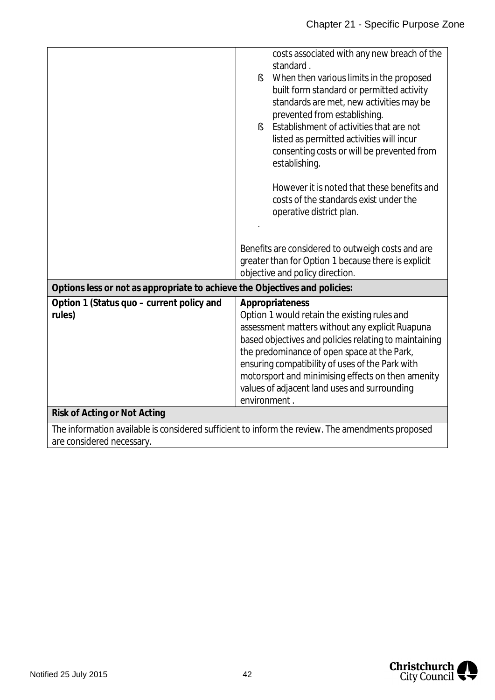|                                                                            | costs associated with any new breach of the<br>standard.<br>When then various limits in the proposed<br>ş.<br>built form standard or permitted activity<br>standards are met, new activities may be<br>prevented from establishing.<br>Establishment of activities that are not<br>$\S$<br>listed as permitted activities will incur<br>consenting costs or will be prevented from<br>establishing.<br>However it is noted that these benefits and<br>costs of the standards exist under the<br>operative district plan.<br>Benefits are considered to outweigh costs and are<br>greater than for Option 1 because there is explicit |  |
|----------------------------------------------------------------------------|--------------------------------------------------------------------------------------------------------------------------------------------------------------------------------------------------------------------------------------------------------------------------------------------------------------------------------------------------------------------------------------------------------------------------------------------------------------------------------------------------------------------------------------------------------------------------------------------------------------------------------------|--|
|                                                                            | objective and policy direction.                                                                                                                                                                                                                                                                                                                                                                                                                                                                                                                                                                                                      |  |
| Options less or not as appropriate to achieve the Objectives and policies: |                                                                                                                                                                                                                                                                                                                                                                                                                                                                                                                                                                                                                                      |  |
| Option 1 (Status quo - current policy and<br>rules)                        | Appropriateness<br>Option 1 would retain the existing rules and<br>assessment matters without any explicit Ruapuna<br>based objectives and policies relating to maintaining<br>the predominance of open space at the Park,<br>ensuring compatibility of uses of the Park with<br>motorsport and minimising effects on then amenity<br>values of adjacent land uses and surrounding<br>environment.                                                                                                                                                                                                                                   |  |
| Risk of Acting or Not Acting                                               |                                                                                                                                                                                                                                                                                                                                                                                                                                                                                                                                                                                                                                      |  |
| are considered necessary.                                                  | The information available is considered sufficient to inform the review. The amendments proposed                                                                                                                                                                                                                                                                                                                                                                                                                                                                                                                                     |  |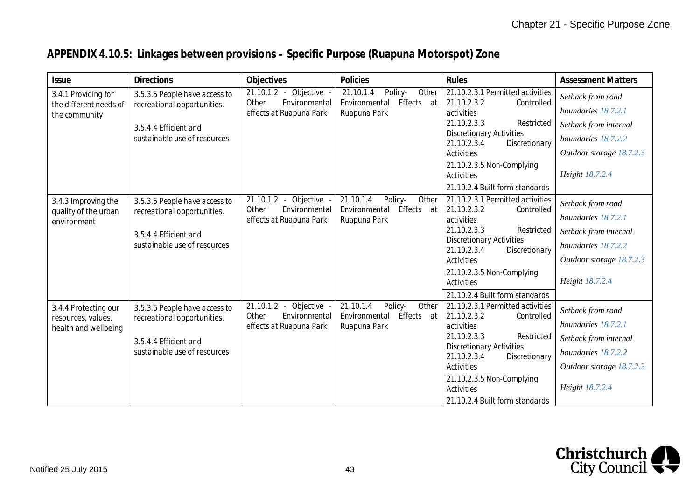## **APPENDIX 4.10.5: Linkages between provisions – Specific Purpose (Ruapuna Motorspot) Zone**

| <b>Issue</b>                                                       | <b>Directions</b>                                                                                                     | Objectives                                                                                   | Policies                                                                     | Rules                                                                                                                                                                                                                                              | <b>Assessment Matters</b>                                                                                                               |
|--------------------------------------------------------------------|-----------------------------------------------------------------------------------------------------------------------|----------------------------------------------------------------------------------------------|------------------------------------------------------------------------------|----------------------------------------------------------------------------------------------------------------------------------------------------------------------------------------------------------------------------------------------------|-----------------------------------------------------------------------------------------------------------------------------------------|
| 3.4.1 Providing for<br>the different needs of<br>the community     | 3.5.3.5 People have access to<br>recreational opportunities.<br>3.5.4.4 Efficient and<br>sustainable use of resources | 21.10.1.2 - Objective -<br>Environmental<br>Other<br>effects at Ruapuna Park                 | 21.10.1.4<br>Other<br>Policy-<br>Effects at<br>Environmental<br>Ruapuna Park | 21.10.2.3.1 Permitted activities<br>21.10.2.3.2<br>Controlled<br>activities<br>21.10.2.3.3<br>Restricted<br><b>Discretionary Activities</b><br>21.10.2.3.4<br>Discretionary<br><b>Activities</b><br>21.10.2.3.5 Non-Complying<br><b>Activities</b> | Setback from road<br>boundaries 18.7.2.1<br>Setback from internal<br>boundaries 18.7.2.2<br>Outdoor storage 18.7.2.3<br>Height 18.7.2.4 |
|                                                                    |                                                                                                                       |                                                                                              |                                                                              | 21.10.2.4 Built form standards                                                                                                                                                                                                                     |                                                                                                                                         |
| 3.4.3 Improving the<br>quality of the urban<br>environment         | 3.5.3.5 People have access to<br>recreational opportunities.<br>3.5.4.4 Efficient and<br>sustainable use of resources | $\overline{21.10.1.2}$ -<br>Objective -<br>Environmental<br>Other<br>effects at Ruapuna Park | 21.10.1.4<br>Policy-<br>Other<br>Effects at<br>Environmental<br>Ruapuna Park | 21.10.2.3.1 Permitted activities<br>21.10.2.3.2<br>Controlled<br>activities<br>21.10.2.3.3<br>Restricted<br><b>Discretionary Activities</b><br>21.10.2.3.4<br>Discretionary<br><b>Activities</b><br>21.10.2.3.5 Non-Complying<br><b>Activities</b> | Setback from road<br>boundaries 18.7.2.1<br>Setback from internal<br>boundaries 18.7.2.2<br>Outdoor storage 18.7.2.3<br>Height 18.7.2.4 |
|                                                                    |                                                                                                                       | Objective -<br>$21.10.1.2 -$                                                                 | 21.10.1.4<br>Policy-<br>Other                                                | 21.10.2.4 Built form standards<br>21.10.2.3.1 Permitted activities                                                                                                                                                                                 |                                                                                                                                         |
| 3.4.4 Protecting our<br>resources, values,<br>health and wellbeing | 3.5.3.5 People have access to<br>recreational opportunities.<br>3.5.4.4 Efficient and<br>sustainable use of resources | Environmental<br>Other<br>effects at Ruapuna Park                                            | Effects at<br>Environmental<br>Ruapuna Park                                  | 21.10.2.3.2<br>Controlled<br>activities<br>21.10.2.3.3<br>Restricted<br><b>Discretionary Activities</b><br>21.10.2.3.4<br>Discretionary<br>Activities<br>21.10.2.3.5 Non-Complying<br><b>Activities</b><br>21.10.2.4 Built form standards          | Setback from road<br>boundaries 18.7.2.1<br>Setback from internal<br>boundaries 18.7.2.2<br>Outdoor storage 18.7.2.3<br>Height 18.7.2.4 |

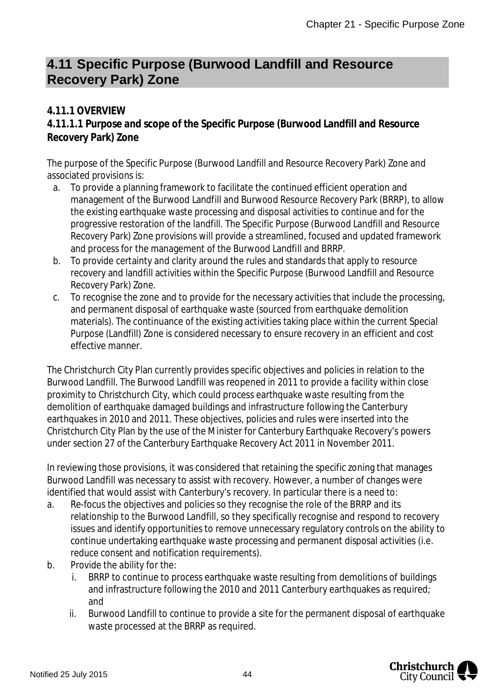## **4.11 Specific Purpose (Burwood Landfill and Resource Recovery Park) Zone**

### **4.11.1 OVERVIEW**

**4.11.1.1 Purpose and scope of the Specific Purpose (Burwood Landfill and Resource Recovery Park) Zone**

The purpose of the Specific Purpose (Burwood Landfill and Resource Recovery Park) Zone and associated provisions is:

- a. To provide a planning framework to facilitate the continued efficient operation and management of the Burwood Landfill and Burwood Resource Recovery Park (BRRP), to allow the existing earthquake waste processing and disposal activities to continue and for the progressive restoration of the landfill. The Specific Purpose (Burwood Landfill and Resource Recovery Park) Zone provisions will provide a streamlined, focused and updated framework and process for the management of the Burwood Landfill and BRRP.
- b. To provide certainty and clarity around the rules and standards that apply to resource recovery and landfill activities within the Specific Purpose (Burwood Landfill and Resource Recovery Park) Zone.
- c. To recognise the zone and to provide for the necessary activities that include the processing, and permanent disposal of earthquake waste (sourced from earthquake demolition materials). The continuance of the existing activities taking place within the current Special Purpose (Landfill) Zone is considered necessary to ensure recovery in an efficient and cost effective manner.

The Christchurch City Plan currently provides specific objectives and policies in relation to the Burwood Landfill. The Burwood Landfill was reopened in 2011 to provide a facility within close proximity to Christchurch City, which could process earthquake waste resulting from the demolition of earthquake damaged buildings and infrastructure following the Canterbury earthquakes in 2010 and 2011. These objectives, policies and rules were inserted into the Christchurch City Plan by the use of the Minister for Canterbury Earthquake Recovery's powers under section 27 of the Canterbury Earthquake Recovery Act 2011 in November 2011.

In reviewing those provisions, it was considered that retaining the specific zoning that manages Burwood Landfill was necessary to assist with recovery. However, a number of changes were identified that would assist with Canterbury's recovery. In particular there is a need to:

- a. Re-focus the objectives and policies so they recognise the role of the BRRP and its relationship to the Burwood Landfill, so they specifically recognise and respond to recovery issues and identify opportunities to remove unnecessary regulatory controls on the ability to continue undertaking earthquake waste processing and permanent disposal activities (i.e. reduce consent and notification requirements).
- b. Provide the ability for the:
	- BRRP to continue to process earthquake waste resulting from demolitions of buildings and infrastructure following the 2010 and 2011 Canterbury earthquakes as required; and
	- ii. Burwood Landfill to continue to provide a site for the permanent disposal of earthquake waste processed at the BRRP as required.

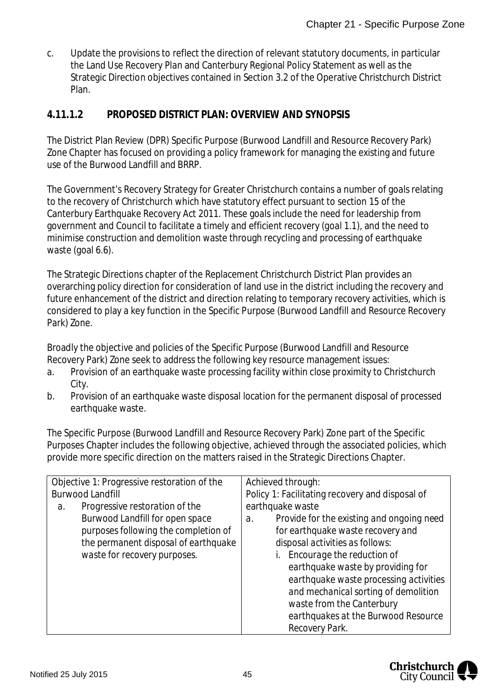c. Update the provisions to reflect the direction of relevant statutory documents, in particular the Land Use Recovery Plan and Canterbury Regional Policy Statement as well as the Strategic Direction objectives contained in Section 3.2 of the Operative Christchurch District Plan.

### **4.11.1.2 PROPOSED DISTRICT PLAN: OVERVIEW AND SYNOPSIS**

The District Plan Review (DPR) Specific Purpose (Burwood Landfill and Resource Recovery Park) Zone Chapter has focused on providing a policy framework for managing the existing and future use of the Burwood Landfill and BRRP.

The Government's Recovery Strategy for Greater Christchurch contains a number of goals relating to the recovery of Christchurch which have statutory effect pursuant to section 15 of the Canterbury Earthquake Recovery Act 2011. These goals include the need for leadership from government and Council to facilitate a timely and efficient recovery (goal 1.1), and the need to minimise construction and demolition waste through recycling and processing of earthquake waste (goal 6.6).

The Strategic Directions chapter of the Replacement Christchurch District Plan provides an overarching policy direction for consideration of land use in the district including the recovery and future enhancement of the district and direction relating to temporary recovery activities, which is considered to play a key function in the Specific Purpose (Burwood Landfill and Resource Recovery Park) Zone.

Broadly the objective and policies of the Specific Purpose (Burwood Landfill and Resource Recovery Park) Zone seek to address the following key resource management issues:

- a. Provision of an earthquake waste processing facility within close proximity to Christchurch City.
- b. Provision of an earthquake waste disposal location for the permanent disposal of processed earthquake waste.

The Specific Purpose (Burwood Landfill and Resource Recovery Park) Zone part of the Specific Purposes Chapter includes the following objective, achieved through the associated policies, which provide more specific direction on the matters raised in the Strategic Directions Chapter.

|    | Objective 1: Progressive restoration of the | Achieved through:                                         |  |
|----|---------------------------------------------|-----------------------------------------------------------|--|
|    | <b>Burwood Landfill</b>                     | Policy 1: Facilitating recovery and disposal of           |  |
| а. | Progressive restoration of the              | earthquake waste                                          |  |
|    | Burwood Landfill for open space             | Provide for the existing and ongoing need<br>$\partial$ . |  |
|    | purposes following the completion of        | for earthquake waste recovery and                         |  |
|    | the permanent disposal of earthquake        | disposal activities as follows:                           |  |
|    | waste for recovery purposes.                | Encourage the reduction of                                |  |
|    |                                             | earthquake waste by providing for                         |  |
|    |                                             | earthquake waste processing activities                    |  |
|    |                                             | and mechanical sorting of demolition                      |  |
|    |                                             | waste from the Canterbury                                 |  |
|    |                                             | earthquakes at the Burwood Resource                       |  |
|    |                                             | Recovery Park.                                            |  |

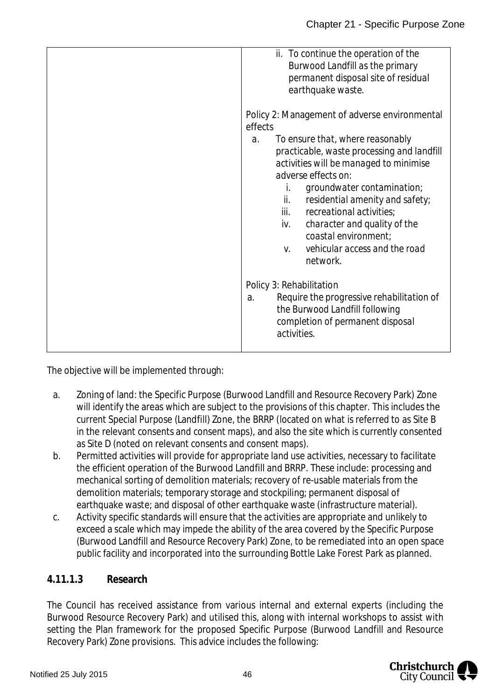| ii. To continue the operation of the<br>Burwood Landfill as the primary<br>permanent disposal site of residual<br>earthquake waste.                                                                                                                                                                                                                                                                 |
|-----------------------------------------------------------------------------------------------------------------------------------------------------------------------------------------------------------------------------------------------------------------------------------------------------------------------------------------------------------------------------------------------------|
| Policy 2: Management of adverse environmental<br>effects                                                                                                                                                                                                                                                                                                                                            |
| To ensure that, where reasonably<br>$\partial$ .<br>practicable, waste processing and landfill<br>activities will be managed to minimise<br>adverse effects on:<br>groundwater contamination;<br>İ.<br>ii.<br>residential amenity and safety;<br>iii.<br>recreational activities;<br>character and quality of the<br>iv.<br>coastal environment;<br>vehicular access and the road<br>V.<br>network. |
| Policy 3: Rehabilitation<br>Require the progressive rehabilitation of<br>a.<br>the Burwood Landfill following<br>completion of permanent disposal<br>activities.                                                                                                                                                                                                                                    |

The objective will be implemented through:

- a. Zoning of land: the Specific Purpose (Burwood Landfill and Resource Recovery Park) Zone will identify the areas which are subject to the provisions of this chapter. This includes the current Special Purpose (Landfill) Zone, the BRRP (located on what is referred to as Site B in the relevant consents and consent maps), and also the site which is currently consented as Site D (noted on relevant consents and consent maps).
- b. Permitted activities will provide for appropriate land use activities, necessary to facilitate the efficient operation of the Burwood Landfill and BRRP. These include: processing and mechanical sorting of demolition materials; recovery of re-usable materials from the demolition materials; temporary storage and stockpiling; permanent disposal of earthquake waste; and disposal of other earthquake waste (infrastructure material).
- c. Activity specific standards will ensure that the activities are appropriate and unlikely to exceed a scale which may impede the ability of the area covered by the Specific Purpose (Burwood Landfill and Resource Recovery Park) Zone, to be remediated into an open space public facility and incorporated into the surrounding Bottle Lake Forest Park as planned.

### **4.11.1.3 Research**

The Council has received assistance from various internal and external experts (including the Burwood Resource Recovery Park) and utilised this, along with internal workshops to assist with setting the Plan framework for the proposed Specific Purpose (Burwood Landfill and Resource Recovery Park) Zone provisions. This advice includes the following:

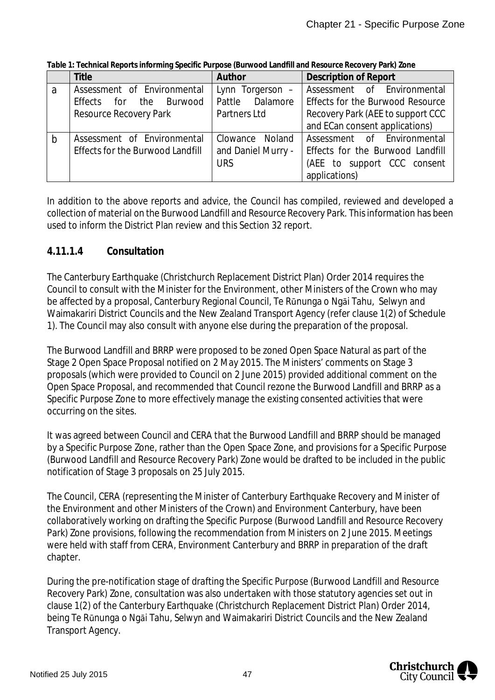|             | <b>Title</b>                            | Author             | <b>Description of Report</b>      |
|-------------|-----------------------------------------|--------------------|-----------------------------------|
| a           | Assessment of Environmental             | Lynn Torgerson -   | Assessment of Environmental       |
|             | Effects for the<br>Burwood              | Pattle Dalamore    | Effects for the Burwood Resource  |
|             | Resource Recovery Park                  | Partners Ltd       | Recovery Park (AEE to support CCC |
|             |                                         |                    | and ECan consent applications)    |
| $\mathsf b$ | Assessment of Environmental             | Clowance<br>Noland | Assessment of Environmental       |
|             | <b>Effects for the Burwood Landfill</b> | and Daniel Murry - | Effects for the Burwood Landfill  |
|             |                                         | <b>URS</b>         | (AEE to support CCC consent       |
|             |                                         |                    | applications)                     |

**Table 1: Technical Reports informing Specific Purpose (Burwood Landfill and Resource Recovery Park) Zone**

In addition to the above reports and advice, the Council has compiled, reviewed and developed a collection of material on the Burwood Landfill and Resource Recovery Park. This information has been used to inform the District Plan review and this Section 32 report.

#### **4.11.1.4 Consultation**

The Canterbury Earthquake (Christchurch Replacement District Plan) Order 2014 requires the Council to consult with the Minister for the Environment, other Ministers of the Crown who may be affected by a proposal, Canterbury Regional Council, Te Rūnunga o Ngāi Tahu, Selwyn and Waimakariri District Councils and the New Zealand Transport Agency (refer clause 1(2) of Schedule 1). The Council may also consult with anyone else during the preparation of the proposal.

The Burwood Landfill and BRRP were proposed to be zoned Open Space Natural as part of the Stage 2 Open Space Proposal notified on 2 May 2015. The Ministers' comments on Stage 3 proposals (which were provided to Council on 2 June 2015) provided additional comment on the Open Space Proposal, and recommended that Council rezone the Burwood Landfill and BRRP as a Specific Purpose Zone to more effectively manage the existing consented activities that were occurring on the sites.

It was agreed between Council and CERA that the Burwood Landfill and BRRP should be managed by a Specific Purpose Zone, rather than the Open Space Zone, and provisions for a Specific Purpose (Burwood Landfill and Resource Recovery Park) Zone would be drafted to be included in the public notification of Stage 3 proposals on 25 July 2015.

The Council, CERA (representing the Minister of Canterbury Earthquake Recovery and Minister of the Environment and other Ministers of the Crown) and Environment Canterbury, have been collaboratively working on drafting the Specific Purpose (Burwood Landfill and Resource Recovery Park) Zone provisions, following the recommendation from Ministers on 2 June 2015. Meetings were held with staff from CERA, Environment Canterbury and BRRP in preparation of the draft chapter.

During the pre-notification stage of drafting the Specific Purpose (Burwood Landfill and Resource Recovery Park) Zone, consultation was also undertaken with those statutory agencies set out in clause 1(2) of the Canterbury Earthquake (Christchurch Replacement District Plan) Order 2014, being Te Rūnunga o Ngāi Tahu, Selwyn and Waimakariri District Councils and the New Zealand Transport Agency.

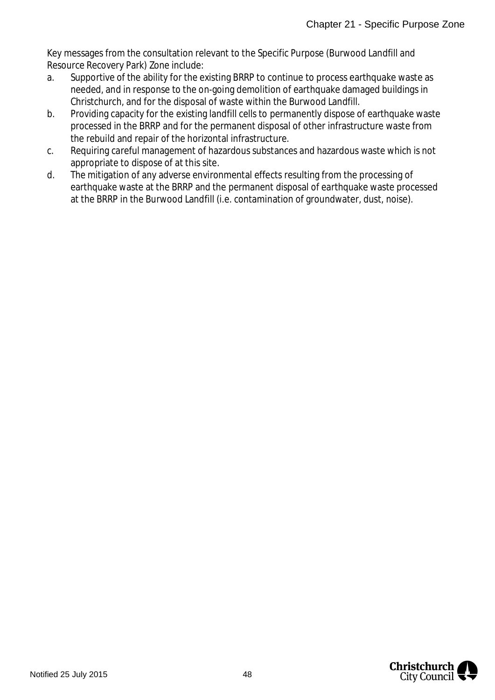Key messages from the consultation relevant to the Specific Purpose (Burwood Landfill and Resource Recovery Park) Zone include:

- a. Supportive of the ability for the existing BRRP to continue to process earthquake waste as needed, and in response to the on-going demolition of earthquake damaged buildings in Christchurch, and for the disposal of waste within the Burwood Landfill.
- b. Providing capacity for the existing landfill cells to permanently dispose of earthquake waste processed in the BRRP and for the permanent disposal of other infrastructure waste from the rebuild and repair of the horizontal infrastructure.
- c. Requiring careful management of hazardous substances and hazardous waste which is not appropriate to dispose of at this site.
- d. The mitigation of any adverse environmental effects resulting from the processing of earthquake waste at the BRRP and the permanent disposal of earthquake waste processed at the BRRP in the Burwood Landfill (i.e. contamination of groundwater, dust, noise).

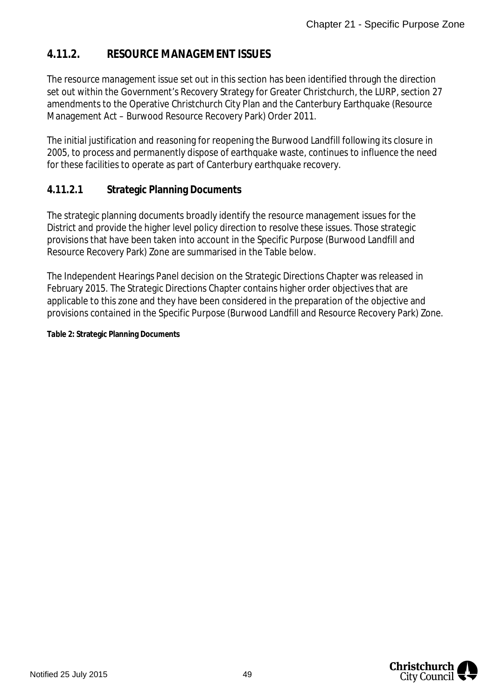### **4.11.2. RESOURCE MANAGEMENT ISSUES**

The resource management issue set out in this section has been identified through the direction set out within the Government's Recovery Strategy for Greater Christchurch, the LURP, section 27 amendments to the Operative Christchurch City Plan and the Canterbury Earthquake (Resource Management Act – Burwood Resource Recovery Park) Order 2011.

The initial justification and reasoning for reopening the Burwood Landfill following its closure in 2005, to process and permanently dispose of earthquake waste, continues to influence the need for these facilities to operate as part of Canterbury earthquake recovery.

#### **4.11.2.1 Strategic Planning Documents**

The strategic planning documents broadly identify the resource management issues for the District and provide the higher level policy direction to resolve these issues. Those strategic provisions that have been taken into account in the Specific Purpose (Burwood Landfill and Resource Recovery Park) Zone are summarised in the Table below.

The Independent Hearings Panel decision on the Strategic Directions Chapter was released in February 2015. The Strategic Directions Chapter contains higher order objectives that are applicable to this zone and they have been considered in the preparation of the objective and provisions contained in the Specific Purpose (Burwood Landfill and Resource Recovery Park) Zone.

**Table 2: Strategic Planning Documents**

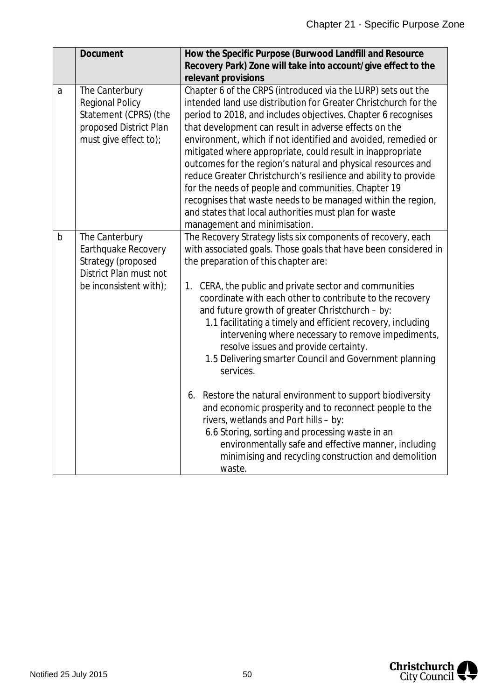|             | Document                                                                                                             | How the Specific Purpose (Burwood Landfill and Resource<br>Recovery Park) Zone will take into account/give effect to the<br>relevant provisions                                                                                                                                                                                                                                                                                                                                                                                                                                                                                                                                                                                             |
|-------------|----------------------------------------------------------------------------------------------------------------------|---------------------------------------------------------------------------------------------------------------------------------------------------------------------------------------------------------------------------------------------------------------------------------------------------------------------------------------------------------------------------------------------------------------------------------------------------------------------------------------------------------------------------------------------------------------------------------------------------------------------------------------------------------------------------------------------------------------------------------------------|
| a           | The Canterbury<br><b>Regional Policy</b><br>Statement (CPRS) (the<br>proposed District Plan<br>must give effect to); | Chapter 6 of the CRPS (introduced via the LURP) sets out the<br>intended land use distribution for Greater Christchurch for the<br>period to 2018, and includes objectives. Chapter 6 recognises<br>that development can result in adverse effects on the<br>environment, which if not identified and avoided, remedied or<br>mitigated where appropriate, could result in inappropriate<br>outcomes for the region's natural and physical resources and<br>reduce Greater Christchurch's resilience and ability to provide<br>for the needs of people and communities. Chapter 19<br>recognises that waste needs to be managed within the region,<br>and states that local authorities must plan for waste<br>management and minimisation. |
| $\mathsf b$ | The Canterbury<br>Earthquake Recovery<br>Strategy (proposed<br>District Plan must not<br>be inconsistent with);      | The Recovery Strategy lists six components of recovery, each<br>with associated goals. Those goals that have been considered in<br>the preparation of this chapter are:<br>1. CERA, the public and private sector and communities<br>coordinate with each other to contribute to the recovery<br>and future growth of greater Christchurch - by:<br>1.1 facilitating a timely and efficient recovery, including<br>intervening where necessary to remove impediments,<br>resolve issues and provide certainty.<br>1.5 Delivering smarter Council and Government planning<br>services.                                                                                                                                                       |
|             |                                                                                                                      | Restore the natural environment to support biodiversity<br>6.<br>and economic prosperity and to reconnect people to the<br>rivers, wetlands and Port hills - by:<br>6.6 Storing, sorting and processing waste in an<br>environmentally safe and effective manner, including<br>minimising and recycling construction and demolition<br>waste.                                                                                                                                                                                                                                                                                                                                                                                               |

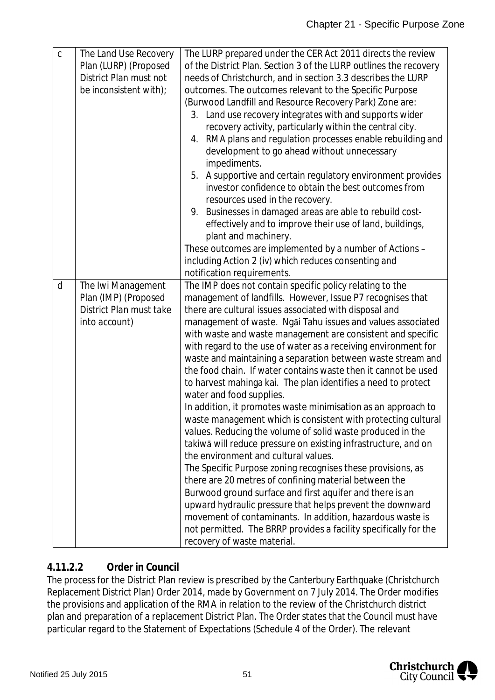| $\mathsf{C}$ | The Land Use Recovery   | The LURP prepared under the CER Act 2011 directs the review       |
|--------------|-------------------------|-------------------------------------------------------------------|
|              | Plan (LURP) (Proposed   | of the District Plan. Section 3 of the LURP outlines the recovery |
|              | District Plan must not  | needs of Christchurch, and in section 3.3 describes the LURP      |
|              | be inconsistent with);  | outcomes. The outcomes relevant to the Specific Purpose           |
|              |                         | (Burwood Landfill and Resource Recovery Park) Zone are:           |
|              |                         | 3. Land use recovery integrates with and supports wider           |
|              |                         | recovery activity, particularly within the central city.          |
|              |                         | 4. RMA plans and regulation processes enable rebuilding and       |
|              |                         | development to go ahead without unnecessary                       |
|              |                         | impediments.                                                      |
|              |                         | 5. A supportive and certain regulatory environment provides       |
|              |                         | investor confidence to obtain the best outcomes from              |
|              |                         | resources used in the recovery.                                   |
|              |                         | 9. Businesses in damaged areas are able to rebuild cost-          |
|              |                         | effectively and to improve their use of land, buildings,          |
|              |                         | plant and machinery.                                              |
|              |                         | These outcomes are implemented by a number of Actions -           |
|              |                         | including Action 2 (iv) which reduces consenting and              |
|              |                         | notification requirements.                                        |
| d            | The Iwi Management      | The IMP does not contain specific policy relating to the          |
|              | Plan (IMP) (Proposed    | management of landfills. However, Issue P7 recognises that        |
|              | District Plan must take | there are cultural issues associated with disposal and            |
|              | into account)           | management of waste. Ngāi Tahu issues and values associated       |
|              |                         | with waste and waste management are consistent and specific       |
|              |                         | with regard to the use of water as a receiving environment for    |
|              |                         | waste and maintaining a separation between waste stream and       |
|              |                         | the food chain. If water contains waste then it cannot be used    |
|              |                         | to harvest mahinga kai. The plan identifies a need to protect     |
|              |                         | water and food supplies.                                          |
|              |                         | In addition, it promotes waste minimisation as an approach to     |
|              |                         | waste management which is consistent with protecting cultural     |
|              |                         | values. Reducing the volume of solid waste produced in the        |
|              |                         | takiwā will reduce pressure on existing infrastructure, and on    |
|              |                         | the environment and cultural values.                              |
|              |                         | The Specific Purpose zoning recognises these provisions, as       |
|              |                         | there are 20 metres of confining material between the             |
|              |                         | Burwood ground surface and first aquifer and there is an          |
|              |                         | upward hydraulic pressure that helps prevent the downward         |
|              |                         | movement of contaminants. In addition, hazardous waste is         |
|              |                         | not permitted. The BRRP provides a facility specifically for the  |
|              |                         | recovery of waste material.                                       |

### **4.11.2.2 Order in Council**

The process for the District Plan review is prescribed by the Canterbury Earthquake (Christchurch Replacement District Plan) Order 2014, made by Government on 7 July 2014. The Order modifies the provisions and application of the RMA in relation to the review of the Christchurch district plan and preparation of a replacement District Plan. The Order states that the Council must have particular regard to the Statement of Expectations (Schedule 4 of the Order). The relevant

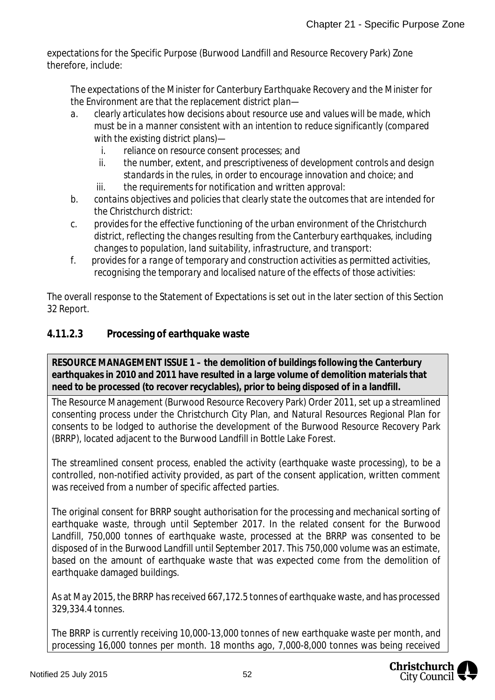expectations for the Specific Purpose (Burwood Landfill and Resource Recovery Park) Zone therefore, include:

*The expectations of the Minister for Canterbury Earthquake Recovery and the Minister for the Environment are that the replacement district plan—*

- *a. clearly articulates how decisions about resource use and values will be made, which must be in a manner consistent with an intention to reduce significantly (compared with the existing district plans)*
	- *i. reliance on resource consent processes; and*
	- *ii. the number, extent, and prescriptiveness of development controls and design standards in the rules, in order to encourage innovation and choice; and*
	- *iii. the requirements for notification and written approval:*
- *b. contains objectives and policies that clearly state the outcomes that are intended for the Christchurch district:*
- *c. provides for the effective functioning of the urban environment of the Christchurch district, reflecting the changes resulting from the Canterbury earthquakes, including changes to population, land suitability, infrastructure, and transport:*
- *f. provides for a range of temporary and construction activities as permitted activities, recognising the temporary and localised nature of the effects of those activities:*

The overall response to the Statement of Expectations is set out in the later section of this Section 32 Report.

### **4.11.2.3 Processing of earthquake waste**

**RESOURCE MANAGEMENT ISSUE 1 – the demolition of buildings following the Canterbury earthquakes in 2010 and 2011 have resulted in a large volume of demolition materials that need to be processed (to recover recyclables), prior to being disposed of in a landfill.**

The Resource Management (Burwood Resource Recovery Park) Order 2011, set up a streamlined consenting process under the Christchurch City Plan, and Natural Resources Regional Plan for consents to be lodged to authorise the development of the Burwood Resource Recovery Park (BRRP), located adjacent to the Burwood Landfill in Bottle Lake Forest.

The streamlined consent process, enabled the activity (earthquake waste processing), to be a controlled, non-notified activity provided, as part of the consent application, written comment was received from a number of specific affected parties.

The original consent for BRRP sought authorisation for the processing and mechanical sorting of earthquake waste, through until September 2017. In the related consent for the Burwood Landfill, 750,000 tonnes of earthquake waste, processed at the BRRP was consented to be disposed of in the Burwood Landfill until September 2017. This 750,000 volume was an estimate, based on the amount of earthquake waste that was expected come from the demolition of earthquake damaged buildings.

As at May 2015, the BRRP has received 667,172.5 tonnes of earthquake waste, and has processed 329,334.4 tonnes.

The BRRP is currently receiving 10,000-13,000 tonnes of new earthquake waste per month, and processing 16,000 tonnes per month. 18 months ago, 7,000-8,000 tonnes was being received

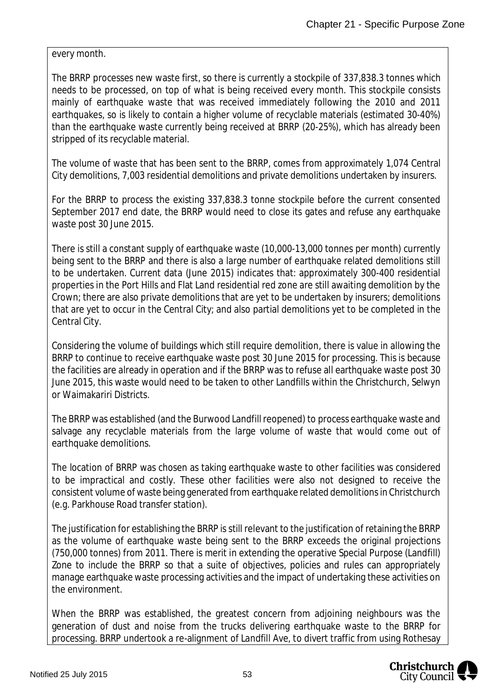every month.

The BRRP processes new waste first, so there is currently a stockpile of 337,838.3 tonnes which needs to be processed, on top of what is being received every month. This stockpile consists mainly of earthquake waste that was received immediately following the 2010 and 2011 earthquakes, so is likely to contain a higher volume of recyclable materials (estimated 30-40%) than the earthquake waste currently being received at BRRP (20-25%), which has already been stripped of its recyclable material.

The volume of waste that has been sent to the BRRP, comes from approximately 1,074 Central City demolitions, 7,003 residential demolitions and private demolitions undertaken by insurers.

For the BRRP to process the existing 337,838.3 tonne stockpile before the current consented September 2017 end date, the BRRP would need to close its gates and refuse any earthquake waste post 30 June 2015.

There is still a constant supply of earthquake waste (10,000-13,000 tonnes per month) currently being sent to the BRRP and there is also a large number of earthquake related demolitions still to be undertaken. Current data (June 2015) indicates that: approximately 300-400 residential properties in the Port Hills and Flat Land residential red zone are still awaiting demolition by the Crown; there are also private demolitions that are yet to be undertaken by insurers; demolitions that are yet to occur in the Central City; and also partial demolitions yet to be completed in the Central City.

Considering the volume of buildings which still require demolition, there is value in allowing the BRRP to continue to receive earthquake waste post 30 June 2015 for processing. This is because the facilities are already in operation and if the BRRP was to refuse all earthquake waste post 30 June 2015, this waste would need to be taken to other Landfills within the Christchurch, Selwyn or Waimakariri Districts.

The BRRP was established (and the Burwood Landfill reopened) to process earthquake waste and salvage any recyclable materials from the large volume of waste that would come out of earthquake demolitions.

The location of BRRP was chosen as taking earthquake waste to other facilities was considered to be impractical and costly. These other facilities were also not designed to receive the consistent volume of waste being generated from earthquake related demolitions in Christchurch (e.g. Parkhouse Road transfer station).

The justification for establishing the BRRP is still relevant to the justification of retaining the BRRP as the volume of earthquake waste being sent to the BRRP exceeds the original projections (750,000 tonnes) from 2011. There is merit in extending the operative Special Purpose (Landfill) Zone to include the BRRP so that a suite of objectives, policies and rules can appropriately manage earthquake waste processing activities and the impact of undertaking these activities on the environment.

When the BRRP was established, the greatest concern from adjoining neighbours was the generation of dust and noise from the trucks delivering earthquake waste to the BRRP for processing. BRRP undertook a re-alignment of Landfill Ave, to divert traffic from using Rothesay

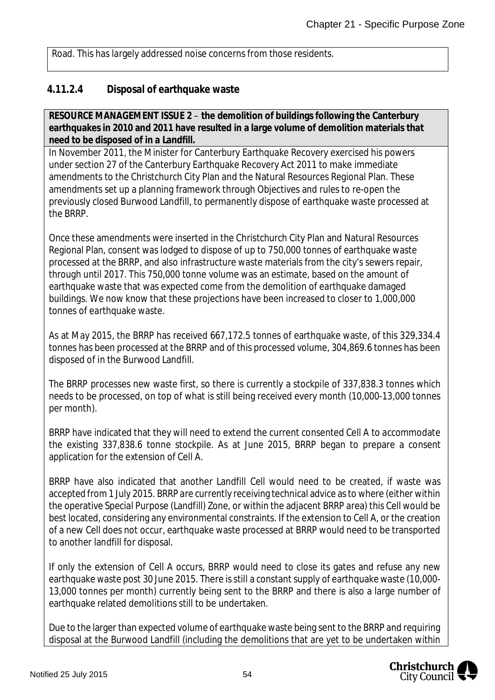Road. This has largely addressed noise concerns from those residents.

#### **4.11.2.4 Disposal of earthquake waste**

**RESOURCE MANAGEMENT ISSUE 2** – **the demolition of buildings following the Canterbury earthquakes in 2010 and 2011 have resulted in a large volume of demolition materials that need to be disposed of in a Landfill.**

In November 2011, the Minister for Canterbury Earthquake Recovery exercised his powers under section 27 of the Canterbury Earthquake Recovery Act 2011 to make immediate amendments to the Christchurch City Plan and the Natural Resources Regional Plan. These amendments set up a planning framework through Objectives and rules to re-open the previously closed Burwood Landfill, to permanently dispose of earthquake waste processed at the BRRP.

Once these amendments were inserted in the Christchurch City Plan and Natural Resources Regional Plan, consent was lodged to dispose of up to 750,000 tonnes of earthquake waste processed at the BRRP, and also infrastructure waste materials from the city's sewers repair, through until 2017. This 750,000 tonne volume was an estimate, based on the amount of earthquake waste that was expected come from the demolition of earthquake damaged buildings. We now know that these projections have been increased to closer to 1,000,000 tonnes of earthquake waste.

As at May 2015, the BRRP has received 667,172.5 tonnes of earthquake waste, of this 329,334.4 tonnes has been processed at the BRRP and of this processed volume, 304,869.6 tonnes has been disposed of in the Burwood Landfill.

The BRRP processes new waste first, so there is currently a stockpile of 337,838.3 tonnes which needs to be processed, on top of what is still being received every month (10,000-13,000 tonnes per month).

BRRP have indicated that they will need to extend the current consented Cell A to accommodate the existing 337,838.6 tonne stockpile. As at June 2015, BRRP began to prepare a consent application for the extension of Cell A.

BRRP have also indicated that another Landfill Cell would need to be created, if waste was accepted from 1 July 2015. BRRP are currently receiving technical advice as to where (either within the operative Special Purpose (Landfill) Zone, or within the adjacent BRRP area) this Cell would be best located, considering any environmental constraints. If the extension to Cell A, or the creation of a new Cell does not occur, earthquake waste processed at BRRP would need to be transported to another landfill for disposal.

If only the extension of Cell A occurs, BRRP would need to close its gates and refuse any new earthquake waste post 30 June 2015. There is still a constant supply of earthquake waste (10,000- 13,000 tonnes per month) currently being sent to the BRRP and there is also a large number of earthquake related demolitions still to be undertaken.

Due to the larger than expected volume of earthquake waste being sent to the BRRP and requiring disposal at the Burwood Landfill (including the demolitions that are yet to be undertaken within

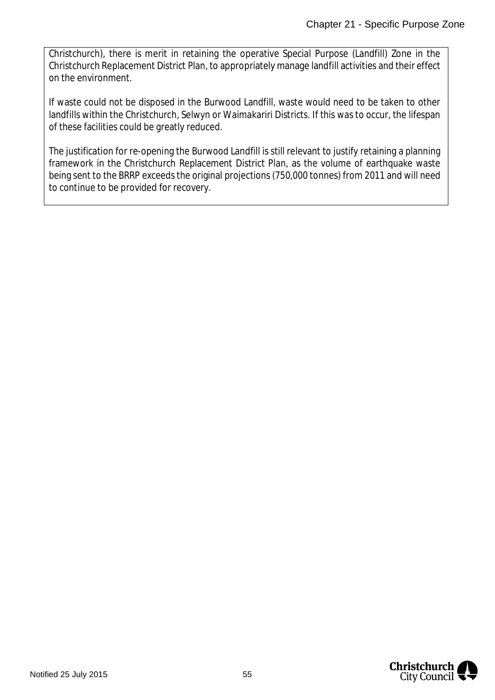Christchurch), there is merit in retaining the operative Special Purpose (Landfill) Zone in the Christchurch Replacement District Plan, to appropriately manage landfill activities and their effect on the environment.

If waste could not be disposed in the Burwood Landfill, waste would need to be taken to other landfills within the Christchurch, Selwyn or Waimakariri Districts. If this was to occur, the lifespan of these facilities could be greatly reduced.

The justification for re-opening the Burwood Landfill is still relevant to justify retaining a planning framework in the Christchurch Replacement District Plan, as the volume of earthquake waste being sent to the BRRP exceeds the original projections (750,000 tonnes) from 2011 and will need to continue to be provided for recovery.

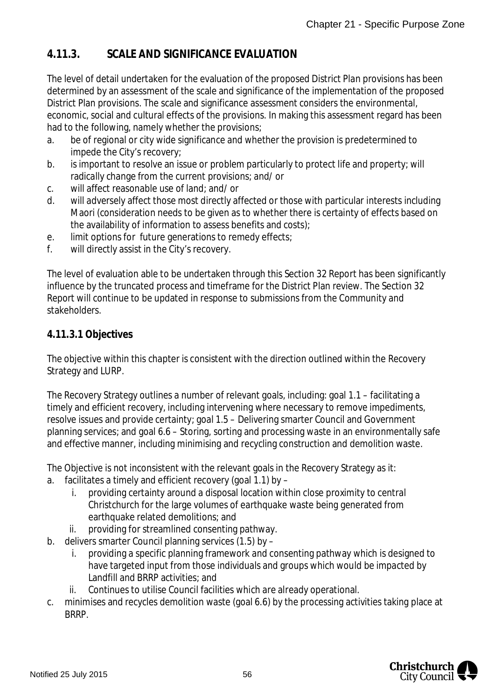### **4.11.3. SCALE AND SIGNIFICANCE EVALUATION**

The level of detail undertaken for the evaluation of the proposed District Plan provisions has been determined by an assessment of the scale and significance of the implementation of the proposed District Plan provisions. The scale and significance assessment considers the environmental, economic, social and cultural effects of the provisions. In making this assessment regard has been had to the following, namely whether the provisions;

- a. be of regional or city wide significance and whether the provision is predetermined to impede the City's recovery;
- b. is important to resolve an issue or problem particularly to protect life and property; will radically change from the current provisions; and/ or
- c. will affect reasonable use of land; and/ or
- d. will adversely affect those most directly affected or those with particular interests including Maori (consideration needs to be given as to whether there is certainty of effects based on the availability of information to assess benefits and costs);
- e. limit options for future generations to remedy effects;
- f. will directly assist in the City's recovery.

The level of evaluation able to be undertaken through this Section 32 Report has been significantly influence by the truncated process and timeframe for the District Plan review. The Section 32 Report will continue to be updated in response to submissions from the Community and stakeholders.

### **4.11.3.1 Objectives**

The objective within this chapter is consistent with the direction outlined within the Recovery Strategy and LURP.

The Recovery Strategy outlines a number of relevant goals, including: goal 1.1 – facilitating a timely and efficient recovery, including intervening where necessary to remove impediments, resolve issues and provide certainty; goal 1.5 – Delivering smarter Council and Government planning services; and goal 6.6 – Storing, sorting and processing waste in an environmentally safe and effective manner, including minimising and recycling construction and demolition waste.

The Objective is not inconsistent with the relevant goals in the Recovery Strategy as it: a. facilitates a timely and efficient recovery (goal 1.1) by –

- i. providing certainty around a disposal location within close proximity to central Christchurch for the large volumes of earthquake waste being generated from earthquake related demolitions; and
- ii. providing for streamlined consenting pathway.
- b. delivers smarter Council planning services (1.5) by
	- i. providing a specific planning framework and consenting pathway which is designed to have targeted input from those individuals and groups which would be impacted by Landfill and BRRP activities; and
	- ii. Continues to utilise Council facilities which are already operational.
- c. minimises and recycles demolition waste (goal 6.6) by the processing activities taking place at BRRP.

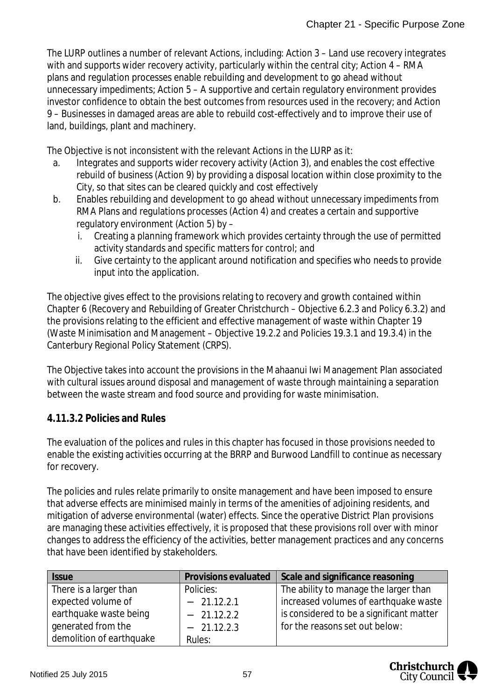The LURP outlines a number of relevant Actions, including: Action 3 – Land use recovery integrates with and supports wider recovery activity, particularly within the central city; Action 4 – RMA plans and regulation processes enable rebuilding and development to go ahead without unnecessary impediments; Action 5 – A supportive and certain regulatory environment provides investor confidence to obtain the best outcomes from resources used in the recovery; and Action 9 – Businesses in damaged areas are able to rebuild cost-effectively and to improve their use of land, buildings, plant and machinery.

The Objective is not inconsistent with the relevant Actions in the LURP as it:

- a. Integrates and supports wider recovery activity (Action 3), and enables the cost effective rebuild of business (Action 9) by providing a disposal location within close proximity to the City, so that sites can be cleared quickly and cost effectively
- b. Enables rebuilding and development to go ahead without unnecessary impediments from RMA Plans and regulations processes (Action 4) and creates a certain and supportive regulatory environment (Action 5) by –
	- i. Creating a planning framework which provides certainty through the use of permitted activity standards and specific matters for control; and
	- ii. Give certainty to the applicant around notification and specifies who needs to provide input into the application.

The objective gives effect to the provisions relating to recovery and growth contained within Chapter 6 (Recovery and Rebuilding of Greater Christchurch – Objective 6.2.3 and Policy 6.3.2) and the provisions relating to the efficient and effective management of waste within Chapter 19 (Waste Minimisation and Management – Objective 19.2.2 and Policies 19.3.1 and 19.3.4) in the Canterbury Regional Policy Statement (CRPS).

The Objective takes into account the provisions in the Mahaanui Iwi Management Plan associated with cultural issues around disposal and management of waste through maintaining a separation between the waste stream and food source and providing for waste minimisation.

### **4.11.3.2 Policies and Rules**

The evaluation of the polices and rules in this chapter has focused in those provisions needed to enable the existing activities occurring at the BRRP and Burwood Landfill to continue as necessary for recovery.

The policies and rules relate primarily to onsite management and have been imposed to ensure that adverse effects are minimised mainly in terms of the amenities of adjoining residents, and mitigation of adverse environmental (water) effects. Since the operative District Plan provisions are managing these activities effectively, it is proposed that these provisions roll over with minor changes to address the efficiency of the activities, better management practices and any concerns that have been identified by stakeholders.

| <b>Issue</b>             | Provisions evaluated | Scale and significance reasoning         |
|--------------------------|----------------------|------------------------------------------|
| There is a larger than   | Policies:            | The ability to manage the larger than    |
| expected volume of       | $-21.12.2.1$         | increased volumes of earthquake waste    |
| earthquake waste being   | $-21.12.2.2$         | is considered to be a significant matter |
| generated from the       | $-21.12.2.3$         | for the reasons set out below:           |
| demolition of earthquake | Rules:               |                                          |

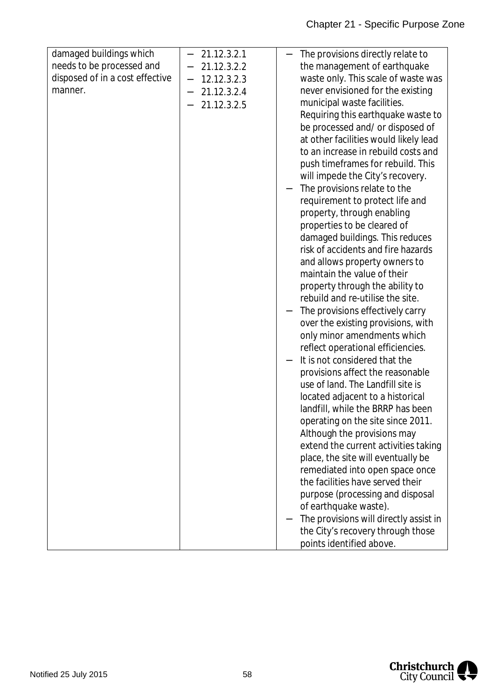| damaged buildings which         |                              | 21.12.3.2.1 | The provisions directly relate to      |
|---------------------------------|------------------------------|-------------|----------------------------------------|
| needs to be processed and       | $\qquad \qquad \blacksquare$ | 21.12.3.2.2 | the management of earthquake           |
| disposed of in a cost effective | $\qquad \qquad \blacksquare$ | 12.12.3.2.3 | waste only. This scale of waste was    |
| manner.                         | -                            | 21.12.3.2.4 | never envisioned for the existing      |
|                                 |                              | 21.12.3.2.5 | municipal waste facilities.            |
|                                 |                              |             | Requiring this earthquake waste to     |
|                                 |                              |             | be processed and/ or disposed of       |
|                                 |                              |             | at other facilities would likely lead  |
|                                 |                              |             | to an increase in rebuild costs and    |
|                                 |                              |             | push timeframes for rebuild. This      |
|                                 |                              |             | will impede the City's recovery.       |
|                                 |                              |             | The provisions relate to the           |
|                                 |                              |             | requirement to protect life and        |
|                                 |                              |             | property, through enabling             |
|                                 |                              |             | properties to be cleared of            |
|                                 |                              |             | damaged buildings. This reduces        |
|                                 |                              |             | risk of accidents and fire hazards     |
|                                 |                              |             | and allows property owners to          |
|                                 |                              |             | maintain the value of their            |
|                                 |                              |             |                                        |
|                                 |                              |             | property through the ability to        |
|                                 |                              |             | rebuild and re-utilise the site.       |
|                                 |                              |             | The provisions effectively carry       |
|                                 |                              |             | over the existing provisions, with     |
|                                 |                              |             | only minor amendments which            |
|                                 |                              |             | reflect operational efficiencies.      |
|                                 |                              |             | It is not considered that the          |
|                                 |                              |             | provisions affect the reasonable       |
|                                 |                              |             | use of land. The Landfill site is      |
|                                 |                              |             | located adjacent to a historical       |
|                                 |                              |             | landfill, while the BRRP has been      |
|                                 |                              |             | operating on the site since 2011.      |
|                                 |                              |             | Although the provisions may            |
|                                 |                              |             | extend the current activities taking   |
|                                 |                              |             | place, the site will eventually be     |
|                                 |                              |             | remediated into open space once        |
|                                 |                              |             | the facilities have served their       |
|                                 |                              |             | purpose (processing and disposal       |
|                                 |                              |             | of earthquake waste).                  |
|                                 |                              |             | The provisions will directly assist in |
|                                 |                              |             | the City's recovery through those      |
|                                 |                              |             | points identified above.               |

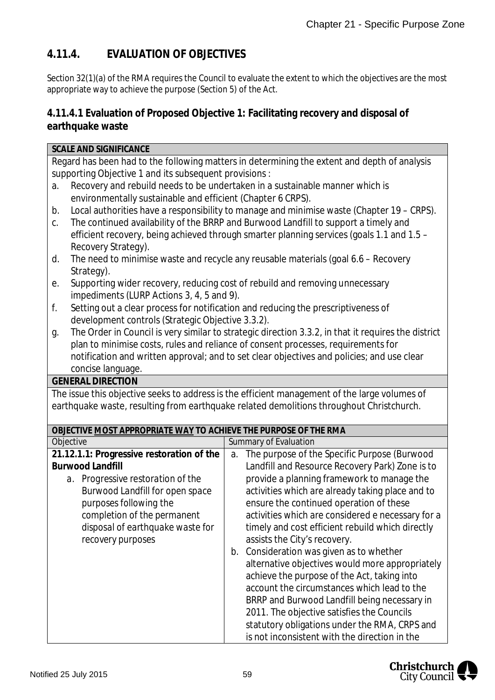### **4.11.4. EVALUATION OF OBJECTIVES**

Section 32(1)(a) of the RMA requires the Council to evaluate the extent to which the objectives are the most appropriate way to achieve the purpose (Section 5) of the Act.

**4.11.4.1 Evaluation of Proposed Objective 1: Facilitating recovery and disposal of earthquake waste**

| <b>SCALE AND SIGNIFICANCE</b>                                                                                                                                                                  |                                                                                                                                                                                  |  |  |  |
|------------------------------------------------------------------------------------------------------------------------------------------------------------------------------------------------|----------------------------------------------------------------------------------------------------------------------------------------------------------------------------------|--|--|--|
| Regard has been had to the following matters in determining the extent and depth of analysis                                                                                                   |                                                                                                                                                                                  |  |  |  |
| supporting Objective 1 and its subsequent provisions :                                                                                                                                         |                                                                                                                                                                                  |  |  |  |
| Recovery and rebuild needs to be undertaken in a sustainable manner which is<br>a.                                                                                                             |                                                                                                                                                                                  |  |  |  |
| environmentally sustainable and efficient (Chapter 6 CRPS).                                                                                                                                    |                                                                                                                                                                                  |  |  |  |
| b.                                                                                                                                                                                             |                                                                                                                                                                                  |  |  |  |
| C.                                                                                                                                                                                             | Local authorities have a responsibility to manage and minimise waste (Chapter 19 - CRPS).<br>The continued availability of the BRRP and Burwood Landfill to support a timely and |  |  |  |
|                                                                                                                                                                                                |                                                                                                                                                                                  |  |  |  |
| efficient recovery, being achieved through smarter planning services (goals 1.1 and 1.5 -<br>Recovery Strategy).                                                                               |                                                                                                                                                                                  |  |  |  |
| The need to minimise waste and recycle any reusable materials (goal 6.6 - Recovery<br>d.                                                                                                       |                                                                                                                                                                                  |  |  |  |
| Strategy).                                                                                                                                                                                     |                                                                                                                                                                                  |  |  |  |
| е.                                                                                                                                                                                             | Supporting wider recovery, reducing cost of rebuild and removing unnecessary                                                                                                     |  |  |  |
| impediments (LURP Actions 3, 4, 5 and 9).                                                                                                                                                      |                                                                                                                                                                                  |  |  |  |
| f.                                                                                                                                                                                             | Setting out a clear process for notification and reducing the prescriptiveness of                                                                                                |  |  |  |
| development controls (Strategic Objective 3.3.2).                                                                                                                                              |                                                                                                                                                                                  |  |  |  |
|                                                                                                                                                                                                |                                                                                                                                                                                  |  |  |  |
| The Order in Council is very similar to strategic direction 3.3.2, in that it requires the district<br>g.<br>plan to minimise costs, rules and reliance of consent processes, requirements for |                                                                                                                                                                                  |  |  |  |
| notification and written approval; and to set clear objectives and policies; and use clear                                                                                                     |                                                                                                                                                                                  |  |  |  |
| concise language.                                                                                                                                                                              |                                                                                                                                                                                  |  |  |  |
| <b>GENERAL DIRECTION</b>                                                                                                                                                                       |                                                                                                                                                                                  |  |  |  |
| The issue this objective seeks to address is the efficient management of the large volumes of                                                                                                  |                                                                                                                                                                                  |  |  |  |
|                                                                                                                                                                                                | earthquake waste, resulting from earthquake related demolitions throughout Christchurch.                                                                                         |  |  |  |
|                                                                                                                                                                                                |                                                                                                                                                                                  |  |  |  |
| OBJECTIVE MOST APPROPRIATE WAY TO ACHIEVE THE PURPOSE OF THE RMA                                                                                                                               |                                                                                                                                                                                  |  |  |  |
| Objective                                                                                                                                                                                      | Summary of Evaluation                                                                                                                                                            |  |  |  |
| 21.12.1.1: Progressive restoration of the                                                                                                                                                      | The purpose of the Specific Purpose (Burwood<br>a.                                                                                                                               |  |  |  |
| <b>Burwood Landfill</b>                                                                                                                                                                        | Landfill and Resource Recovery Park) Zone is to                                                                                                                                  |  |  |  |
| a. Progressive restoration of the                                                                                                                                                              | provide a planning framework to manage the                                                                                                                                       |  |  |  |
| Burwood Landfill for open space                                                                                                                                                                | activities which are already taking place and to                                                                                                                                 |  |  |  |
| purposes following the                                                                                                                                                                         | ensure the continued operation of these                                                                                                                                          |  |  |  |
| completion of the permanent                                                                                                                                                                    | activities which are considered e necessary for a                                                                                                                                |  |  |  |
| disposal of earthquake waste for                                                                                                                                                               | timely and cost efficient rebuild which directly                                                                                                                                 |  |  |  |
| recovery purposes                                                                                                                                                                              | assists the City's recovery.                                                                                                                                                     |  |  |  |
|                                                                                                                                                                                                | Consideration was given as to whether<br>b.                                                                                                                                      |  |  |  |
|                                                                                                                                                                                                | alternative objectives would more appropriately                                                                                                                                  |  |  |  |
|                                                                                                                                                                                                | achieve the purpose of the Act, taking into                                                                                                                                      |  |  |  |
|                                                                                                                                                                                                | account the circumstances which lead to the                                                                                                                                      |  |  |  |
|                                                                                                                                                                                                | BRRP and Burwood Landfill being necessary in                                                                                                                                     |  |  |  |
|                                                                                                                                                                                                | 2011. The objective satisfies the Councils                                                                                                                                       |  |  |  |
|                                                                                                                                                                                                | statutory obligations under the RMA, CRPS and                                                                                                                                    |  |  |  |
|                                                                                                                                                                                                | is not inconsistent with the direction in the                                                                                                                                    |  |  |  |

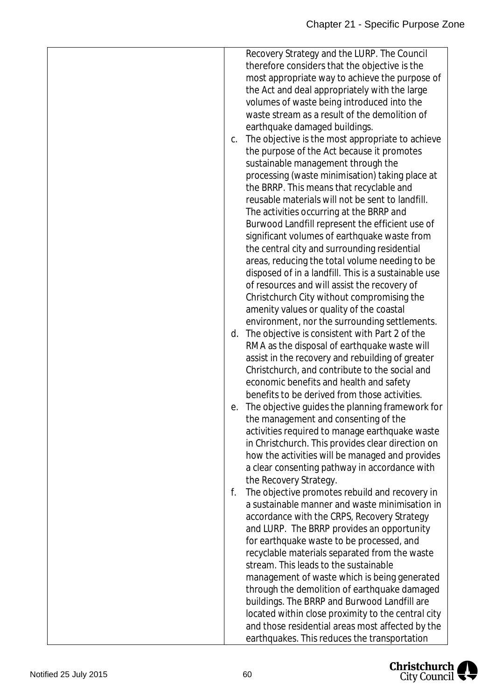| C. | Recovery Strategy and the LURP. The Council<br>therefore considers that the objective is the<br>most appropriate way to achieve the purpose of<br>the Act and deal appropriately with the large<br>volumes of waste being introduced into the<br>waste stream as a result of the demolition of<br>earthquake damaged buildings.<br>The objective is the most appropriate to achieve<br>the purpose of the Act because it promotes<br>sustainable management through the<br>processing (waste minimisation) taking place at<br>the BRRP. This means that recyclable and<br>reusable materials will not be sent to landfill.<br>The activities occurring at the BRRP and<br>Burwood Landfill represent the efficient use of<br>significant volumes of earthquake waste from<br>the central city and surrounding residential<br>areas, reducing the total volume needing to be<br>disposed of in a landfill. This is a sustainable use<br>of resources and will assist the recovery of<br>Christchurch City without compromising the<br>amenity values or quality of the coastal |
|----|-------------------------------------------------------------------------------------------------------------------------------------------------------------------------------------------------------------------------------------------------------------------------------------------------------------------------------------------------------------------------------------------------------------------------------------------------------------------------------------------------------------------------------------------------------------------------------------------------------------------------------------------------------------------------------------------------------------------------------------------------------------------------------------------------------------------------------------------------------------------------------------------------------------------------------------------------------------------------------------------------------------------------------------------------------------------------------|
| d. | environment, nor the surrounding settlements.<br>The objective is consistent with Part 2 of the<br>RMA as the disposal of earthquake waste will<br>assist in the recovery and rebuilding of greater<br>Christchurch, and contribute to the social and<br>economic benefits and health and safety                                                                                                                                                                                                                                                                                                                                                                                                                                                                                                                                                                                                                                                                                                                                                                              |
| е. | benefits to be derived from those activities.<br>The objective guides the planning framework for<br>the management and consenting of the<br>activities required to manage earthquake waste<br>in Christchurch. This provides clear direction on<br>how the activities will be managed and provides<br>a clear consenting pathway in accordance with                                                                                                                                                                                                                                                                                                                                                                                                                                                                                                                                                                                                                                                                                                                           |
| f. | the Recovery Strategy.<br>The objective promotes rebuild and recovery in<br>a sustainable manner and waste minimisation in<br>accordance with the CRPS, Recovery Strategy<br>and LURP. The BRRP provides an opportunity<br>for earthquake waste to be processed, and<br>recyclable materials separated from the waste<br>stream. This leads to the sustainable<br>management of waste which is being generated<br>through the demolition of earthquake damaged<br>buildings. The BRRP and Burwood Landfill are<br>located within close proximity to the central city<br>and those residential areas most affected by the<br>earthquakes. This reduces the transportation                                                                                                                                                                                                                                                                                                                                                                                                      |

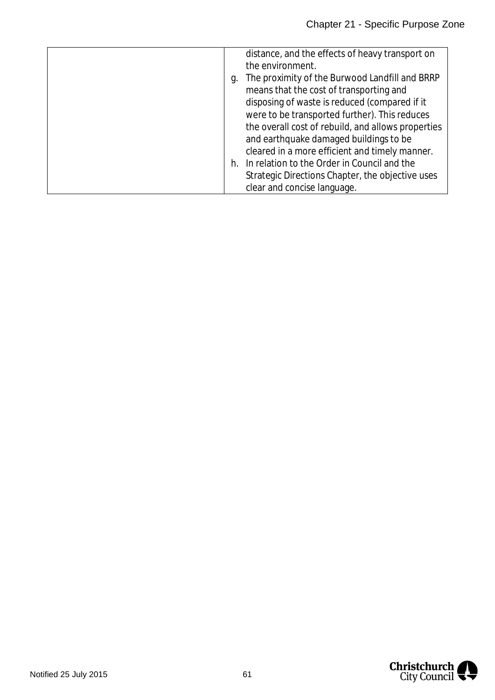|    | distance, and the effects of heavy transport on    |
|----|----------------------------------------------------|
|    | the environment.                                   |
| g. | The proximity of the Burwood Landfill and BRRP     |
|    | means that the cost of transporting and            |
|    | disposing of waste is reduced (compared if it      |
|    | were to be transported further). This reduces      |
|    | the overall cost of rebuild, and allows properties |
|    | and earthquake damaged buildings to be             |
|    | cleared in a more efficient and timely manner.     |
|    | h. In relation to the Order in Council and the     |
|    | Strategic Directions Chapter, the objective uses   |
|    | clear and concise language.                        |

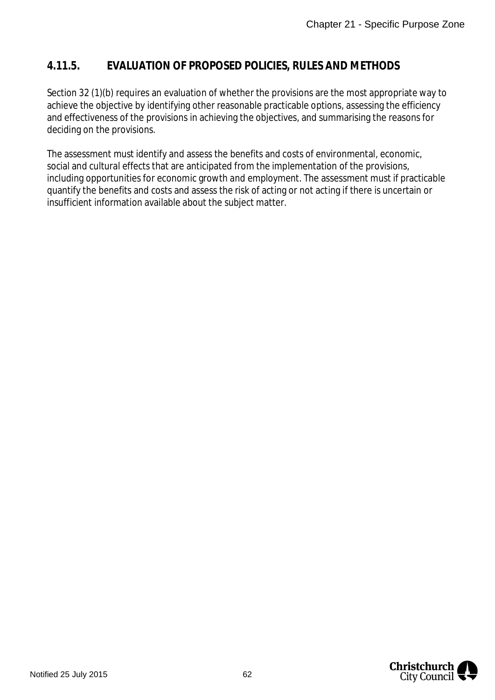### **4.11.5. EVALUATION OF PROPOSED POLICIES, RULES AND METHODS**

Section 32 (1)(b) requires an evaluation of whether the provisions are the most appropriate way to achieve the objective by identifying other reasonable practicable options, assessing the efficiency and effectiveness of the provisions in achieving the objectives, and summarising the reasons for deciding on the provisions.

The assessment must identify and assess the benefits and costs of environmental, economic, social and cultural effects that are anticipated from the implementation of the provisions, including opportunities for economic growth and employment. The assessment must if practicable quantify the benefits and costs and assess the risk of acting or not acting if there is uncertain or insufficient information available about the subject matter.

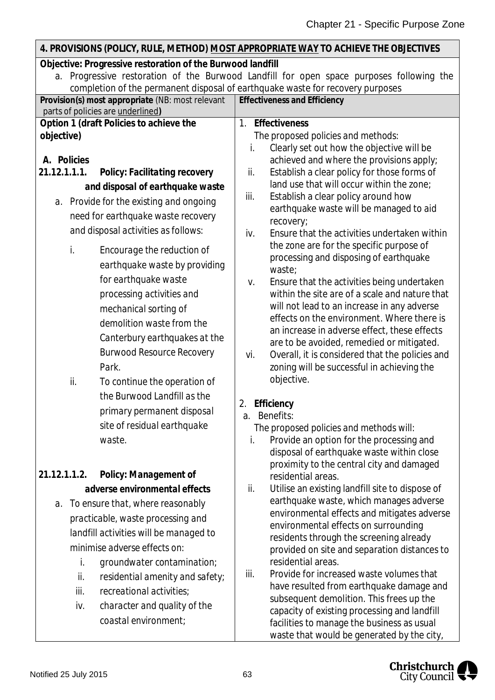#### **4. PROVISIONS (POLICY, RULE, METHOD) MOST APPROPRIATE WAY TO ACHIEVE THE OBJECTIVES Objective: Progressive restoration of the Burwood landfill** a. Progressive restoration of the Burwood Landfill for open space purposes following the completion of the permanent disposal of earthquake waste for recovery purposes **Provision(s) most appropriate** (NB: most relevant parts of policies are underlined**) Effectiveness and Efficiency Option 1 (draft Policies to achieve the objective) A. Policies** *21.12.1.1.1. Policy: Facilitating recovery and disposal of earthquake waste a. Provide for the existing and ongoing need for earthquake waste recovery and disposal activities as follows: i. Encourage the reduction of earthquake waste by providing for earthquake waste processing activities and mechanical sorting of demolition waste from the Canterbury earthquakes at the Burwood Resource Recovery Park.* ii. *To continue the operation of the Burwood Landfill as the primary permanent disposal site of residual earthquake waste. 21.12.1.1.2. Policy: Management of adverse environmental effects a. To ensure that, where reasonably practicable, waste processing and landfill activities will be managed to minimise adverse effects on: i. groundwater contamination; ii. residential amenity and safety; iii. recreational activities; iv. character and quality of the coastal environment;* 1. **Effectiveness** *The proposed policies and methods:* i. Clearly set out how the objective will be achieved and where the provisions apply; ii. Establish a clear policy for those forms of land use that will occur within the zone; iii. Establish a clear policy around how earthquake waste will be managed to aid recovery; iv. Ensure that the activities undertaken within the zone are for the specific purpose of processing and disposing of earthquake waste; v. Ensure that the activities being undertaken within the site are of a scale and nature that will not lead to an increase in any adverse effects on the environment. Where there is an increase in adverse effect, these effects are to be avoided, remedied or mitigated. vi. Overall, it is considered that the policies and zoning will be successful in achieving the objective. 2. **Efficiency** a. Benefits: *The proposed policies and methods will:* i. Provide an option for the processing and disposal of earthquake waste within close proximity to the central city and damaged residential areas. ii. Utilise an existing landfill site to dispose of earthquake waste, which manages adverse environmental effects and mitigates adverse environmental effects on surrounding residents through the screening already provided on site and separation distances to residential areas. iii. Provide for increased waste volumes that have resulted from earthquake damage and subsequent demolition. This frees up the capacity of existing processing and landfill facilities to manage the business as usual

waste that would be generated by the city,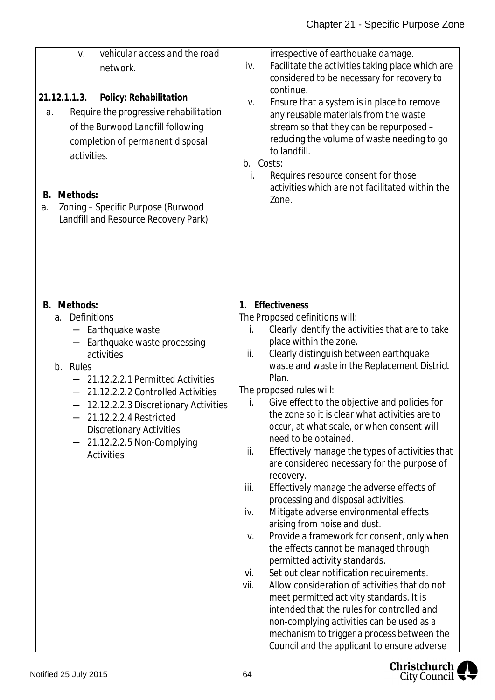| vehicular access and the road<br>V.<br>network.<br>21.12.1.1.3. Policy: Rehabilitation<br>Require the progressive rehabilitation<br>$a$ .<br>of the Burwood Landfill following<br>completion of permanent disposal<br>activities.<br>Methods:<br>В.<br>Zoning - Specific Purpose (Burwood<br>a.<br>Landfill and Resource Recovery Park)                         | irrespective of earthquake damage.<br>Facilitate the activities taking place which are<br>iv.<br>considered to be necessary for recovery to<br>continue.<br>Ensure that a system is in place to remove<br>V.<br>any reusable materials from the waste<br>stream so that they can be repurposed -<br>reducing the volume of waste needing to go<br>to landfill.<br>b. Costs:<br>Requires resource consent for those<br>İ.<br>activities which are not facilitated within the<br>Zone.                                                                                                                                                                                                                                                                                                                                                                                                                                                                                                                                                                                                                                                                                                                                                                    |
|-----------------------------------------------------------------------------------------------------------------------------------------------------------------------------------------------------------------------------------------------------------------------------------------------------------------------------------------------------------------|---------------------------------------------------------------------------------------------------------------------------------------------------------------------------------------------------------------------------------------------------------------------------------------------------------------------------------------------------------------------------------------------------------------------------------------------------------------------------------------------------------------------------------------------------------------------------------------------------------------------------------------------------------------------------------------------------------------------------------------------------------------------------------------------------------------------------------------------------------------------------------------------------------------------------------------------------------------------------------------------------------------------------------------------------------------------------------------------------------------------------------------------------------------------------------------------------------------------------------------------------------|
| B. Methods:<br>Definitions<br>а.<br>Earthquake waste<br>Earthquake waste processing<br>activities<br>b. Rules<br>21.12.2.2.1 Permitted Activities<br>21.12.2.2.2 Controlled Activities<br>12.12.2.2.3 Discretionary Activities<br>21.12.2.2.4 Restricted<br><b>Discretionary Activities</b><br>21.12.2.2.5 Non-Complying<br>$\blacksquare$<br><b>Activities</b> | Effectiveness<br>$1_{\cdot}$<br>The Proposed definitions will:<br>Clearly identify the activities that are to take<br>İ.<br>place within the zone.<br>Clearly distinguish between earthquake<br>ii.<br>waste and waste in the Replacement District<br>Plan.<br>The proposed rules will:<br>Give effect to the objective and policies for<br>İ.<br>the zone so it is clear what activities are to<br>occur, at what scale, or when consent will<br>need to be obtained.<br>Effectively manage the types of activities that<br>ii.<br>are considered necessary for the purpose of<br>recovery.<br>iii.<br>Effectively manage the adverse effects of<br>processing and disposal activities.<br>Mitigate adverse environmental effects<br>iv.<br>arising from noise and dust.<br>Provide a framework for consent, only when<br>V.<br>the effects cannot be managed through<br>permitted activity standards.<br>Set out clear notification requirements.<br>vi.<br>Allow consideration of activities that do not<br>vii.<br>meet permitted activity standards. It is<br>intended that the rules for controlled and<br>non-complying activities can be used as a<br>mechanism to trigger a process between the<br>Council and the applicant to ensure adverse |

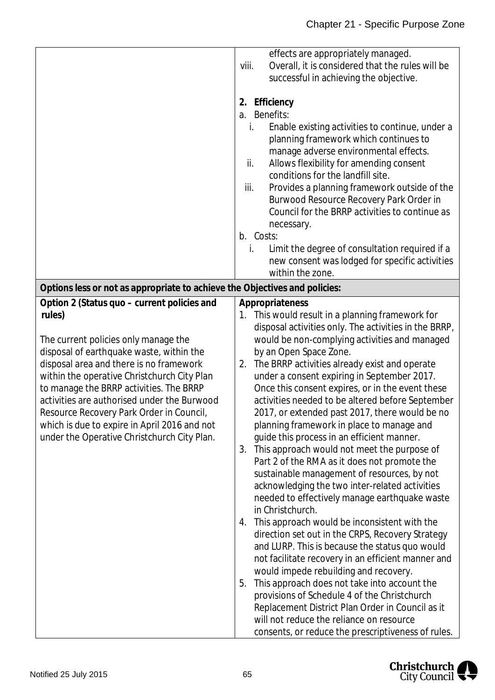|                                                                                                                                                                                                                                                                                                                                                                                                                                                                          | effects are appropriately managed.<br>Overall, it is considered that the rules will be<br>viii.<br>successful in achieving the objective.<br>Efficiency<br>2.<br><b>Benefits:</b><br>a.<br>Enable existing activities to continue, under a<br>i.<br>planning framework which continues to<br>manage adverse environmental effects.<br>Allows flexibility for amending consent<br>ii.<br>conditions for the landfill site.<br>iii.<br>Provides a planning framework outside of the<br>Burwood Resource Recovery Park Order in<br>Council for the BRRP activities to continue as<br>necessary.<br>b. Costs:<br>Limit the degree of consultation required if a<br>İ.<br>new consent was lodged for specific activities<br>within the zone.                                                                                                                                                                                                                                                                                                                                                                                                                                                                                                                                                                                                                              |
|--------------------------------------------------------------------------------------------------------------------------------------------------------------------------------------------------------------------------------------------------------------------------------------------------------------------------------------------------------------------------------------------------------------------------------------------------------------------------|----------------------------------------------------------------------------------------------------------------------------------------------------------------------------------------------------------------------------------------------------------------------------------------------------------------------------------------------------------------------------------------------------------------------------------------------------------------------------------------------------------------------------------------------------------------------------------------------------------------------------------------------------------------------------------------------------------------------------------------------------------------------------------------------------------------------------------------------------------------------------------------------------------------------------------------------------------------------------------------------------------------------------------------------------------------------------------------------------------------------------------------------------------------------------------------------------------------------------------------------------------------------------------------------------------------------------------------------------------------------|
| Options less or not as appropriate to achieve the Objectives and policies:                                                                                                                                                                                                                                                                                                                                                                                               |                                                                                                                                                                                                                                                                                                                                                                                                                                                                                                                                                                                                                                                                                                                                                                                                                                                                                                                                                                                                                                                                                                                                                                                                                                                                                                                                                                      |
| Option 2 (Status quo – current policies and<br>rules)<br>The current policies only manage the<br>disposal of earthquake waste, within the<br>disposal area and there is no framework<br>within the operative Christchurch City Plan<br>to manage the BRRP activities. The BRRP<br>activities are authorised under the Burwood<br>Resource Recovery Park Order in Council,<br>which is due to expire in April 2016 and not<br>under the Operative Christchurch City Plan. | Appropriateness<br>1. This would result in a planning framework for<br>disposal activities only. The activities in the BRRP,<br>would be non-complying activities and managed<br>by an Open Space Zone.<br>The BRRP activities already exist and operate<br>2.<br>under a consent expiring in September 2017.<br>Once this consent expires, or in the event these<br>activities needed to be altered before September<br>2017, or extended past 2017, there would be no<br>planning framework in place to manage and<br>guide this process in an efficient manner.<br>This approach would not meet the purpose of<br>3.<br>Part 2 of the RMA as it does not promote the<br>sustainable management of resources, by not<br>acknowledging the two inter-related activities<br>needed to effectively manage earthquake waste<br>in Christchurch.<br>This approach would be inconsistent with the<br>4.<br>direction set out in the CRPS, Recovery Strategy<br>and LURP. This is because the status quo would<br>not facilitate recovery in an efficient manner and<br>would impede rebuilding and recovery.<br>This approach does not take into account the<br>5.<br>provisions of Schedule 4 of the Christchurch<br>Replacement District Plan Order in Council as it<br>will not reduce the reliance on resource<br>consents, or reduce the prescriptiveness of rules. |

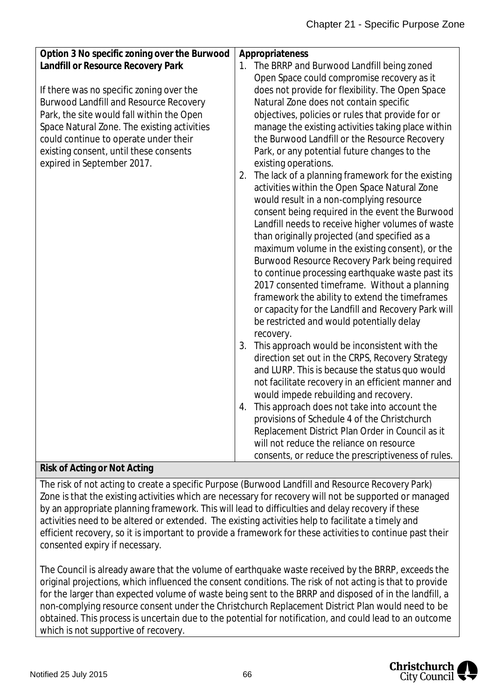| Option 3 No specific zoning over the Burwood<br>Appropriateness<br>Landfill or Resource Recovery Park<br>The BRRP and Burwood Landfill being zoned<br>1.<br>Open Space could compromise recovery as it<br>does not provide for flexibility. The Open Space<br>If there was no specific zoning over the<br>Natural Zone does not contain specific<br><b>Burwood Landfill and Resource Recovery</b><br>Park, the site would fall within the Open<br>objectives, policies or rules that provide for or<br>manage the existing activities taking place within<br>Space Natural Zone. The existing activities<br>could continue to operate under their<br>the Burwood Landfill or the Resource Recovery<br>existing consent, until these consents<br>Park, or any potential future changes to the<br>expired in September 2017.<br>existing operations.<br>The lack of a planning framework for the existing<br>2.<br>activities within the Open Space Natural Zone<br>would result in a non-complying resource<br>consent being required in the event the Burwood<br>Landfill needs to receive higher volumes of waste<br>than originally projected (and specified as a<br>maximum volume in the existing consent), or the<br>Burwood Resource Recovery Park being required |                                                  |
|-------------------------------------------------------------------------------------------------------------------------------------------------------------------------------------------------------------------------------------------------------------------------------------------------------------------------------------------------------------------------------------------------------------------------------------------------------------------------------------------------------------------------------------------------------------------------------------------------------------------------------------------------------------------------------------------------------------------------------------------------------------------------------------------------------------------------------------------------------------------------------------------------------------------------------------------------------------------------------------------------------------------------------------------------------------------------------------------------------------------------------------------------------------------------------------------------------------------------------------------------------------------------|--------------------------------------------------|
|                                                                                                                                                                                                                                                                                                                                                                                                                                                                                                                                                                                                                                                                                                                                                                                                                                                                                                                                                                                                                                                                                                                                                                                                                                                                         |                                                  |
|                                                                                                                                                                                                                                                                                                                                                                                                                                                                                                                                                                                                                                                                                                                                                                                                                                                                                                                                                                                                                                                                                                                                                                                                                                                                         |                                                  |
|                                                                                                                                                                                                                                                                                                                                                                                                                                                                                                                                                                                                                                                                                                                                                                                                                                                                                                                                                                                                                                                                                                                                                                                                                                                                         |                                                  |
|                                                                                                                                                                                                                                                                                                                                                                                                                                                                                                                                                                                                                                                                                                                                                                                                                                                                                                                                                                                                                                                                                                                                                                                                                                                                         |                                                  |
|                                                                                                                                                                                                                                                                                                                                                                                                                                                                                                                                                                                                                                                                                                                                                                                                                                                                                                                                                                                                                                                                                                                                                                                                                                                                         |                                                  |
|                                                                                                                                                                                                                                                                                                                                                                                                                                                                                                                                                                                                                                                                                                                                                                                                                                                                                                                                                                                                                                                                                                                                                                                                                                                                         |                                                  |
|                                                                                                                                                                                                                                                                                                                                                                                                                                                                                                                                                                                                                                                                                                                                                                                                                                                                                                                                                                                                                                                                                                                                                                                                                                                                         |                                                  |
|                                                                                                                                                                                                                                                                                                                                                                                                                                                                                                                                                                                                                                                                                                                                                                                                                                                                                                                                                                                                                                                                                                                                                                                                                                                                         |                                                  |
|                                                                                                                                                                                                                                                                                                                                                                                                                                                                                                                                                                                                                                                                                                                                                                                                                                                                                                                                                                                                                                                                                                                                                                                                                                                                         |                                                  |
|                                                                                                                                                                                                                                                                                                                                                                                                                                                                                                                                                                                                                                                                                                                                                                                                                                                                                                                                                                                                                                                                                                                                                                                                                                                                         |                                                  |
|                                                                                                                                                                                                                                                                                                                                                                                                                                                                                                                                                                                                                                                                                                                                                                                                                                                                                                                                                                                                                                                                                                                                                                                                                                                                         |                                                  |
|                                                                                                                                                                                                                                                                                                                                                                                                                                                                                                                                                                                                                                                                                                                                                                                                                                                                                                                                                                                                                                                                                                                                                                                                                                                                         |                                                  |
|                                                                                                                                                                                                                                                                                                                                                                                                                                                                                                                                                                                                                                                                                                                                                                                                                                                                                                                                                                                                                                                                                                                                                                                                                                                                         |                                                  |
|                                                                                                                                                                                                                                                                                                                                                                                                                                                                                                                                                                                                                                                                                                                                                                                                                                                                                                                                                                                                                                                                                                                                                                                                                                                                         |                                                  |
|                                                                                                                                                                                                                                                                                                                                                                                                                                                                                                                                                                                                                                                                                                                                                                                                                                                                                                                                                                                                                                                                                                                                                                                                                                                                         |                                                  |
|                                                                                                                                                                                                                                                                                                                                                                                                                                                                                                                                                                                                                                                                                                                                                                                                                                                                                                                                                                                                                                                                                                                                                                                                                                                                         |                                                  |
|                                                                                                                                                                                                                                                                                                                                                                                                                                                                                                                                                                                                                                                                                                                                                                                                                                                                                                                                                                                                                                                                                                                                                                                                                                                                         |                                                  |
|                                                                                                                                                                                                                                                                                                                                                                                                                                                                                                                                                                                                                                                                                                                                                                                                                                                                                                                                                                                                                                                                                                                                                                                                                                                                         |                                                  |
|                                                                                                                                                                                                                                                                                                                                                                                                                                                                                                                                                                                                                                                                                                                                                                                                                                                                                                                                                                                                                                                                                                                                                                                                                                                                         | to continue processing earthquake waste past its |
| 2017 consented timeframe. Without a planning                                                                                                                                                                                                                                                                                                                                                                                                                                                                                                                                                                                                                                                                                                                                                                                                                                                                                                                                                                                                                                                                                                                                                                                                                            |                                                  |
| framework the ability to extend the timeframes                                                                                                                                                                                                                                                                                                                                                                                                                                                                                                                                                                                                                                                                                                                                                                                                                                                                                                                                                                                                                                                                                                                                                                                                                          |                                                  |
| or capacity for the Landfill and Recovery Park will                                                                                                                                                                                                                                                                                                                                                                                                                                                                                                                                                                                                                                                                                                                                                                                                                                                                                                                                                                                                                                                                                                                                                                                                                     |                                                  |
| be restricted and would potentially delay                                                                                                                                                                                                                                                                                                                                                                                                                                                                                                                                                                                                                                                                                                                                                                                                                                                                                                                                                                                                                                                                                                                                                                                                                               |                                                  |
| recovery.                                                                                                                                                                                                                                                                                                                                                                                                                                                                                                                                                                                                                                                                                                                                                                                                                                                                                                                                                                                                                                                                                                                                                                                                                                                               |                                                  |
| This approach would be inconsistent with the<br>3.                                                                                                                                                                                                                                                                                                                                                                                                                                                                                                                                                                                                                                                                                                                                                                                                                                                                                                                                                                                                                                                                                                                                                                                                                      |                                                  |
| direction set out in the CRPS, Recovery Strategy                                                                                                                                                                                                                                                                                                                                                                                                                                                                                                                                                                                                                                                                                                                                                                                                                                                                                                                                                                                                                                                                                                                                                                                                                        |                                                  |
| and LURP. This is because the status quo would                                                                                                                                                                                                                                                                                                                                                                                                                                                                                                                                                                                                                                                                                                                                                                                                                                                                                                                                                                                                                                                                                                                                                                                                                          |                                                  |
| not facilitate recovery in an efficient manner and                                                                                                                                                                                                                                                                                                                                                                                                                                                                                                                                                                                                                                                                                                                                                                                                                                                                                                                                                                                                                                                                                                                                                                                                                      |                                                  |
| would impede rebuilding and recovery.                                                                                                                                                                                                                                                                                                                                                                                                                                                                                                                                                                                                                                                                                                                                                                                                                                                                                                                                                                                                                                                                                                                                                                                                                                   |                                                  |
| This approach does not take into account the<br>4.                                                                                                                                                                                                                                                                                                                                                                                                                                                                                                                                                                                                                                                                                                                                                                                                                                                                                                                                                                                                                                                                                                                                                                                                                      |                                                  |
| provisions of Schedule 4 of the Christchurch                                                                                                                                                                                                                                                                                                                                                                                                                                                                                                                                                                                                                                                                                                                                                                                                                                                                                                                                                                                                                                                                                                                                                                                                                            |                                                  |
| Replacement District Plan Order in Council as it                                                                                                                                                                                                                                                                                                                                                                                                                                                                                                                                                                                                                                                                                                                                                                                                                                                                                                                                                                                                                                                                                                                                                                                                                        |                                                  |
| will not reduce the reliance on resource                                                                                                                                                                                                                                                                                                                                                                                                                                                                                                                                                                                                                                                                                                                                                                                                                                                                                                                                                                                                                                                                                                                                                                                                                                |                                                  |
| consents, or reduce the prescriptiveness of rules.                                                                                                                                                                                                                                                                                                                                                                                                                                                                                                                                                                                                                                                                                                                                                                                                                                                                                                                                                                                                                                                                                                                                                                                                                      |                                                  |

### **Risk of Acting or Not Acting**

The risk of not acting to create a specific Purpose (Burwood Landfill and Resource Recovery Park) Zone is that the existing activities which are necessary for recovery will not be supported or managed by an appropriate planning framework. This will lead to difficulties and delay recovery if these activities need to be altered or extended. The existing activities help to facilitate a timely and efficient recovery, so it is important to provide a framework for these activities to continue past their consented expiry if necessary.

The Council is already aware that the volume of earthquake waste received by the BRRP, exceeds the original projections, which influenced the consent conditions. The risk of not acting is that to provide for the larger than expected volume of waste being sent to the BRRP and disposed of in the landfill, a non-complying resource consent under the Christchurch Replacement District Plan would need to be obtained. This process is uncertain due to the potential for notification, and could lead to an outcome which is not supportive of recovery.